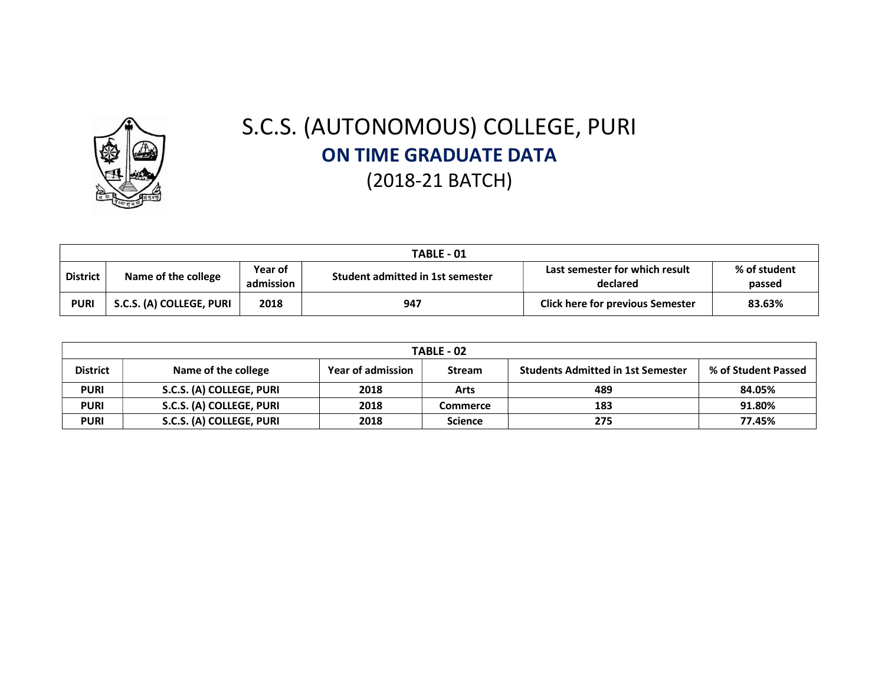

## S.C.S. (AUTONOMOUS) COLLEGE, PURI ON TIME GRADUATE DATA (2018-21 BATCH)

|                 | TABLE - 01               |                      |                                  |                                            |                        |  |  |  |  |  |  |  |
|-----------------|--------------------------|----------------------|----------------------------------|--------------------------------------------|------------------------|--|--|--|--|--|--|--|
| <b>District</b> | Name of the college      | Year of<br>admission | Student admitted in 1st semester | Last semester for which result<br>declared | % of student<br>passed |  |  |  |  |  |  |  |
| <b>PURI</b>     | S.C.S. (A) COLLEGE, PURI | 2018                 | 947                              | <b>Click here for previous Semester</b>    | 83.63%                 |  |  |  |  |  |  |  |

| <b>TABLE - 02</b>                                                                                                                                      |                          |      |                |     |        |  |  |  |  |  |  |
|--------------------------------------------------------------------------------------------------------------------------------------------------------|--------------------------|------|----------------|-----|--------|--|--|--|--|--|--|
| <b>District</b><br><b>Students Admitted in 1st Semester</b><br>% of Student Passed<br>Name of the college<br><b>Year of admission</b><br><b>Stream</b> |                          |      |                |     |        |  |  |  |  |  |  |
| <b>PURI</b>                                                                                                                                            | S.C.S. (A) COLLEGE, PURI | 2018 | Arts           | 489 | 84.05% |  |  |  |  |  |  |
| <b>PURI</b>                                                                                                                                            | S.C.S. (A) COLLEGE, PURI | 2018 | Commerce       | 183 | 91.80% |  |  |  |  |  |  |
| <b>PURI</b>                                                                                                                                            | S.C.S. (A) COLLEGE, PURI | 2018 | <b>Science</b> | 275 | 77.45% |  |  |  |  |  |  |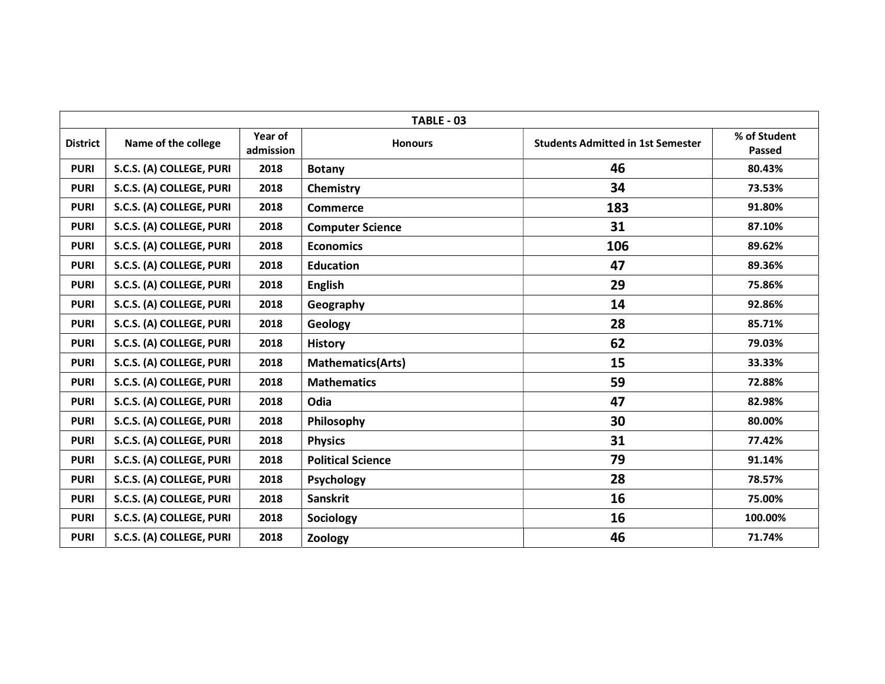|                 | TABLE - 03               |                      |                          |                                          |                        |  |  |  |  |  |  |  |
|-----------------|--------------------------|----------------------|--------------------------|------------------------------------------|------------------------|--|--|--|--|--|--|--|
| <b>District</b> | Name of the college      | Year of<br>admission | <b>Honours</b>           | <b>Students Admitted in 1st Semester</b> | % of Student<br>Passed |  |  |  |  |  |  |  |
| <b>PURI</b>     | S.C.S. (A) COLLEGE, PURI | 2018                 | <b>Botany</b>            | 46                                       | 80.43%                 |  |  |  |  |  |  |  |
| <b>PURI</b>     | S.C.S. (A) COLLEGE, PURI | 2018                 | Chemistry                | 34                                       | 73.53%                 |  |  |  |  |  |  |  |
| <b>PURI</b>     | S.C.S. (A) COLLEGE, PURI | 2018                 | <b>Commerce</b>          | 183                                      | 91.80%                 |  |  |  |  |  |  |  |
| <b>PURI</b>     | S.C.S. (A) COLLEGE, PURI | 2018                 | <b>Computer Science</b>  | 31                                       | 87.10%                 |  |  |  |  |  |  |  |
| <b>PURI</b>     | S.C.S. (A) COLLEGE, PURI | 2018                 | <b>Economics</b>         | 106                                      | 89.62%                 |  |  |  |  |  |  |  |
| <b>PURI</b>     | S.C.S. (A) COLLEGE, PURI | 2018                 | <b>Education</b>         | 47                                       | 89.36%                 |  |  |  |  |  |  |  |
| <b>PURI</b>     | S.C.S. (A) COLLEGE, PURI | 2018                 | <b>English</b>           | 29                                       | 75.86%                 |  |  |  |  |  |  |  |
| <b>PURI</b>     | S.C.S. (A) COLLEGE, PURI | 2018                 | Geography                | 14                                       | 92.86%                 |  |  |  |  |  |  |  |
| <b>PURI</b>     | S.C.S. (A) COLLEGE, PURI | 2018                 | Geology                  | 28                                       | 85.71%                 |  |  |  |  |  |  |  |
| <b>PURI</b>     | S.C.S. (A) COLLEGE, PURI | 2018                 | <b>History</b>           | 62                                       | 79.03%                 |  |  |  |  |  |  |  |
| <b>PURI</b>     | S.C.S. (A) COLLEGE, PURI | 2018                 | <b>Mathematics(Arts)</b> | 15                                       | 33.33%                 |  |  |  |  |  |  |  |
| <b>PURI</b>     | S.C.S. (A) COLLEGE, PURI | 2018                 | <b>Mathematics</b>       | 59                                       | 72.88%                 |  |  |  |  |  |  |  |
| <b>PURI</b>     | S.C.S. (A) COLLEGE, PURI | 2018                 | Odia                     | 47                                       | 82.98%                 |  |  |  |  |  |  |  |
| <b>PURI</b>     | S.C.S. (A) COLLEGE, PURI | 2018                 | Philosophy               | 30                                       | 80.00%                 |  |  |  |  |  |  |  |
| <b>PURI</b>     | S.C.S. (A) COLLEGE, PURI | 2018                 | <b>Physics</b>           | 31                                       | 77.42%                 |  |  |  |  |  |  |  |
| <b>PURI</b>     | S.C.S. (A) COLLEGE, PURI | 2018                 | <b>Political Science</b> | 79                                       | 91.14%                 |  |  |  |  |  |  |  |
| <b>PURI</b>     | S.C.S. (A) COLLEGE, PURI | 2018                 | Psychology               | 28                                       | 78.57%                 |  |  |  |  |  |  |  |
| <b>PURI</b>     | S.C.S. (A) COLLEGE, PURI | 2018                 | <b>Sanskrit</b>          | 16                                       | 75.00%                 |  |  |  |  |  |  |  |
| <b>PURI</b>     | S.C.S. (A) COLLEGE, PURI | 2018                 | Sociology                | 16                                       | 100.00%                |  |  |  |  |  |  |  |
| <b>PURI</b>     | S.C.S. (A) COLLEGE, PURI | 2018                 | Zoology                  | 46                                       | 71.74%                 |  |  |  |  |  |  |  |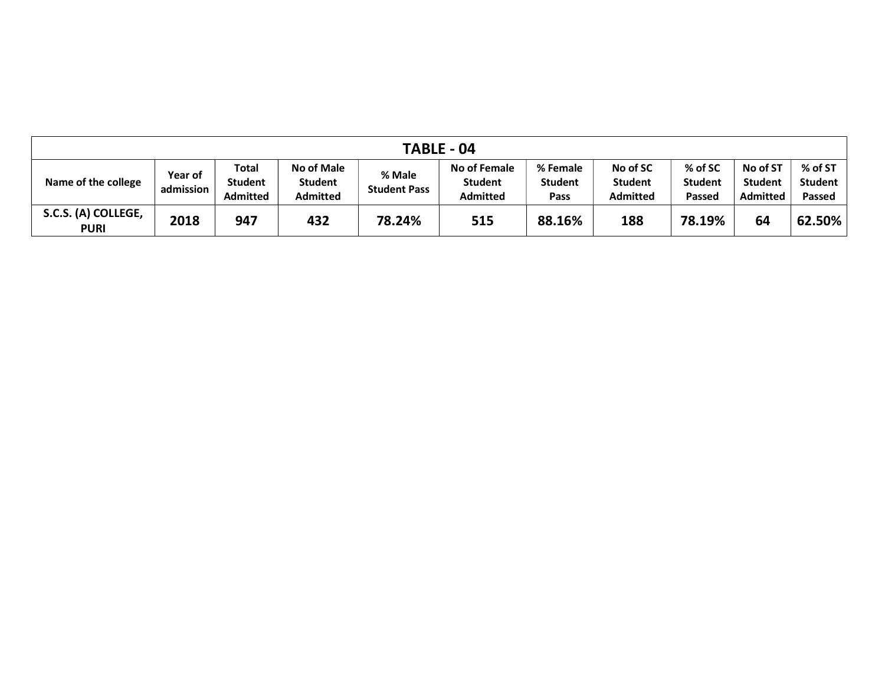| TABLE - 04                         |                             |                                            |                                                 |                               |                                                   |                                    |                                               |                                     |                                               |                                     |  |  |
|------------------------------------|-----------------------------|--------------------------------------------|-------------------------------------------------|-------------------------------|---------------------------------------------------|------------------------------------|-----------------------------------------------|-------------------------------------|-----------------------------------------------|-------------------------------------|--|--|
| Name of the college                | <b>Year of</b><br>admission | <b>Total</b><br>Student<br><b>Admitted</b> | <b>No of Male</b><br><b>Student</b><br>Admitted | % Male<br><b>Student Pass</b> | No of Female<br><b>Student</b><br><b>Admitted</b> | % Female<br><b>Student</b><br>Pass | No of SC<br><b>Student</b><br><b>Admitted</b> | % of SC<br><b>Student</b><br>Passed | No of ST<br><b>Student</b><br><b>Admitted</b> | % of ST<br><b>Student</b><br>Passed |  |  |
| S.C.S. (A) COLLEGE,<br><b>PURI</b> | 2018                        | 947                                        | 432                                             | 78.24%                        | 515                                               | 88.16%                             | 188                                           | 78.19%                              | 64                                            | 62.50%                              |  |  |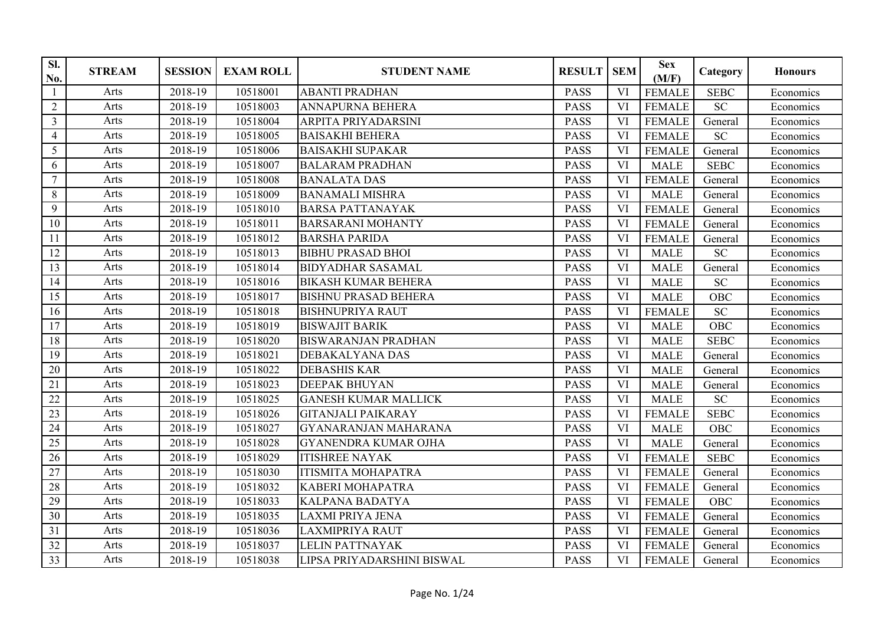| SI.<br>No.      | <b>STREAM</b> | <b>SESSION</b> | <b>EXAM ROLL</b> | <b>STUDENT NAME</b>         | <b>RESULT</b> | <b>SEM</b> | <b>Sex</b><br>(M/F) | Category    | <b>Honours</b> |
|-----------------|---------------|----------------|------------------|-----------------------------|---------------|------------|---------------------|-------------|----------------|
| $\mathbf{1}$    | Arts          | 2018-19        | 10518001         | <b>ABANTI PRADHAN</b>       | <b>PASS</b>   | <b>VI</b>  | <b>FEMALE</b>       | <b>SEBC</b> | Economics      |
| $\overline{2}$  | Arts          | 2018-19        | 10518003         | <b>ANNAPURNA BEHERA</b>     | <b>PASS</b>   | VI         | <b>FEMALE</b>       | <b>SC</b>   | Economics      |
| $\mathfrak{Z}$  | Arts          | 2018-19        | 10518004         | ARPITA PRIYADARSINI         | <b>PASS</b>   | VI         | <b>FEMALE</b>       | General     | Economics      |
| $\overline{4}$  | Arts          | 2018-19        | 10518005         | <b>BAISAKHI BEHERA</b>      | <b>PASS</b>   | VI         | <b>FEMALE</b>       | <b>SC</b>   | Economics      |
| 5               | Arts          | 2018-19        | 10518006         | <b>BAISAKHI SUPAKAR</b>     | <b>PASS</b>   | VI         | <b>FEMALE</b>       | General     | Economics      |
| 6               | Arts          | 2018-19        | 10518007         | <b>BALARAM PRADHAN</b>      | <b>PASS</b>   | VI         | <b>MALE</b>         | <b>SEBC</b> | Economics      |
| $7\phantom{.0}$ | Arts          | 2018-19        | 10518008         | <b>BANALATA DAS</b>         | <b>PASS</b>   | VI         | <b>FEMALE</b>       | General     | Economics      |
| $8\,$           | Arts          | 2018-19        | 10518009         | <b>BANAMALI MISHRA</b>      | <b>PASS</b>   | VI         | <b>MALE</b>         | General     | Economics      |
| 9               | Arts          | 2018-19        | 10518010         | <b>BARSA PATTANAYAK</b>     | <b>PASS</b>   | VI         | <b>FEMALE</b>       | General     | Economics      |
| 10              | Arts          | 2018-19        | 10518011         | <b>BARSARANI MOHANTY</b>    | <b>PASS</b>   | VI         | <b>FEMALE</b>       | General     | Economics      |
| 11              | Arts          | 2018-19        | 10518012         | <b>BARSHA PARIDA</b>        | <b>PASS</b>   | VI         | <b>FEMALE</b>       | General     | Economics      |
| 12              | Arts          | 2018-19        | 10518013         | <b>BIBHU PRASAD BHOI</b>    | <b>PASS</b>   | <b>VI</b>  | <b>MALE</b>         | <b>SC</b>   | Economics      |
| 13              | Arts          | 2018-19        | 10518014         | <b>BIDYADHAR SASAMAL</b>    | <b>PASS</b>   | VI         | <b>MALE</b>         | General     | Economics      |
| 14              | Arts          | 2018-19        | 10518016         | <b>BIKASH KUMAR BEHERA</b>  | <b>PASS</b>   | VI         | <b>MALE</b>         | <b>SC</b>   | Economics      |
| 15              | Arts          | 2018-19        | 10518017         | <b>BISHNU PRASAD BEHERA</b> | <b>PASS</b>   | VI         | <b>MALE</b>         | <b>OBC</b>  | Economics      |
| 16              | Arts          | 2018-19        | 10518018         | <b>BISHNUPRIYA RAUT</b>     | <b>PASS</b>   | VI         | <b>FEMALE</b>       | <b>SC</b>   | Economics      |
| 17              | Arts          | 2018-19        | 10518019         | <b>BISWAJIT BARIK</b>       | <b>PASS</b>   | VI         | <b>MALE</b>         | OBC         | Economics      |
| 18              | Arts          | 2018-19        | 10518020         | <b>BISWARANJAN PRADHAN</b>  | <b>PASS</b>   | VI         | <b>MALE</b>         | <b>SEBC</b> | Economics      |
| 19              | Arts          | 2018-19        | 10518021         | DEBAKALYANA DAS             | <b>PASS</b>   | VI         | <b>MALE</b>         | General     | Economics      |
| 20              | Arts          | 2018-19        | 10518022         | <b>DEBASHIS KAR</b>         | <b>PASS</b>   | VI         | <b>MALE</b>         | General     | Economics      |
| 21              | Arts          | 2018-19        | 10518023         | <b>DEEPAK BHUYAN</b>        | <b>PASS</b>   | VI         | <b>MALE</b>         | General     | Economics      |
| 22              | Arts          | 2018-19        | 10518025         | <b>GANESH KUMAR MALLICK</b> | <b>PASS</b>   | <b>VI</b>  | <b>MALE</b>         | <b>SC</b>   | Economics      |
| 23              | Arts          | 2018-19        | 10518026         | <b>GITANJALI PAIKARAY</b>   | <b>PASS</b>   | VI         | <b>FEMALE</b>       | <b>SEBC</b> | Economics      |
| 24              | Arts          | 2018-19        | 10518027         | <b>GYANARANJAN MAHARANA</b> | <b>PASS</b>   | VI         | <b>MALE</b>         | <b>OBC</b>  | Economics      |
| 25              | Arts          | 2018-19        | 10518028         | <b>GYANENDRA KUMAR OJHA</b> | <b>PASS</b>   | VI         | <b>MALE</b>         | General     | Economics      |
| 26              | Arts          | 2018-19        | 10518029         | <b>ITISHREE NAYAK</b>       | <b>PASS</b>   | VI         | <b>FEMALE</b>       | <b>SEBC</b> | Economics      |
| 27              | Arts          | 2018-19        | 10518030         | <b>ITISMITA MOHAPATRA</b>   | <b>PASS</b>   | VI         | <b>FEMALE</b>       | General     | Economics      |
| 28              | Arts          | 2018-19        | 10518032         | <b>KABERI MOHAPATRA</b>     | <b>PASS</b>   | VI         | <b>FEMALE</b>       | General     | Economics      |
| 29              | Arts          | 2018-19        | 10518033         | <b>KALPANA BADATYA</b>      | <b>PASS</b>   | VI         | <b>FEMALE</b>       | OBC         | Economics      |
| 30              | Arts          | 2018-19        | 10518035         | <b>LAXMI PRIYA JENA</b>     | <b>PASS</b>   | VI         | <b>FEMALE</b>       | General     | Economics      |
| 31              | Arts          | 2018-19        | 10518036         | <b>LAXMIPRIYA RAUT</b>      | <b>PASS</b>   | VI         | <b>FEMALE</b>       | General     | Economics      |
| 32              | Arts          | 2018-19        | 10518037         | <b>LELIN PATTNAYAK</b>      | <b>PASS</b>   | <b>VI</b>  | <b>FEMALE</b>       | General     | Economics      |
| $\overline{33}$ | Arts          | 2018-19        | 10518038         | LIPSA PRIYADARSHINI BISWAL  | <b>PASS</b>   | VI         | <b>FEMALE</b>       | General     | Economics      |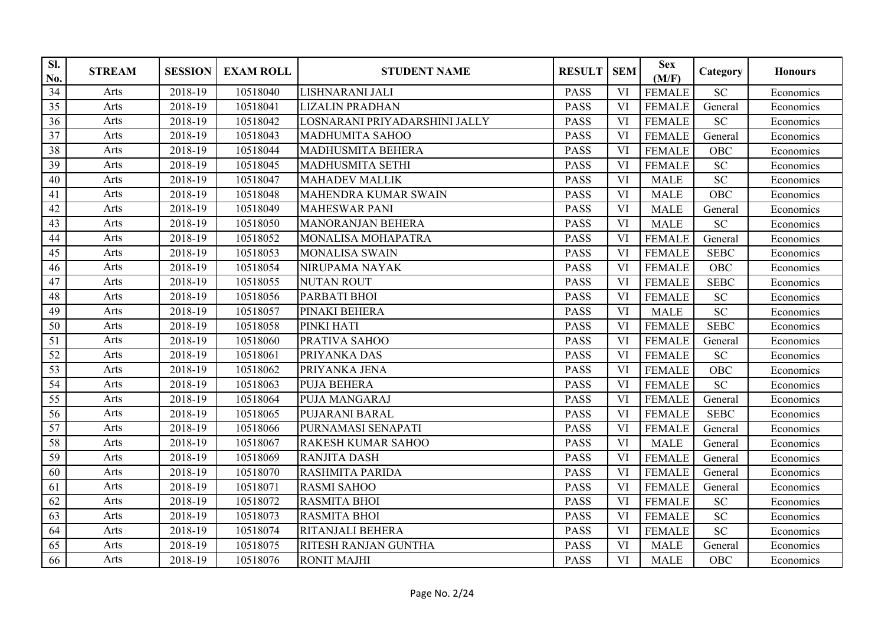| SI.<br>No.      | <b>STREAM</b> | <b>SESSION</b> | <b>EXAM ROLL</b> | <b>STUDENT NAME</b>           | <b>RESULT</b> | <b>SEM</b> | <b>Sex</b><br>(M/F) | Category        | <b>Honours</b> |
|-----------------|---------------|----------------|------------------|-------------------------------|---------------|------------|---------------------|-----------------|----------------|
| 34              | Arts          | 2018-19        | 10518040         | LISHNARANI JALI               | <b>PASS</b>   | VI         | <b>FEMALE</b>       | <b>SC</b>       | Economics      |
| $\overline{35}$ | Arts          | 2018-19        | 10518041         | <b>LIZALIN PRADHAN</b>        | <b>PASS</b>   | <b>VI</b>  | <b>FEMALE</b>       | General         | Economics      |
| 36              | Arts          | 2018-19        | 10518042         | LOSNARANI PRIYADARSHINI JALLY | <b>PASS</b>   | VI         | <b>FEMALE</b>       | <b>SC</b>       | Economics      |
| 37              | Arts          | 2018-19        | 10518043         | <b>MADHUMITA SAHOO</b>        | <b>PASS</b>   | VI         | <b>FEMALE</b>       | General         | Economics      |
| 38              | Arts          | 2018-19        | 10518044         | <b>MADHUSMITA BEHERA</b>      | <b>PASS</b>   | VI         | <b>FEMALE</b>       | <b>OBC</b>      | Economics      |
| 39              | Arts          | 2018-19        | 10518045         | <b>MADHUSMITA SETHI</b>       | <b>PASS</b>   | VI         | <b>FEMALE</b>       | <b>SC</b>       | Economics      |
| 40              | Arts          | 2018-19        | 10518047         | <b>MAHADEV MALLIK</b>         | <b>PASS</b>   | VI         | <b>MALE</b>         | <b>SC</b>       | Economics      |
| 41              | Arts          | 2018-19        | 10518048         | <b>MAHENDRA KUMAR SWAIN</b>   | <b>PASS</b>   | VI         | <b>MALE</b>         | <b>OBC</b>      | Economics      |
| 42              | Arts          | 2018-19        | 10518049         | <b>MAHESWAR PANI</b>          | <b>PASS</b>   | <b>VI</b>  | <b>MALE</b>         | General         | Economics      |
| 43              | Arts          | 2018-19        | 10518050         | <b>MANORANJAN BEHERA</b>      | <b>PASS</b>   | VI         | <b>MALE</b>         | <b>SC</b>       | Economics      |
| 44              | Arts          | 2018-19        | 10518052         | MONALISA MOHAPATRA            | <b>PASS</b>   | VI         | <b>FEMALE</b>       | General         | Economics      |
| 45              | Arts          | 2018-19        | 10518053         | <b>MONALISA SWAIN</b>         | <b>PASS</b>   | <b>VI</b>  | <b>FEMALE</b>       | <b>SEBC</b>     | Economics      |
| 46              | Arts          | 2018-19        | 10518054         | NIRUPAMA NAYAK                | <b>PASS</b>   | VI         | <b>FEMALE</b>       | OBC             | Economics      |
| 47              | Arts          | 2018-19        | 10518055         | <b>NUTAN ROUT</b>             | <b>PASS</b>   | <b>VI</b>  | <b>FEMALE</b>       | <b>SEBC</b>     | Economics      |
| 48              | Arts          | 2018-19        | 10518056         | PARBATI BHOI                  | <b>PASS</b>   | VI         | <b>FEMALE</b>       | <b>SC</b>       | Economics      |
| 49              | Arts          | 2018-19        | 10518057         | PINAKI BEHERA                 | <b>PASS</b>   | <b>VI</b>  | <b>MALE</b>         | $\overline{SC}$ | Economics      |
| 50              | Arts          | 2018-19        | 10518058         | PINKI HATI                    | PASS          | VI         | <b>FEMALE</b>       | <b>SEBC</b>     | Economics      |
| 51              | Arts          | 2018-19        | 10518060         | PRATIVA SAHOO                 | <b>PASS</b>   | VI         | <b>FEMALE</b>       | General         | Economics      |
| 52              | Arts          | 2018-19        | 10518061         | PRIYANKA DAS                  | <b>PASS</b>   | VI         | <b>FEMALE</b>       | <b>SC</b>       | Economics      |
| $\overline{53}$ | Arts          | 2018-19        | 10518062         | PRIYANKA JENA                 | <b>PASS</b>   | VI         | <b>FEMALE</b>       | OBC             | Economics      |
| 54              | Arts          | 2018-19        | 10518063         | <b>PUJA BEHERA</b>            | <b>PASS</b>   | VI         | <b>FEMALE</b>       | <b>SC</b>       | Economics      |
| 55              | Arts          | 2018-19        | 10518064         | PUJA MANGARAJ                 | <b>PASS</b>   | <b>VI</b>  | <b>FEMALE</b>       | General         | Economics      |
| 56              | Arts          | 2018-19        | 10518065         | <b>PUJARANI BARAL</b>         | <b>PASS</b>   | VI         | <b>FEMALE</b>       | <b>SEBC</b>     | Economics      |
| 57              | Arts          | 2018-19        | 10518066         | PURNAMASI SENAPATI            | <b>PASS</b>   | VI         | <b>FEMALE</b>       | General         | Economics      |
| 58              | Arts          | 2018-19        | 10518067         | <b>RAKESH KUMAR SAHOO</b>     | <b>PASS</b>   | VI         | <b>MALE</b>         | General         | Economics      |
| $\overline{59}$ | Arts          | 2018-19        | 10518069         | <b>RANJITA DASH</b>           | <b>PASS</b>   | <b>VI</b>  | <b>FEMALE</b>       | General         | Economics      |
| 60              | Arts          | 2018-19        | 10518070         | <b>RASHMITA PARIDA</b>        | <b>PASS</b>   | VI         | <b>FEMALE</b>       | General         | Economics      |
| 61              | Arts          | 2018-19        | 10518071         | <b>RASMI SAHOO</b>            | <b>PASS</b>   | VI         | <b>FEMALE</b>       | General         | Economics      |
| 62              | Arts          | 2018-19        | 10518072         | <b>RASMITA BHOI</b>           | <b>PASS</b>   | VI         | <b>FEMALE</b>       | <b>SC</b>       | Economics      |
| 63              | Arts          | 2018-19        | 10518073         | <b>RASMITA BHOI</b>           | <b>PASS</b>   | VI         | <b>FEMALE</b>       | <b>SC</b>       | Economics      |
| 64              | Arts          | 2018-19        | 10518074         | <b>RITANJALI BEHERA</b>       | <b>PASS</b>   | <b>VI</b>  | <b>FEMALE</b>       | <b>SC</b>       | Economics      |
| 65              | Arts          | 2018-19        | 10518075         | RITESH RANJAN GUNTHA          | <b>PASS</b>   | VI         | <b>MALE</b>         | General         | Economics      |
| 66              | Arts          | 2018-19        | 10518076         | <b>RONIT MAJHI</b>            | <b>PASS</b>   | VI         | <b>MALE</b>         | <b>OBC</b>      | Economics      |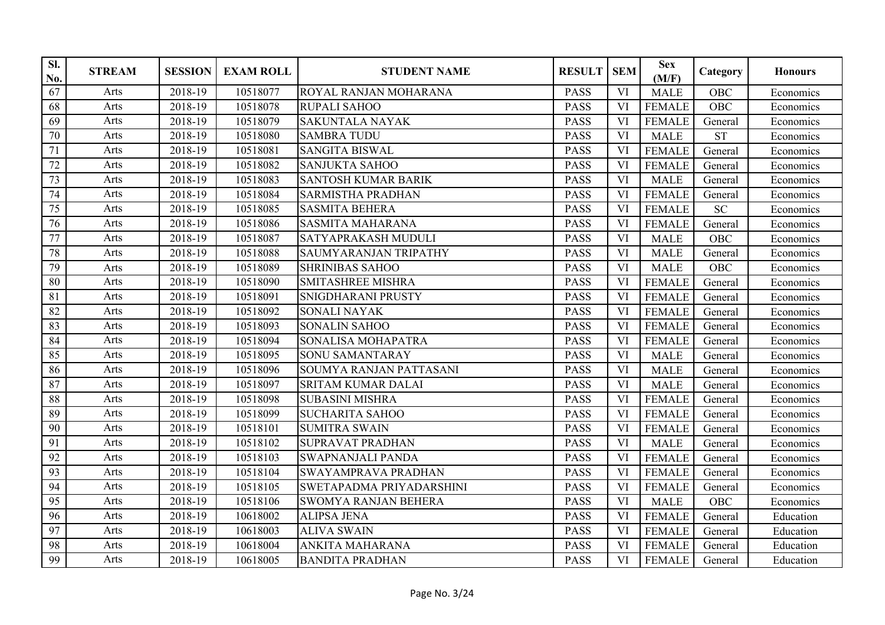| SI.<br>No. | <b>STREAM</b> | <b>SESSION</b> | <b>EXAM ROLL</b> | <b>STUDENT NAME</b>            | <b>RESULT</b> | <b>SEM</b> | <b>Sex</b><br>(M/F) | Category   | <b>Honours</b> |
|------------|---------------|----------------|------------------|--------------------------------|---------------|------------|---------------------|------------|----------------|
| 67         | Arts          | 2018-19        | 10518077         | ROYAL RANJAN MOHARANA          | <b>PASS</b>   | <b>VI</b>  | <b>MALE</b>         | <b>OBC</b> | Economics      |
| 68         | Arts          | 2018-19        | 10518078         | RUPALI SAHOO                   | <b>PASS</b>   | VI         | <b>FEMALE</b>       | OBC        | Economics      |
| 69         | Arts          | 2018-19        | 10518079         | <b>SAKUNTALA NAYAK</b>         | <b>PASS</b>   | VI         | <b>FEMALE</b>       | General    | Economics      |
| 70         | Arts          | 2018-19        | 10518080         | <b>SAMBRA TUDU</b>             | <b>PASS</b>   | VI         | <b>MALE</b>         | <b>ST</b>  | Economics      |
| 71         | Arts          | 2018-19        | 10518081         | <b>SANGITA BISWAL</b>          | <b>PASS</b>   | VI         | <b>FEMALE</b>       | General    | Economics      |
| 72         | Arts          | 2018-19        | 10518082         | <b>SANJUKTA SAHOO</b>          | <b>PASS</b>   | <b>VI</b>  | <b>FEMALE</b>       | General    | Economics      |
| 73         | Arts          | 2018-19        | 10518083         | <b>SANTOSH KUMAR BARIK</b>     | <b>PASS</b>   | VI         | <b>MALE</b>         | General    | Economics      |
| 74         | Arts          | 2018-19        | 10518084         | <b>SARMISTHA PRADHAN</b>       | <b>PASS</b>   | VI         | <b>FEMALE</b>       | General    | Economics      |
| 75         | Arts          | 2018-19        | 10518085         | <b>SASMITA BEHERA</b>          | <b>PASS</b>   | VI         | <b>FEMALE</b>       | <b>SC</b>  | Economics      |
| 76         | Arts          | 2018-19        | 10518086         | <b>SASMITA MAHARANA</b>        | <b>PASS</b>   | VI         | <b>FEMALE</b>       | General    | Economics      |
| 77         | Arts          | 2018-19        | 10518087         | SATYAPRAKASH MUDULI            | <b>PASS</b>   | VI         | <b>MALE</b>         | OBC        | Economics      |
| 78         | Arts          | 2018-19        | 10518088         | SAUMYARANJAN TRIPATHY          | <b>PASS</b>   | VI         | <b>MALE</b>         | General    | Economics      |
| 79         | Arts          | 2018-19        | 10518089         | <b>SHRINIBAS SAHOO</b>         | <b>PASS</b>   | VI         | <b>MALE</b>         | OBC        | Economics      |
| 80         | Arts          | 2018-19        | 10518090         | SMITASHREE MISHRA              | <b>PASS</b>   | VI         | <b>FEMALE</b>       | General    | Economics      |
| 81         | Arts          | 2018-19        | 10518091         | SNIGDHARANI PRUSTY             | <b>PASS</b>   | VI         | <b>FEMALE</b>       | General    | Economics      |
| 82         | Arts          | 2018-19        | 10518092         | <b>SONALI NAYAK</b>            | <b>PASS</b>   | VI         | <b>FEMALE</b>       | General    | Economics      |
| 83         | Arts          | 2018-19        | 10518093         | <b>SONALIN SAHOO</b>           | <b>PASS</b>   | VI         | <b>FEMALE</b>       | General    | Economics      |
| 84         | Arts          | 2018-19        | 10518094         | SONALISA MOHAPATRA             | <b>PASS</b>   | VI         | <b>FEMALE</b>       | General    | Economics      |
| 85         | Arts          | 2018-19        | 10518095         | SONU SAMANTARAY                | <b>PASS</b>   | VI         | <b>MALE</b>         | General    | Economics      |
| 86         | Arts          | 2018-19        | 10518096         | <b>SOUMYA RANJAN PATTASANI</b> | <b>PASS</b>   | VI         | <b>MALE</b>         | General    | Economics      |
| 87         | Arts          | 2018-19        | 10518097         | <b>SRITAM KUMAR DALAI</b>      | <b>PASS</b>   | <b>VI</b>  | <b>MALE</b>         | General    | Economics      |
| 88         | Arts          | 2018-19        | 10518098         | <b>SUBASINI MISHRA</b>         | <b>PASS</b>   | VI         | <b>FEMALE</b>       | General    | Economics      |
| 89         | Arts          | 2018-19        | 10518099         | <b>SUCHARITA SAHOO</b>         | <b>PASS</b>   | VI         | <b>FEMALE</b>       | General    | Economics      |
| 90         | Arts          | 2018-19        | 10518101         | <b>SUMITRA SWAIN</b>           | <b>PASS</b>   | VI         | <b>FEMALE</b>       | General    | Economics      |
| 91         | Arts          | 2018-19        | 10518102         | SUPRAVAT PRADHAN               | <b>PASS</b>   | VI         | <b>MALE</b>         | General    | Economics      |
| 92         | Arts          | 2018-19        | 10518103         | <b>SWAPNANJALI PANDA</b>       | <b>PASS</b>   | VI         | <b>FEMALE</b>       | General    | Economics      |
| 93         | Arts          | 2018-19        | 10518104         | SWAYAMPRAVA PRADHAN            | <b>PASS</b>   | VI         | <b>FEMALE</b>       | General    | Economics      |
| 94         | Arts          | 2018-19        | 10518105         | SWETAPADMA PRIYADARSHINI       | <b>PASS</b>   | VI         | <b>FEMALE</b>       | General    | Economics      |
| 95         | Arts          | 2018-19        | 10518106         | <b>SWOMYA RANJAN BEHERA</b>    | <b>PASS</b>   | VI         | <b>MALE</b>         | <b>OBC</b> | Economics      |
| 96         | Arts          | 2018-19        | 10618002         | <b>ALIPSA JENA</b>             | <b>PASS</b>   | VI         | <b>FEMALE</b>       | General    | Education      |
| 97         | Arts          | 2018-19        | 10618003         | <b>ALIVA SWAIN</b>             | <b>PASS</b>   | VI         | <b>FEMALE</b>       | General    | Education      |
| 98         | Arts          | 2018-19        | 10618004         | ANKITA MAHARANA                | <b>PASS</b>   | VI         | <b>FEMALE</b>       | General    | Education      |
| 99         | Arts          | 2018-19        | 10618005         | <b>BANDITA PRADHAN</b>         | <b>PASS</b>   | VI         | <b>FEMALE</b>       | General    | Education      |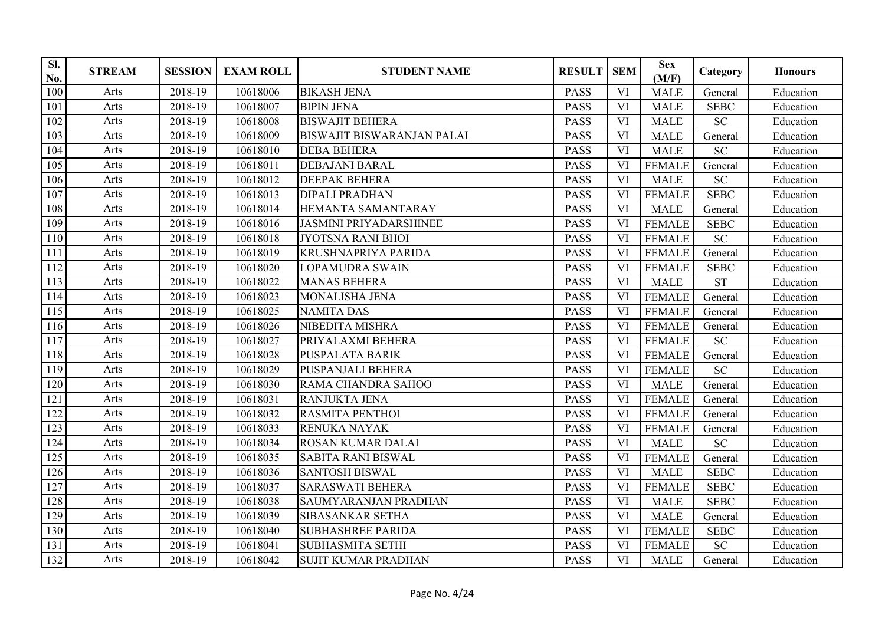| SI.<br>No. | <b>STREAM</b> | <b>SESSION</b> | <b>EXAM ROLL</b> | <b>STUDENT NAME</b>               | <b>RESULT</b> | <b>SEM</b> | <b>Sex</b><br>(M/F) | Category    | <b>Honours</b> |
|------------|---------------|----------------|------------------|-----------------------------------|---------------|------------|---------------------|-------------|----------------|
| 100        | Arts          | 2018-19        | 10618006         | <b>BIKASH JENA</b>                | <b>PASS</b>   | VI         | <b>MALE</b>         | General     | Education      |
| 101        | Arts          | 2018-19        | 10618007         | <b>BIPIN JENA</b>                 | <b>PASS</b>   | VI         | <b>MALE</b>         | <b>SEBC</b> | Education      |
| 102        | Arts          | 2018-19        | 10618008         | <b>BISWAJIT BEHERA</b>            | <b>PASS</b>   | VI         | <b>MALE</b>         | <b>SC</b>   | Education      |
| 103        | Arts          | 2018-19        | 10618009         | <b>BISWAJIT BISWARANJAN PALAI</b> | <b>PASS</b>   | VI         | <b>MALE</b>         | General     | Education      |
| 104        | Arts          | 2018-19        | 10618010         | <b>DEBA BEHERA</b>                | <b>PASS</b>   | VI         | <b>MALE</b>         | <b>SC</b>   | Education      |
| 105        | Arts          | 2018-19        | 10618011         | <b>DEBAJANI BARAL</b>             | <b>PASS</b>   | VI         | <b>FEMALE</b>       | General     | Education      |
| 106        | Arts          | 2018-19        | 10618012         | DEEPAK BEHERA                     | <b>PASS</b>   | VI         | <b>MALE</b>         | <b>SC</b>   | Education      |
| 107        | Arts          | 2018-19        | 10618013         | <b>DIPALI PRADHAN</b>             | <b>PASS</b>   | VI         | <b>FEMALE</b>       | <b>SEBC</b> | Education      |
| 108        | Arts          | 2018-19        | 10618014         | HEMANTA SAMANTARAY                | <b>PASS</b>   | VI         | <b>MALE</b>         | General     | Education      |
| 109        | Arts          | 2018-19        | 10618016         | <b>JASMINI PRIYADARSHINEE</b>     | <b>PASS</b>   | VI         | <b>FEMALE</b>       | <b>SEBC</b> | Education      |
| 110        | Arts          | 2018-19        | 10618018         | <b>JYOTSNA RANI BHOI</b>          | <b>PASS</b>   | VI         | <b>FEMALE</b>       | <b>SC</b>   | Education      |
| 111        | Arts          | 2018-19        | 10618019         | <b>KRUSHNAPRIYA PARIDA</b>        | <b>PASS</b>   | VI         | <b>FEMALE</b>       | General     | Education      |
| 112        | Arts          | 2018-19        | 10618020         | <b>LOPAMUDRA SWAIN</b>            | <b>PASS</b>   | VI         | <b>FEMALE</b>       | <b>SEBC</b> | Education      |
| 113        | Arts          | 2018-19        | 10618022         | <b>MANAS BEHERA</b>               | <b>PASS</b>   | VI         | <b>MALE</b>         | <b>ST</b>   | Education      |
| 114        | Arts          | 2018-19        | 10618023         | MONALISHA JENA                    | <b>PASS</b>   | VI         | <b>FEMALE</b>       | General     | Education      |
| 115        | Arts          | 2018-19        | 10618025         | <b>NAMITA DAS</b>                 | <b>PASS</b>   | VI         | <b>FEMALE</b>       | General     | Education      |
| 116        | Arts          | 2018-19        | 10618026         | NIBEDITA MISHRA                   | <b>PASS</b>   | VI         | <b>FEMALE</b>       | General     | Education      |
| 117        | Arts          | 2018-19        | 10618027         | PRIYALAXMI BEHERA                 | <b>PASS</b>   | VI         | <b>FEMALE</b>       | SC          | Education      |
| 118        | Arts          | 2018-19        | 10618028         | <b>PUSPALATA BARIK</b>            | <b>PASS</b>   | VI         | <b>FEMALE</b>       | General     | Education      |
| 119        | Arts          | 2018-19        | 10618029         | PUSPANJALI BEHERA                 | <b>PASS</b>   | VI         | <b>FEMALE</b>       | <b>SC</b>   | Education      |
| 120        | Arts          | 2018-19        | 10618030         | RAMA CHANDRA SAHOO                | <b>PASS</b>   | <b>VI</b>  | <b>MALE</b>         | General     | Education      |
| 121        | Arts          | 2018-19        | 10618031         | RANJUKTA JENA                     | <b>PASS</b>   | VI         | <b>FEMALE</b>       | General     | Education      |
| 122        | Arts          | 2018-19        | 10618032         | <b>RASMITA PENTHOI</b>            | <b>PASS</b>   | VI         | <b>FEMALE</b>       | General     | Education      |
| 123        | Arts          | 2018-19        | 10618033         | RENUKA NAYAK                      | <b>PASS</b>   | VI         | <b>FEMALE</b>       | General     | Education      |
| 124        | Arts          | 2018-19        | 10618034         | ROSAN KUMAR DALAI                 | <b>PASS</b>   | VI         | <b>MALE</b>         | <b>SC</b>   | Education      |
| 125        | Arts          | 2018-19        | 10618035         | <b>SABITA RANI BISWAL</b>         | <b>PASS</b>   | VI         | <b>FEMALE</b>       | General     | Education      |
| 126        | Arts          | 2018-19        | 10618036         | <b>SANTOSH BISWAL</b>             | <b>PASS</b>   | <b>VI</b>  | <b>MALE</b>         | <b>SEBC</b> | Education      |
| 127        | Arts          | 2018-19        | 10618037         | <b>SARASWATI BEHERA</b>           | <b>PASS</b>   | VI         | <b>FEMALE</b>       | <b>SEBC</b> | Education      |
| 128        | Arts          | 2018-19        | 10618038         | SAUMYARANJAN PRADHAN              | <b>PASS</b>   | VI         | <b>MALE</b>         | <b>SEBC</b> | Education      |
| 129        | Arts          | 2018-19        | 10618039         | SIBASANKAR SETHA                  | <b>PASS</b>   | VI         | <b>MALE</b>         | General     | Education      |
| 130        | Arts          | 2018-19        | 10618040         | <b>SUBHASHREE PARIDA</b>          | <b>PASS</b>   | VI         | <b>FEMALE</b>       | <b>SEBC</b> | Education      |
| 131        | Arts          | 2018-19        | 10618041         | <b>SUBHASMITA SETHI</b>           | <b>PASS</b>   | VI         | <b>FEMALE</b>       | SC          | Education      |
| 132        | Arts          | 2018-19        | 10618042         | <b>SUJIT KUMAR PRADHAN</b>        | <b>PASS</b>   | VI         | <b>MALE</b>         | General     | Education      |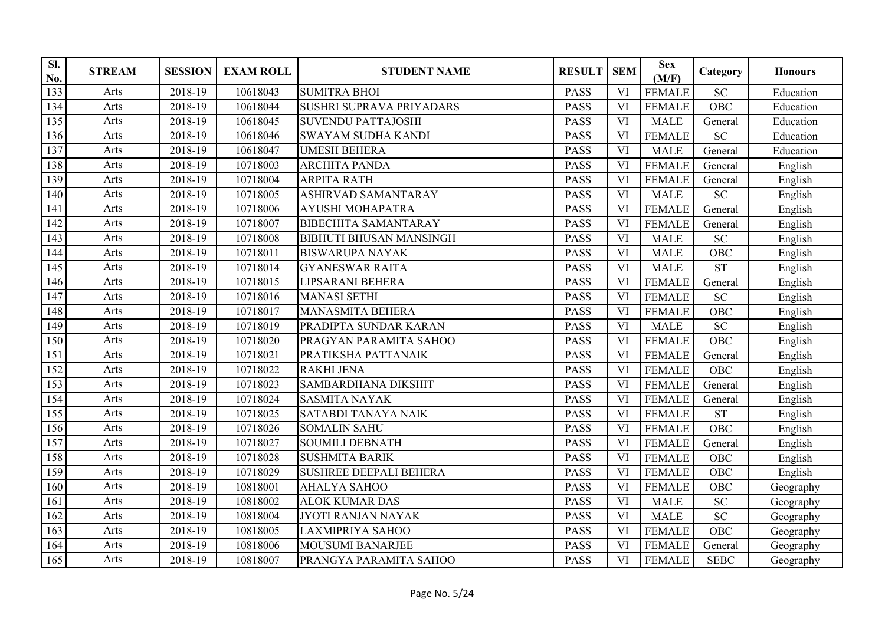| SI.<br>No. | <b>STREAM</b> | <b>SESSION</b> | <b>EXAM ROLL</b> | <b>STUDENT NAME</b>            | <b>RESULT</b> | <b>SEM</b> | <b>Sex</b><br>(M/F) | Category    | <b>Honours</b> |
|------------|---------------|----------------|------------------|--------------------------------|---------------|------------|---------------------|-------------|----------------|
| 133        | Arts          | 2018-19        | 10618043         | <b>SUMITRA BHOI</b>            | <b>PASS</b>   | VI         | <b>FEMALE</b>       | <b>SC</b>   | Education      |
| 134        | Arts          | 2018-19        | 10618044         | SUSHRI SUPRAVA PRIYADARS       | <b>PASS</b>   | <b>VI</b>  | <b>FEMALE</b>       | OBC         | Education      |
| 135        | Arts          | 2018-19        | 10618045         | <b>SUVENDU PATTAJOSHI</b>      | <b>PASS</b>   | VI         | <b>MALE</b>         | General     | Education      |
| 136        | Arts          | 2018-19        | 10618046         | <b>SWAYAM SUDHA KANDI</b>      | <b>PASS</b>   | VI         | <b>FEMALE</b>       | <b>SC</b>   | Education      |
| 137        | Arts          | 2018-19        | 10618047         | <b>UMESH BEHERA</b>            | <b>PASS</b>   | VI         | <b>MALE</b>         | General     | Education      |
| 138        | Arts          | 2018-19        | 10718003         | <b>ARCHITA PANDA</b>           | <b>PASS</b>   | <b>VI</b>  | <b>FEMALE</b>       | General     | English        |
| 139        | Arts          | 2018-19        | 10718004         | <b>ARPITA RATH</b>             | <b>PASS</b>   | VI         | <b>FEMALE</b>       | General     | English        |
| 140        | Arts          | 2018-19        | 10718005         | ASHIRVAD SAMANTARAY            | <b>PASS</b>   | <b>VI</b>  | <b>MALE</b>         | <b>SC</b>   | English        |
| 141        | Arts          | 2018-19        | 10718006         | <b>AYUSHI MOHAPATRA</b>        | <b>PASS</b>   | VI         | <b>FEMALE</b>       | General     | English        |
| 142        | Arts          | 2018-19        | 10718007         | <b>BIBECHITA SAMANTARAY</b>    | <b>PASS</b>   | VI         | <b>FEMALE</b>       | General     | English        |
| 143        | Arts          | 2018-19        | 10718008         | <b>BIBHUTI BHUSAN MANSINGH</b> | <b>PASS</b>   | VI         | <b>MALE</b>         | <b>SC</b>   | English        |
| 144        | Arts          | 2018-19        | 10718011         | <b>BISWARUPA NAYAK</b>         | <b>PASS</b>   | VI         | <b>MALE</b>         | OBC         | English        |
| 145        | Arts          | 2018-19        | 10718014         | <b>GYANESWAR RAITA</b>         | <b>PASS</b>   | VI         | <b>MALE</b>         | <b>ST</b>   | English        |
| 146        | Arts          | 2018-19        | 10718015         | LIPSARANI BEHERA               | <b>PASS</b>   | VI         | <b>FEMALE</b>       | General     | English        |
| 147        | Arts          | 2018-19        | 10718016         | <b>MANASI SETHI</b>            | <b>PASS</b>   | VI         | <b>FEMALE</b>       | <b>SC</b>   | English        |
| 148        | Arts          | 2018-19        | 10718017         | <b>MANASMITA BEHERA</b>        | <b>PASS</b>   | VI         | <b>FEMALE</b>       | OBC         | English        |
| 149        | Arts          | 2018-19        | 10718019         | PRADIPTA SUNDAR KARAN          | <b>PASS</b>   | <b>VI</b>  | <b>MALE</b>         | <b>SC</b>   | English        |
| 150        | Arts          | 2018-19        | 10718020         | PRAGYAN PARAMITA SAHOO         | <b>PASS</b>   | VI         | <b>FEMALE</b>       | OBC         | English        |
| 151        | Arts          | 2018-19        | 10718021         | PRATIKSHA PATTANAIK            | <b>PASS</b>   | VI         | <b>FEMALE</b>       | General     | English        |
| 152        | Arts          | 2018-19        | 10718022         | <b>RAKHI JENA</b>              | <b>PASS</b>   | VI         | <b>FEMALE</b>       | <b>OBC</b>  | English        |
| 153        | Arts          | 2018-19        | 10718023         | <b>SAMBARDHANA DIKSHIT</b>     | <b>PASS</b>   | VI         | <b>FEMALE</b>       | General     | English        |
| 154        | Arts          | 2018-19        | 10718024         | <b>SASMITA NAYAK</b>           | <b>PASS</b>   | VI         | <b>FEMALE</b>       | General     | English        |
| 155        | Arts          | 2018-19        | 10718025         | <b>SATABDI TANAYA NAIK</b>     | <b>PASS</b>   | VI         | <b>FEMALE</b>       | <b>ST</b>   | English        |
| 156        | Arts          | 2018-19        | 10718026         | <b>SOMALIN SAHU</b>            | <b>PASS</b>   | VI         | <b>FEMALE</b>       | <b>OBC</b>  | English        |
| 157        | Arts          | 2018-19        | 10718027         | <b>SOUMILI DEBNATH</b>         | <b>PASS</b>   | VI         | <b>FEMALE</b>       | General     | English        |
| 158        | Arts          | 2018-19        | 10718028         | <b>SUSHMITA BARIK</b>          | <b>PASS</b>   | VI         | <b>FEMALE</b>       | OBC         | English        |
| 159        | Arts          | 2018-19        | 10718029         | <b>SUSHREE DEEPALI BEHERA</b>  | <b>PASS</b>   | VI         | <b>FEMALE</b>       | OBC         | English        |
| 160        | Arts          | 2018-19        | 10818001         | <b>AHALYA SAHOO</b>            | <b>PASS</b>   | VI         | <b>FEMALE</b>       | OBC         | Geography      |
| 161        | Arts          | 2018-19        | 10818002         | <b>ALOK KUMAR DAS</b>          | <b>PASS</b>   | VI         | <b>MALE</b>         | <b>SC</b>   | Geography      |
| 162        | Arts          | 2018-19        | 10818004         | JYOTI RANJAN NAYAK             | <b>PASS</b>   | VI         | <b>MALE</b>         | <b>SC</b>   | Geography      |
| 163        | Arts          | 2018-19        | 10818005         | <b>LAXMIPRIYA SAHOO</b>        | <b>PASS</b>   | VI         | <b>FEMALE</b>       | <b>OBC</b>  | Geography      |
| 164        | Arts          | 2018-19        | 10818006         | <b>MOUSUMI BANARJEE</b>        | <b>PASS</b>   | VI         | <b>FEMALE</b>       | General     | Geography      |
| 165        | Arts          | 2018-19        | 10818007         | PRANGYA PARAMITA SAHOO         | <b>PASS</b>   | VI         | <b>FEMALE</b>       | <b>SEBC</b> | Geography      |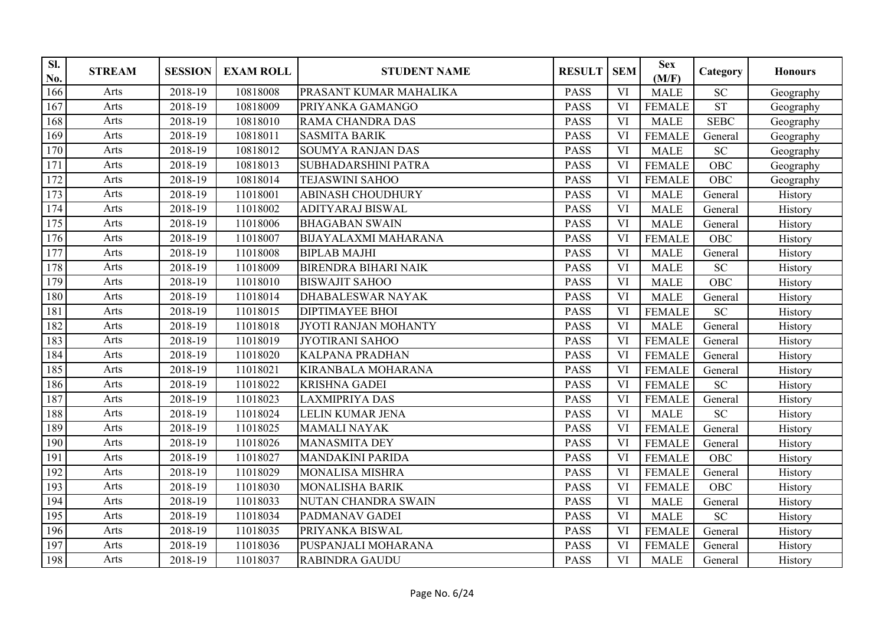| SI.<br>No. | <b>STREAM</b> | <b>SESSION</b> | <b>EXAM ROLL</b> | <b>STUDENT NAME</b>         | <b>RESULT</b> | <b>SEM</b> | <b>Sex</b><br>(M/F) | Category    | <b>Honours</b> |
|------------|---------------|----------------|------------------|-----------------------------|---------------|------------|---------------------|-------------|----------------|
| 166        | Arts          | 2018-19        | 10818008         | PRASANT KUMAR MAHALIKA      | <b>PASS</b>   | VI         | <b>MALE</b>         | <b>SC</b>   | Geography      |
| 167        | Arts          | 2018-19        | 10818009         | PRIYANKA GAMANGO            | <b>PASS</b>   | <b>VI</b>  | <b>FEMALE</b>       | <b>ST</b>   | Geography      |
| 168        | Arts          | 2018-19        | 10818010         | <b>RAMA CHANDRA DAS</b>     | <b>PASS</b>   | VI         | <b>MALE</b>         | <b>SEBC</b> | Geography      |
| 169        | Arts          | 2018-19        | 10818011         | <b>SASMITA BARIK</b>        | <b>PASS</b>   | VI         | <b>FEMALE</b>       | General     | Geography      |
| 170        | Arts          | 2018-19        | 10818012         | <b>SOUMYA RANJAN DAS</b>    | <b>PASS</b>   | VI         | <b>MALE</b>         | <b>SC</b>   | Geography      |
| 171        | Arts          | 2018-19        | 10818013         | <b>SUBHADARSHINI PATRA</b>  | <b>PASS</b>   | <b>VI</b>  | <b>FEMALE</b>       | <b>OBC</b>  | Geography      |
| 172        | Arts          | 2018-19        | 10818014         | <b>TEJASWINI SAHOO</b>      | <b>PASS</b>   | VI         | <b>FEMALE</b>       | OBC         | Geography      |
| 173        | Arts          | 2018-19        | 11018001         | <b>ABINASH CHOUDHURY</b>    | <b>PASS</b>   | VI         | <b>MALE</b>         | General     | History        |
| 174        | Arts          | 2018-19        | 11018002         | <b>ADITYARAJ BISWAL</b>     | <b>PASS</b>   | VI         | <b>MALE</b>         | General     | History        |
| 175        | Arts          | 2018-19        | 11018006         | <b>BHAGABAN SWAIN</b>       | <b>PASS</b>   | VI         | <b>MALE</b>         | General     | History        |
| 176        | Arts          | 2018-19        | 11018007         | <b>BIJAYALAXMI MAHARANA</b> | <b>PASS</b>   | VI         | <b>FEMALE</b>       | <b>OBC</b>  | History        |
| 177        | Arts          | 2018-19        | 11018008         | <b>BIPLAB MAJHI</b>         | <b>PASS</b>   | <b>VI</b>  | <b>MALE</b>         | General     | History        |
| 178        | Arts          | 2018-19        | 11018009         | <b>BIRENDRA BIHARI NAIK</b> | <b>PASS</b>   | VI         | <b>MALE</b>         | <b>SC</b>   | History        |
| 179        | Arts          | 2018-19        | 11018010         | <b>BISWAJIT SAHOO</b>       | <b>PASS</b>   | VI         | <b>MALE</b>         | <b>OBC</b>  | History        |
| 180        | Arts          | 2018-19        | 11018014         | <b>DHABALESWAR NAYAK</b>    | <b>PASS</b>   | VI         | <b>MALE</b>         | General     | History        |
| 181        | Arts          | 2018-19        | 11018015         | <b>DIPTIMAYEE BHOI</b>      | <b>PASS</b>   | <b>VI</b>  | <b>FEMALE</b>       | <b>SC</b>   | History        |
| 182        | Arts          | 2018-19        | 11018018         | JYOTI RANJAN MOHANTY        | PASS          | <b>VI</b>  | <b>MALE</b>         | General     | History        |
| 183        | Arts          | 2018-19        | 11018019         | <b>JYOTIRANI SAHOO</b>      | <b>PASS</b>   | VI         | <b>FEMALE</b>       | General     | History        |
| 184        | Arts          | 2018-19        | 11018020         | <b>KALPANA PRADHAN</b>      | <b>PASS</b>   | VI         | <b>FEMALE</b>       | General     | History        |
| 185        | Arts          | 2018-19        | 11018021         | <b>KIRANBALA MOHARANA</b>   | <b>PASS</b>   | VI         | <b>FEMALE</b>       | General     | History        |
| 186        | Arts          | 2018-19        | 11018022         | <b>KRISHNA GADEI</b>        | <b>PASS</b>   | VI         | <b>FEMALE</b>       | <b>SC</b>   | History        |
| 187        | Arts          | 2018-19        | 11018023         | <b>LAXMIPRIYA DAS</b>       | <b>PASS</b>   | VI         | <b>FEMALE</b>       | General     | History        |
| 188        | Arts          | 2018-19        | 11018024         | <b>LELIN KUMAR JENA</b>     | <b>PASS</b>   | VI         | <b>MALE</b>         | <b>SC</b>   | History        |
| 189        | Arts          | 2018-19        | 11018025         | <b>MAMALI NAYAK</b>         | <b>PASS</b>   | VI         | <b>FEMALE</b>       | General     | History        |
| 190        | Arts          | 2018-19        | 11018026         | <b>MANASMITA DEY</b>        | <b>PASS</b>   | VI         | <b>FEMALE</b>       | General     | History        |
| 191        | Arts          | 2018-19        | 11018027         | <b>MANDAKINI PARIDA</b>     | <b>PASS</b>   | VI         | <b>FEMALE</b>       | <b>OBC</b>  | History        |
| 192        | Arts          | 2018-19        | 11018029         | <b>MONALISA MISHRA</b>      | <b>PASS</b>   | VI         | <b>FEMALE</b>       | General     | History        |
| 193        | Arts          | 2018-19        | 11018030         | <b>MONALISHA BARIK</b>      | <b>PASS</b>   | VI         | <b>FEMALE</b>       | <b>OBC</b>  | History        |
| 194        | Arts          | 2018-19        | 11018033         | <b>NUTAN CHANDRA SWAIN</b>  | <b>PASS</b>   | VI         | <b>MALE</b>         | General     | History        |
| 195        | Arts          | 2018-19        | 11018034         | PADMANAV GADEI              | <b>PASS</b>   | VI         | <b>MALE</b>         | <b>SC</b>   | History        |
| 196        | Arts          | 2018-19        | 11018035         | PRIYANKA BISWAL             | <b>PASS</b>   | VI         | <b>FEMALE</b>       | General     | History        |
| 197        | Arts          | 2018-19        | 11018036         | PUSPANJALI MOHARANA         | <b>PASS</b>   | VI         | <b>FEMALE</b>       | General     | History        |
| 198        | Arts          | 2018-19        | 11018037         | <b>RABINDRA GAUDU</b>       | <b>PASS</b>   | VI         | <b>MALE</b>         | General     | History        |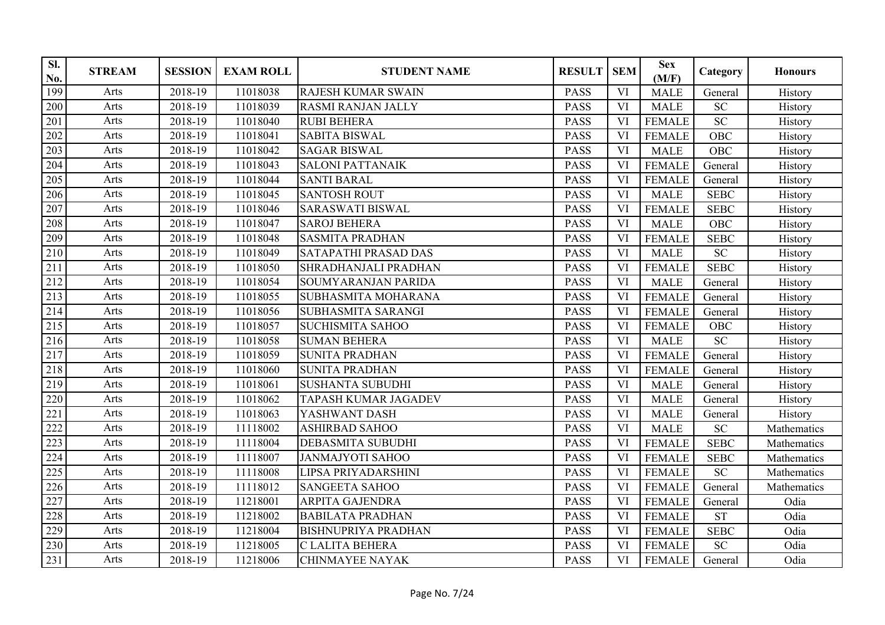| SI.<br>No. | <b>STREAM</b> | <b>SESSION</b> | <b>EXAM ROLL</b> | <b>STUDENT NAME</b>         | <b>RESULT</b> | <b>SEM</b> | <b>Sex</b><br>(M/F) | Category     | <b>Honours</b> |
|------------|---------------|----------------|------------------|-----------------------------|---------------|------------|---------------------|--------------|----------------|
| 199        | Arts          | 2018-19        | 11018038         | <b>RAJESH KUMAR SWAIN</b>   | <b>PASS</b>   | VI         | <b>MALE</b>         | General      | History        |
| 200        | Arts          | 2018-19        | 11018039         | <b>RASMI RANJAN JALLY</b>   | <b>PASS</b>   | <b>VI</b>  | <b>MALE</b>         | SC           | History        |
| 201        | Arts          | 2018-19        | 11018040         | <b>RUBI BEHERA</b>          | <b>PASS</b>   | <b>VI</b>  | <b>FEMALE</b>       | <b>SC</b>    | History        |
| 202        | Arts          | 2018-19        | 11018041         | <b>SABITA BISWAL</b>        | <b>PASS</b>   | VI         | <b>FEMALE</b>       | OBC          | History        |
| 203        | Arts          | 2018-19        | 11018042         | <b>SAGAR BISWAL</b>         | <b>PASS</b>   | VI         | <b>MALE</b>         | <b>OBC</b>   | History        |
| 204        | Arts          | 2018-19        | 11018043         | <b>SALONI PATTANAIK</b>     | <b>PASS</b>   | <b>VI</b>  | <b>FEMALE</b>       | General      | History        |
| 205        | Arts          | 2018-19        | 11018044         | <b>SANTI BARAL</b>          | <b>PASS</b>   | VI         | <b>FEMALE</b>       | General      | History        |
| 206        | Arts          | 2018-19        | 11018045         | <b>SANTOSH ROUT</b>         | <b>PASS</b>   | VI         | <b>MALE</b>         | <b>SEBC</b>  | History        |
| 207        | Arts          | 2018-19        | 11018046         | <b>SARASWATI BISWAL</b>     | PASS          | VI         | <b>FEMALE</b>       | <b>SEBC</b>  | History        |
| 208        | Arts          | 2018-19        | 11018047         | <b>SAROJ BEHERA</b>         | <b>PASS</b>   | VI         | <b>MALE</b>         | <b>OBC</b>   | History        |
| 209        | Arts          | 2018-19        | 11018048         | <b>SASMITA PRADHAN</b>      | <b>PASS</b>   | <b>VI</b>  | <b>FEMALE</b>       | <b>SEBC</b>  | History        |
| 210        | Arts          | 2018-19        | 11018049         | SATAPATHI PRASAD DAS        | <b>PASS</b>   | <b>VI</b>  | <b>MALE</b>         | <b>SC</b>    | History        |
| 211        | Arts          | 2018-19        | 11018050         | SHRADHANJALI PRADHAN        | <b>PASS</b>   | VI         | <b>FEMALE</b>       | <b>SEBC</b>  | History        |
| 212        | Arts          | 2018-19        | 11018054         | SOUMYARANJAN PARIDA         | <b>PASS</b>   | VI         | <b>MALE</b>         | General      | History        |
| 213        | Arts          | 2018-19        | 11018055         | SUBHASMITA MOHARANA         | <b>PASS</b>   | VI         | <b>FEMALE</b>       | General      | History        |
| 214        | Arts          | 2018-19        | 11018056         | <b>SUBHASMITA SARANGI</b>   | <b>PASS</b>   | <b>VI</b>  | <b>FEMALE</b>       | General      | History        |
| 215        | Arts          | 2018-19        | 11018057         | <b>SUCHISMITA SAHOO</b>     | PASS          | VI         | <b>FEMALE</b>       | OBC          | History        |
| 216        | Arts          | 2018-19        | 11018058         | <b>SUMAN BEHERA</b>         | <b>PASS</b>   | VI         | <b>MALE</b>         | <b>SC</b>    | History        |
| 217        | Arts          | 2018-19        | 11018059         | <b>SUNITA PRADHAN</b>       | <b>PASS</b>   | VI         | <b>FEMALE</b>       | General      | History        |
| 218        | Arts          | 2018-19        | 11018060         | <b>SUNITA PRADHAN</b>       | <b>PASS</b>   | VI         | <b>FEMALE</b>       | General      | History        |
| 219        | Arts          | 2018-19        | 11018061         | <b>SUSHANTA SUBUDHI</b>     | <b>PASS</b>   | VI         | <b>MALE</b>         | General      | History        |
| 220        | Arts          | 2018-19        | 11018062         | <b>TAPASH KUMAR JAGADEV</b> | <b>PASS</b>   | <b>VI</b>  | <b>MALE</b>         | General      | History        |
| 221        | Arts          | 2018-19        | 11018063         | YASHWANT DASH               | <b>PASS</b>   | VI         | <b>MALE</b>         | General      | History        |
| 222        | Arts          | 2018-19        | 11118002         | <b>ASHIRBAD SAHOO</b>       | <b>PASS</b>   | VI         | <b>MALE</b>         | <b>SC</b>    | Mathematics    |
| 223        | Arts          | 2018-19        | 11118004         | <b>DEBASMITA SUBUDHI</b>    | <b>PASS</b>   | VI         | <b>FEMALE</b>       | ${\tt SEBC}$ | Mathematics    |
| 224        | Arts          | 2018-19        | 11118007         | <b>JANMAJYOTI SAHOO</b>     | <b>PASS</b>   | VI         | <b>FEMALE</b>       | <b>SEBC</b>  | Mathematics    |
| 225        | Arts          | 2018-19        | 11118008         | LIPSA PRIYADARSHINI         | <b>PASS</b>   | VI         | <b>FEMALE</b>       | <b>SC</b>    | Mathematics    |
| 226        | Arts          | 2018-19        | 11118012         | <b>SANGEETA SAHOO</b>       | <b>PASS</b>   | VI         | <b>FEMALE</b>       | General      | Mathematics    |
| 227        | Arts          | 2018-19        | 11218001         | <b>ARPITA GAJENDRA</b>      | <b>PASS</b>   | VI         | <b>FEMALE</b>       | General      | Odia           |
| 228        | Arts          | 2018-19        | 11218002         | <b>BABILATA PRADHAN</b>     | <b>PASS</b>   | VI         | <b>FEMALE</b>       | <b>ST</b>    | Odia           |
| 229        | Arts          | 2018-19        | 11218004         | <b>BISHNUPRIYA PRADHAN</b>  | <b>PASS</b>   | VI         | <b>FEMALE</b>       | <b>SEBC</b>  | Odia           |
| 230        | Arts          | 2018-19        | 11218005         | C LALITA BEHERA             | PASS          | VI         | <b>FEMALE</b>       | <b>SC</b>    | Odia           |
| 231        | Arts          | 2018-19        | 11218006         | <b>CHINMAYEE NAYAK</b>      | <b>PASS</b>   | VI         | <b>FEMALE</b>       | General      | Odia           |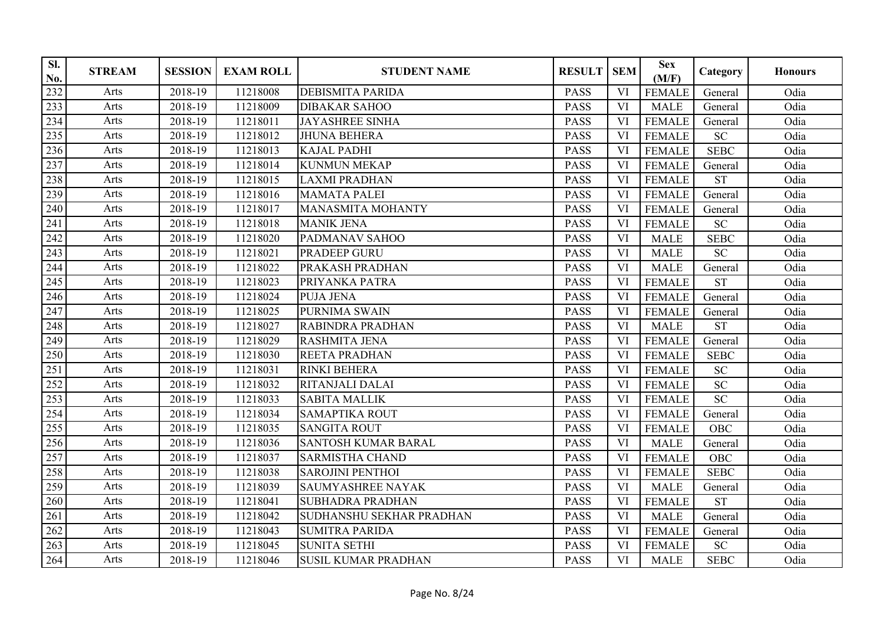| Sl.<br>No. | <b>STREAM</b> | <b>SESSION</b> | <b>EXAM ROLL</b> | <b>STUDENT NAME</b>        | <b>RESULT</b> | <b>SEM</b> | <b>Sex</b><br>(M/F) | Category        | <b>Honours</b> |
|------------|---------------|----------------|------------------|----------------------------|---------------|------------|---------------------|-----------------|----------------|
| 232        | Arts          | 2018-19        | 11218008         | <b>DEBISMITA PARIDA</b>    | <b>PASS</b>   | VI         | <b>FEMALE</b>       | General         | Odia           |
| 233        | Arts          | 2018-19        | 11218009         | <b>DIBAKAR SAHOO</b>       | <b>PASS</b>   | VI         | <b>MALE</b>         | General         | Odia           |
| 234        | Arts          | 2018-19        | 11218011         | <b>JAYASHREE SINHA</b>     | <b>PASS</b>   | <b>VI</b>  | <b>FEMALE</b>       | General         | Odia           |
| 235        | Arts          | 2018-19        | 11218012         | <b>JHUNA BEHERA</b>        | <b>PASS</b>   | VI         | <b>FEMALE</b>       | SC              | Odia           |
| 236        | Arts          | 2018-19        | 11218013         | <b>KAJAL PADHI</b>         | <b>PASS</b>   | VI         | <b>FEMALE</b>       | <b>SEBC</b>     | Odia           |
| 237        | Arts          | 2018-19        | 11218014         | <b>KUNMUN MEKAP</b>        | <b>PASS</b>   | <b>VI</b>  | <b>FEMALE</b>       | General         | Odia           |
| 238        | Arts          | 2018-19        | 11218015         | <b>LAXMI PRADHAN</b>       | <b>PASS</b>   | VI         | <b>FEMALE</b>       | <b>ST</b>       | Odia           |
| 239        | Arts          | 2018-19        | 11218016         | <b>MAMATA PALEI</b>        | <b>PASS</b>   | VI         | <b>FEMALE</b>       | General         | Odia           |
| 240        | Arts          | 2018-19        | 11218017         | MANASMITA MOHANTY          | <b>PASS</b>   | VI         | <b>FEMALE</b>       | General         | Odia           |
| 241        | Arts          | 2018-19        | 11218018         | <b>MANIK JENA</b>          | <b>PASS</b>   | VI         | <b>FEMALE</b>       | <b>SC</b>       | Odia           |
| 242        | Arts          | 2018-19        | 11218020         | PADMANAV SAHOO             | <b>PASS</b>   | VI         | <b>MALE</b>         | <b>SEBC</b>     | Odia           |
| 243        | Arts          | 2018-19        | 11218021         | PRADEEP GURU               | <b>PASS</b>   | <b>VI</b>  | <b>MALE</b>         | SC              | Odia           |
| 244        | Arts          | 2018-19        | 11218022         | PRAKASH PRADHAN            | <b>PASS</b>   | <b>VI</b>  | <b>MALE</b>         | General         | Odia           |
| 245        | Arts          | 2018-19        | 11218023         | PRIYANKA PATRA             | <b>PASS</b>   | VI         | <b>FEMALE</b>       | <b>ST</b>       | Odia           |
| 246        | Arts          | 2018-19        | 11218024         | <b>PUJA JENA</b>           | <b>PASS</b>   | VI         | <b>FEMALE</b>       | General         | Odia           |
| 247        | Arts          | 2018-19        | 11218025         | PURNIMA SWAIN              | <b>PASS</b>   | <b>VI</b>  | <b>FEMALE</b>       | General         | Odia           |
| 248        | Arts          | 2018-19        | 11218027         | RABINDRA PRADHAN           | <b>PASS</b>   | <b>VI</b>  | <b>MALE</b>         | <b>ST</b>       | Odia           |
| 249        | Arts          | 2018-19        | 11218029         | RASHMITA JENA              | <b>PASS</b>   | <b>VI</b>  | <b>FEMALE</b>       | General         | Odia           |
| 250        | Arts          | 2018-19        | 11218030         | <b>REETA PRADHAN</b>       | <b>PASS</b>   | VI         | <b>FEMALE</b>       | <b>SEBC</b>     | Odia           |
| 251        | Arts          | 2018-19        | 11218031         | RINKI BEHERA               | <b>PASS</b>   | VI         | <b>FEMALE</b>       | SC              | Odia           |
| 252        | Arts          | 2018-19        | 11218032         | RITANJALI DALAI            | <b>PASS</b>   | VI         | <b>FEMALE</b>       | <b>SC</b>       | Odia           |
| 253        | Arts          | 2018-19        | 11218033         | <b>SABITA MALLIK</b>       | <b>PASS</b>   | <b>VI</b>  | <b>FEMALE</b>       | $\overline{SC}$ | Odia           |
| 254        | Arts          | 2018-19        | 11218034         | <b>SAMAPTIKA ROUT</b>      | <b>PASS</b>   | VI         | <b>FEMALE</b>       | General         | Odia           |
| 255        | Arts          | 2018-19        | 11218035         | <b>SANGITA ROUT</b>        | <b>PASS</b>   | VI         | <b>FEMALE</b>       | <b>OBC</b>      | Odia           |
| 256        | Arts          | 2018-19        | 11218036         | <b>SANTOSH KUMAR BARAL</b> | <b>PASS</b>   | <b>VI</b>  | <b>MALE</b>         | General         | Odia           |
| 257        | Arts          | 2018-19        | 11218037         | <b>SARMISTHA CHAND</b>     | <b>PASS</b>   | <b>VI</b>  | <b>FEMALE</b>       | <b>OBC</b>      | Odia           |
| 258        | Arts          | 2018-19        | 11218038         | <b>SAROJINI PENTHOI</b>    | <b>PASS</b>   | VI         | <b>FEMALE</b>       | <b>SEBC</b>     | Odia           |
| 259        | Arts          | 2018-19        | 11218039         | <b>SAUMYASHREE NAYAK</b>   | <b>PASS</b>   | VI         | <b>MALE</b>         | General         | Odia           |
| 260        | Arts          | 2018-19        | 11218041         | <b>SUBHADRA PRADHAN</b>    | <b>PASS</b>   | VI         | <b>FEMALE</b>       | <b>ST</b>       | Odia           |
| 261        | Arts          | 2018-19        | 11218042         | SUDHANSHU SEKHAR PRADHAN   | <b>PASS</b>   | VI         | <b>MALE</b>         | General         | Odia           |
| 262        | Arts          | 2018-19        | 11218043         | <b>SUMITRA PARIDA</b>      | <b>PASS</b>   | VI         | <b>FEMALE</b>       | General         | Odia           |
| 263        | Arts          | 2018-19        | 11218045         | <b>SUNITA SETHI</b>        | <b>PASS</b>   | VI         | <b>FEMALE</b>       | SC              | Odia           |
| 264        | Arts          | 2018-19        | 11218046         | <b>SUSIL KUMAR PRADHAN</b> | <b>PASS</b>   | VI         | <b>MALE</b>         | <b>SEBC</b>     | Odia           |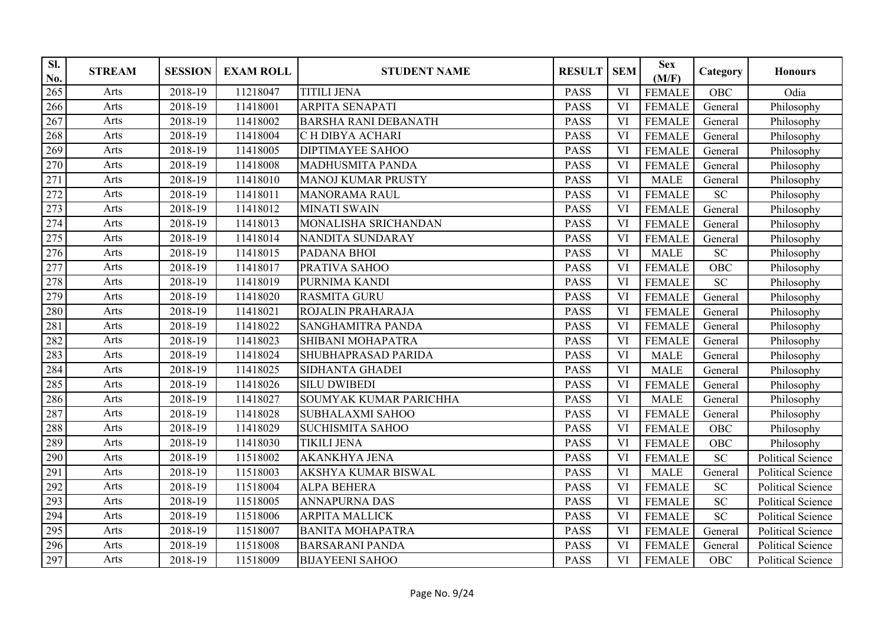| SI.<br>No. | <b>STREAM</b> | <b>SESSION</b>       | <b>EXAM ROLL</b> | <b>STUDENT NAME</b>         | <b>RESULT</b> | <b>SEM</b> | <b>Sex</b><br>(M/F) | Category   | <b>Honours</b>           |
|------------|---------------|----------------------|------------------|-----------------------------|---------------|------------|---------------------|------------|--------------------------|
| 265        | Arts          | 2018-19              | 11218047         | <b>TITILI JENA</b>          | <b>PASS</b>   | VI         | <b>FEMALE</b>       | <b>OBC</b> | Odia                     |
| 266        | Arts          | 2018-19              | 11418001         | <b>ARPITA SENAPATI</b>      | <b>PASS</b>   | <b>VI</b>  | <b>FEMALE</b>       | General    | Philosophy               |
| 267        | Arts          | 2018-19              | 11418002         | <b>BARSHA RANI DEBANATH</b> | <b>PASS</b>   | VI         | <b>FEMALE</b>       | General    | Philosophy               |
| 268        | Arts          | 2018-19              | 11418004         | C H DIBYA ACHARI            | <b>PASS</b>   | VI         | <b>FEMALE</b>       | General    | Philosophy               |
| 269        | Arts          | 2018-19              | 11418005         | <b>DIPTIMAYEE SAHOO</b>     | <b>PASS</b>   | VI         | <b>FEMALE</b>       | General    | Philosophy               |
| 270        | Arts          | 2018-19              | 11418008         | <b>MADHUSMITA PANDA</b>     | <b>PASS</b>   | VI         | <b>FEMALE</b>       | General    | Philosophy               |
| 271        | Arts          | 2018-19              | 11418010         | <b>MANOJ KUMAR PRUSTY</b>   | <b>PASS</b>   | <b>VI</b>  | <b>MALE</b>         | General    | Philosophy               |
| 272        | Arts          | 2018-19              | 11418011         | <b>MANORAMA RAUL</b>        | <b>PASS</b>   | VI         | <b>FEMALE</b>       | <b>SC</b>  | Philosophy               |
| 273        | Arts          | $\overline{2}018-19$ | 11418012         | <b>MINATI SWAIN</b>         | <b>PASS</b>   | VI         | <b>FEMALE</b>       | General    | Philosophy               |
| 274        | Arts          | 2018-19              | 11418013         | MONALISHA SRICHANDAN        | <b>PASS</b>   | VI         | <b>FEMALE</b>       | General    | Philosophy               |
| 275        | Arts          | 2018-19              | 11418014         | NANDITA SUNDARAY            | <b>PASS</b>   | VI         | <b>FEMALE</b>       | General    | Philosophy               |
| 276        | Arts          | 2018-19              | 11418015         | PADANA BHOI                 | <b>PASS</b>   | VI         | <b>MALE</b>         | <b>SC</b>  | Philosophy               |
| 277        | Arts          | 2018-19              | 11418017         | PRATIVA SAHOO               | <b>PASS</b>   | VI         | <b>FEMALE</b>       | OBC        | Philosophy               |
| 278        | Arts          | 2018-19              | 11418019         | PURNIMA KANDI               | <b>PASS</b>   | <b>VI</b>  | <b>FEMALE</b>       | SC         | Philosophy               |
| 279        | Arts          | 2018-19              | 11418020         | <b>RASMITA GURU</b>         | <b>PASS</b>   | VI         | <b>FEMALE</b>       | General    | Philosophy               |
| 280        | Arts          | 2018-19              | 11418021         | ROJALIN PRAHARAJA           | <b>PASS</b>   | VI         | <b>FEMALE</b>       | General    | Philosophy               |
| 281        | Arts          | 2018-19              | 11418022         | SANGHAMITRA PANDA           | <b>PASS</b>   | VI         | <b>FEMALE</b>       | General    | Philosophy               |
| 282        | Arts          | 2018-19              | 11418023         | SHIBANI MOHAPATRA           | <b>PASS</b>   | VI         | <b>FEMALE</b>       | General    | Philosophy               |
| 283        | Arts          | 2018-19              | 11418024         | SHUBHAPRASAD PARIDA         | <b>PASS</b>   | VI         | <b>MALE</b>         | General    | Philosophy               |
| 284        | Arts          | 2018-19              | 11418025         | <b>SIDHANTA GHADEI</b>      | <b>PASS</b>   | VI         | <b>MALE</b>         | General    | Philosophy               |
| 285        | Arts          | 2018-19              | 11418026         | <b>SILU DWIBEDI</b>         | <b>PASS</b>   | VI         | <b>FEMALE</b>       | General    | Philosophy               |
| 286        | Arts          | 2018-19              | 11418027         | SOUMYAK KUMAR PARICHHA      | <b>PASS</b>   | <b>VI</b>  | <b>MALE</b>         | General    | Philosophy               |
| 287        | Arts          | 2018-19              | 11418028         | <b>SUBHALAXMI SAHOO</b>     | <b>PASS</b>   | VI         | <b>FEMALE</b>       | General    | Philosophy               |
| 288        | Arts          | 2018-19              | 11418029         | <b>SUCHISMITA SAHOO</b>     | <b>PASS</b>   | VI         | <b>FEMALE</b>       | OBC        | Philosophy               |
| 289        | Arts          | 2018-19              | 11418030         | <b>TIKILI JENA</b>          | <b>PASS</b>   | VI         | <b>FEMALE</b>       | OBC        | Philosophy               |
| 290        | Arts          | 2018-19              | 11518002         | <b>AKANKHYA JENA</b>        | <b>PASS</b>   | VI         | <b>FEMALE</b>       | <b>SC</b>  | <b>Political Science</b> |
| 291        | Arts          | 2018-19              | 11518003         | AKSHYA KUMAR BISWAL         | <b>PASS</b>   | <b>VI</b>  | <b>MALE</b>         | General    | Political Science        |
| 292        | Arts          | 2018-19              | 11518004         | <b>ALPA BEHERA</b>          | <b>PASS</b>   | VI         | <b>FEMALE</b>       | <b>SC</b>  | <b>Political Science</b> |
| 293        | Arts          | 2018-19              | 11518005         | <b>ANNAPURNA DAS</b>        | <b>PASS</b>   | VI         | <b>FEMALE</b>       | <b>SC</b>  | <b>Political Science</b> |
| 294        | Arts          | 2018-19              | 11518006         | <b>ARPITA MALLICK</b>       | <b>PASS</b>   | VI         | <b>FEMALE</b>       | <b>SC</b>  | <b>Political Science</b> |
| 295        | Arts          | 2018-19              | 11518007         | <b>BANITA MOHAPATRA</b>     | <b>PASS</b>   | VI         | <b>FEMALE</b>       | General    | <b>Political Science</b> |
| 296        | Arts          | 2018-19              | 11518008         | <b>BARSARANI PANDA</b>      | <b>PASS</b>   | VI         | <b>FEMALE</b>       | General    | Political Science        |
| 297        | Arts          | 2018-19              | 11518009         | <b>BIJAYEENI SAHOO</b>      | <b>PASS</b>   | VI         | <b>FEMALE</b>       | OBC        | Political Science        |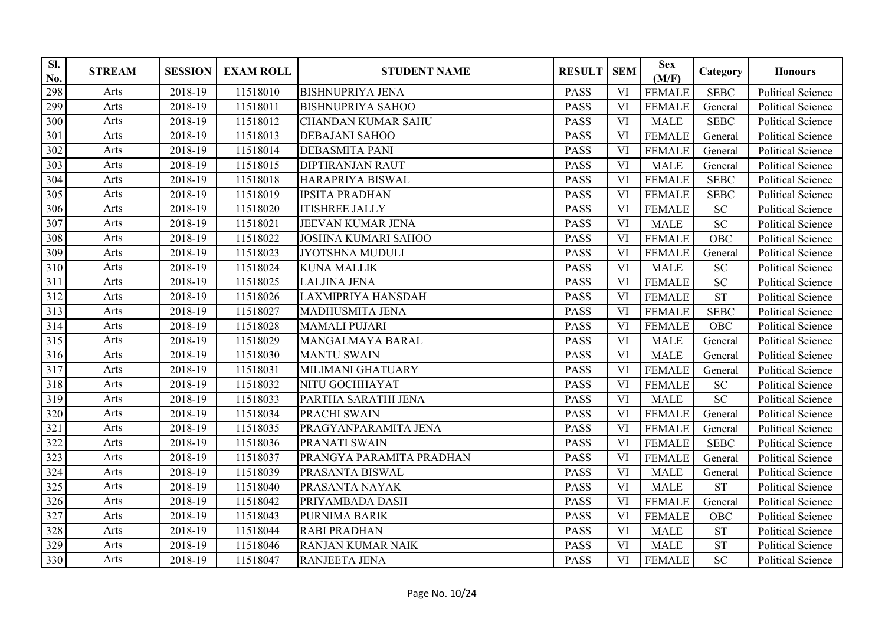| SI.<br>No. | <b>STREAM</b> | <b>SESSION</b> | <b>EXAM ROLL</b> | <b>STUDENT NAME</b>        | <b>RESULT</b> | <b>SEM</b> | <b>Sex</b><br>(M/F) | Category    | <b>Honours</b>           |
|------------|---------------|----------------|------------------|----------------------------|---------------|------------|---------------------|-------------|--------------------------|
| 298        | Arts          | 2018-19        | 11518010         | <b>BISHNUPRIYA JENA</b>    | <b>PASS</b>   | VI         | <b>FEMALE</b>       | <b>SEBC</b> | <b>Political Science</b> |
| 299        | Arts          | 2018-19        | 11518011         | <b>BISHNUPRIYA SAHOO</b>   | <b>PASS</b>   | <b>VI</b>  | <b>FEMALE</b>       | General     | <b>Political Science</b> |
| 300        | Arts          | 2018-19        | 11518012         | <b>CHANDAN KUMAR SAHU</b>  | <b>PASS</b>   | VI         | <b>MALE</b>         | <b>SEBC</b> | Political Science        |
| 301        | Arts          | 2018-19        | 11518013         | <b>DEBAJANI SAHOO</b>      | <b>PASS</b>   | VI         | <b>FEMALE</b>       | General     | <b>Political Science</b> |
| 302        | Arts          | 2018-19        | 11518014         | <b>DEBASMITA PANI</b>      | <b>PASS</b>   | VI         | <b>FEMALE</b>       | General     | <b>Political Science</b> |
| 303        | Arts          | 2018-19        | 11518015         | <b>DIPTIRANJAN RAUT</b>    | <b>PASS</b>   | <b>VI</b>  | <b>MALE</b>         | General     | <b>Political Science</b> |
| 304        | Arts          | 2018-19        | 11518018         | HARAPRIYA BISWAL           | <b>PASS</b>   | VI         | <b>FEMALE</b>       | <b>SEBC</b> | <b>Political Science</b> |
| 305        | Arts          | 2018-19        | 11518019         | <b>IPSITA PRADHAN</b>      | <b>PASS</b>   | VI         | <b>FEMALE</b>       | <b>SEBC</b> | Political Science        |
| 306        | Arts          | 2018-19        | 11518020         | <b>ITISHREE JALLY</b>      | <b>PASS</b>   | <b>VI</b>  | <b>FEMALE</b>       | <b>SC</b>   | Political Science        |
| 307        | Arts          | 2018-19        | 11518021         | JEEVAN KUMAR JENA          | <b>PASS</b>   | VI         | <b>MALE</b>         | <b>SC</b>   | <b>Political Science</b> |
| 308        | Arts          | 2018-19        | 11518022         | <b>JOSHNA KUMARI SAHOO</b> | <b>PASS</b>   | VI         | <b>FEMALE</b>       | OBC         | <b>Political Science</b> |
| 309        | Arts          | 2018-19        | 11518023         | <b>JYOTSHNA MUDULI</b>     | <b>PASS</b>   | VI         | <b>FEMALE</b>       | General     | <b>Political Science</b> |
| 310        | Arts          | 2018-19        | 11518024         | <b>KUNA MALLIK</b>         | <b>PASS</b>   | VI         | <b>MALE</b>         | <b>SC</b>   | <b>Political Science</b> |
| 311        | Arts          | 2018-19        | 11518025         | <b>LALJINA JENA</b>        | <b>PASS</b>   | VI         | <b>FEMALE</b>       | <b>SC</b>   | <b>Political Science</b> |
| 312        | Arts          | 2018-19        | 11518026         | <b>LAXMIPRIYA HANSDAH</b>  | <b>PASS</b>   | VI         | <b>FEMALE</b>       | <b>ST</b>   | Political Science        |
| 313        | Arts          | 2018-19        | 11518027         | MADHUSMITA JENA            | <b>PASS</b>   | VI         | <b>FEMALE</b>       | <b>SEBC</b> | <b>Political Science</b> |
| 314        | Arts          | 2018-19        | 11518028         | <b>MAMALI PUJARI</b>       | <b>PASS</b>   | VI         | <b>FEMALE</b>       | OBC         | <b>Political Science</b> |
| 315        | Arts          | 2018-19        | 11518029         | MANGALMAYA BARAL           | <b>PASS</b>   | VI         | <b>MALE</b>         | General     | <b>Political Science</b> |
| 316        | Arts          | 2018-19        | 11518030         | <b>MANTU SWAIN</b>         | <b>PASS</b>   | <b>VI</b>  | <b>MALE</b>         | General     | <b>Political Science</b> |
| 317        | Arts          | 2018-19        | 11518031         | MILIMANI GHATUARY          | <b>PASS</b>   | VI         | <b>FEMALE</b>       | General     | Political Science        |
| 318        | Arts          | 2018-19        | 11518032         | NITU GOCHHAYAT             | <b>PASS</b>   | VI         | <b>FEMALE</b>       | SC          | <b>Political Science</b> |
| 319        | Arts          | 2018-19        | 11518033         | PARTHA SARATHI JENA        | <b>PASS</b>   | VI         | <b>MALE</b>         | <b>SC</b>   | <b>Political Science</b> |
| 320        | Arts          | 2018-19        | 11518034         | PRACHI SWAIN               | <b>PASS</b>   | VI         | <b>FEMALE</b>       | General     | <b>Political Science</b> |
| 321        | Arts          | 2018-19        | 11518035         | PRAGYANPARAMITA JENA       | <b>PASS</b>   | VI         | <b>FEMALE</b>       | General     | <b>Political Science</b> |
| 322        | Arts          | 2018-19        | 11518036         | PRANATI SWAIN              | <b>PASS</b>   | VI         | <b>FEMALE</b>       | <b>SEBC</b> | <b>Political Science</b> |
| 323        | Arts          | 2018-19        | 11518037         | PRANGYA PARAMITA PRADHAN   | <b>PASS</b>   | VI         | <b>FEMALE</b>       | General     | <b>Political Science</b> |
| 324        | Arts          | 2018-19        | 11518039         | PRASANTA BISWAL            | <b>PASS</b>   | VI         | <b>MALE</b>         | General     | <b>Political Science</b> |
| 325        | Arts          | 2018-19        | 11518040         | PRASANTA NAYAK             | <b>PASS</b>   | VI         | <b>MALE</b>         | <b>ST</b>   | <b>Political Science</b> |
| 326        | Arts          | 2018-19        | 11518042         | PRIYAMBADA DASH            | <b>PASS</b>   | VI         | <b>FEMALE</b>       | General     | <b>Political Science</b> |
| 327        | Arts          | 2018-19        | 11518043         | PURNIMA BARIK              | <b>PASS</b>   | VI         | <b>FEMALE</b>       | OBC         | <b>Political Science</b> |
| 328        | Arts          | 2018-19        | 11518044         | <b>RABI PRADHAN</b>        | <b>PASS</b>   | <b>VI</b>  | <b>MALE</b>         | <b>ST</b>   | <b>Political Science</b> |
| 329        | Arts          | 2018-19        | 11518046         | RANJAN KUMAR NAIK          | <b>PASS</b>   | VI         | <b>MALE</b>         | <b>ST</b>   | <b>Political Science</b> |
| 330        | Arts          | 2018-19        | 11518047         | RANJEETA JENA              | <b>PASS</b>   | VI         | <b>FEMALE</b>       | <b>SC</b>   | Political Science        |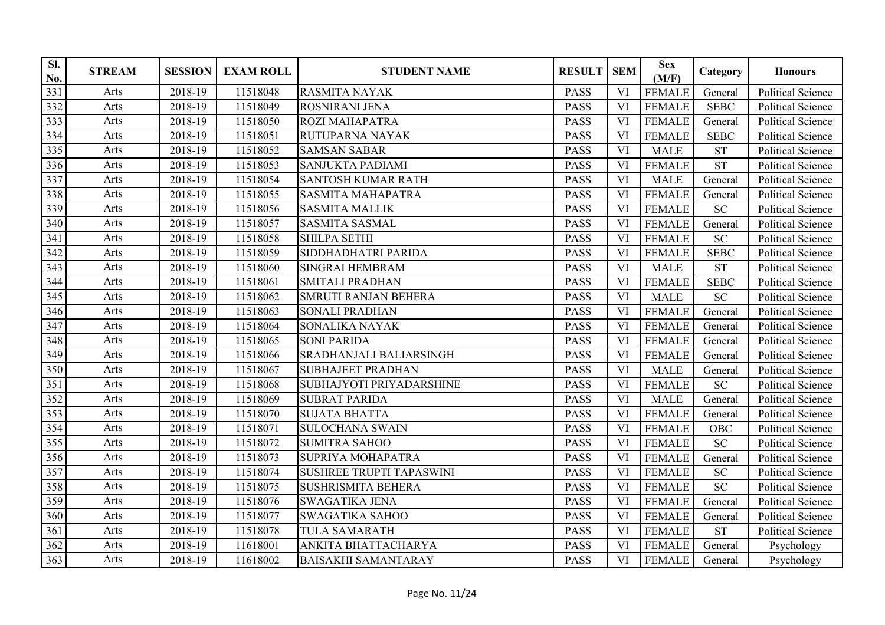| SI.<br>No. | <b>STREAM</b> | <b>SESSION</b> | <b>EXAM ROLL</b> | <b>STUDENT NAME</b>             | <b>RESULT</b> | <b>SEM</b> | <b>Sex</b><br>(M/F) | Category    | <b>Honours</b>           |
|------------|---------------|----------------|------------------|---------------------------------|---------------|------------|---------------------|-------------|--------------------------|
| 331        | Arts          | 2018-19        | 11518048         | <b>RASMITA NAYAK</b>            | <b>PASS</b>   | VI         | <b>FEMALE</b>       | General     | <b>Political Science</b> |
| 332        | Arts          | 2018-19        | 11518049         | <b>ROSNIRANI JENA</b>           | <b>PASS</b>   | VI         | <b>FEMALE</b>       | <b>SEBC</b> | <b>Political Science</b> |
| 333        | Arts          | 2018-19        | 11518050         | ROZI MAHAPATRA                  | <b>PASS</b>   | VI         | <b>FEMALE</b>       | General     | Political Science        |
| 334        | Arts          | 2018-19        | 11518051         | RUTUPARNA NAYAK                 | <b>PASS</b>   | VI         | <b>FEMALE</b>       | <b>SEBC</b> | <b>Political Science</b> |
| 335        | Arts          | 2018-19        | 11518052         | <b>SAMSAN SABAR</b>             | <b>PASS</b>   | VI         | <b>MALE</b>         | <b>ST</b>   | <b>Political Science</b> |
| 336        | Arts          | 2018-19        | 11518053         | <b>SANJUKTA PADIAMI</b>         | <b>PASS</b>   | VI         | <b>FEMALE</b>       | <b>ST</b>   | <b>Political Science</b> |
| 337        | Arts          | 2018-19        | 11518054         | <b>SANTOSH KUMAR RATH</b>       | <b>PASS</b>   | <b>VI</b>  | <b>MALE</b>         | General     | <b>Political Science</b> |
| 338        | Arts          | 2018-19        | 11518055         | <b>SASMITA MAHAPATRA</b>        | <b>PASS</b>   | VI         | <b>FEMALE</b>       | General     | <b>Political Science</b> |
| 339        | Arts          | 2018-19        | 11518056         | <b>SASMITA MALLIK</b>           | <b>PASS</b>   | <b>VI</b>  | <b>FEMALE</b>       | SC          | Political Science        |
| 340        | Arts          | 2018-19        | 11518057         | <b>SASMITA SASMAL</b>           | <b>PASS</b>   | VI         | <b>FEMALE</b>       | General     | <b>Political Science</b> |
| 341        | Arts          | 2018-19        | 11518058         | SHILPA SETHI                    | <b>PASS</b>   | VI         | <b>FEMALE</b>       | SC          | <b>Political Science</b> |
| 342        | Arts          | 2018-19        | 11518059         | SIDDHADHATRI PARIDA             | <b>PASS</b>   | VI         | <b>FEMALE</b>       | <b>SEBC</b> | <b>Political Science</b> |
| 343        | Arts          | 2018-19        | 11518060         | <b>SINGRAI HEMBRAM</b>          | <b>PASS</b>   | VI         | <b>MALE</b>         | <b>ST</b>   | <b>Political Science</b> |
| 344        | Arts          | 2018-19        | 11518061         | <b>SMITALI PRADHAN</b>          | <b>PASS</b>   | VI         | <b>FEMALE</b>       | <b>SEBC</b> | <b>Political Science</b> |
| 345        | Arts          | 2018-19        | 11518062         | <b>SMRUTI RANJAN BEHERA</b>     | <b>PASS</b>   | VI         | <b>MALE</b>         | SC          | Political Science        |
| 346        | Arts          | 2018-19        | 11518063         | <b>SONALI PRADHAN</b>           | <b>PASS</b>   | <b>VI</b>  | <b>FEMALE</b>       | General     | <b>Political Science</b> |
| 347        | Arts          | 2018-19        | 11518064         | SONALIKA NAYAK                  | <b>PASS</b>   | VI         | <b>FEMALE</b>       | General     | <b>Political Science</b> |
| 348        | Arts          | 2018-19        | 11518065         | <b>SONI PARIDA</b>              | <b>PASS</b>   | VI         | <b>FEMALE</b>       | General     | <b>Political Science</b> |
| 349        | Arts          | 2018-19        | 11518066         | SRADHANJALI BALIARSINGH         | <b>PASS</b>   | VI         | <b>FEMALE</b>       | General     | <b>Political Science</b> |
| 350        | Arts          | 2018-19        | 11518067         | <b>SUBHAJEET PRADHAN</b>        | <b>PASS</b>   | <b>VI</b>  | <b>MALE</b>         | General     | Political Science        |
| 351        | Arts          | 2018-19        | 11518068         | SUBHAJYOTI PRIYADARSHINE        | <b>PASS</b>   | VI         | <b>FEMALE</b>       | SC          | Political Science        |
| 352        | Arts          | 2018-19        | 11518069         | <b>SUBRAT PARIDA</b>            | <b>PASS</b>   | VI         | <b>MALE</b>         | General     | <b>Political Science</b> |
| 353        | Arts          | 2018-19        | 11518070         | <b>SUJATA BHATTA</b>            | <b>PASS</b>   | VI         | <b>FEMALE</b>       | General     | <b>Political Science</b> |
| 354        | Arts          | 2018-19        | 11518071         | <b>SULOCHANA SWAIN</b>          | <b>PASS</b>   | VI         | <b>FEMALE</b>       | OBC         | Political Science        |
| 355        | Arts          | 2018-19        | 11518072         | <b>SUMITRA SAHOO</b>            | <b>PASS</b>   | VI         | <b>FEMALE</b>       | <b>SC</b>   | <b>Political Science</b> |
| 356        | Arts          | 2018-19        | 11518073         | SUPRIYA MOHAPATRA               | <b>PASS</b>   | VI         | <b>FEMALE</b>       | General     | <b>Political Science</b> |
| 357        | Arts          | 2018-19        | 11518074         | <b>SUSHREE TRUPTI TAPASWINI</b> | <b>PASS</b>   | VI         | <b>FEMALE</b>       | SC          | <b>Political Science</b> |
| 358        | Arts          | 2018-19        | 11518075         | <b>SUSHRISMITA BEHERA</b>       | <b>PASS</b>   | VI         | <b>FEMALE</b>       | SC          | <b>Political Science</b> |
| 359        | Arts          | 2018-19        | 11518076         | <b>SWAGATIKA JENA</b>           | <b>PASS</b>   | VI         | <b>FEMALE</b>       | General     | <b>Political Science</b> |
| 360        | Arts          | 2018-19        | 11518077         | <b>SWAGATIKA SAHOO</b>          | <b>PASS</b>   | VI         | <b>FEMALE</b>       | General     | <b>Political Science</b> |
| 361        | Arts          | 2018-19        | 11518078         | <b>TULA SAMARATH</b>            | <b>PASS</b>   | VI         | <b>FEMALE</b>       | <b>ST</b>   | <b>Political Science</b> |
| 362        | Arts          | 2018-19        | 11618001         | ANKITA BHATTACHARYA             | <b>PASS</b>   | VI         | <b>FEMALE</b>       | General     | Psychology               |
| 363        | Arts          | 2018-19        | 11618002         | <b>BAISAKHI SAMANTARAY</b>      | <b>PASS</b>   | VI         | <b>FEMALE</b>       | General     | Psychology               |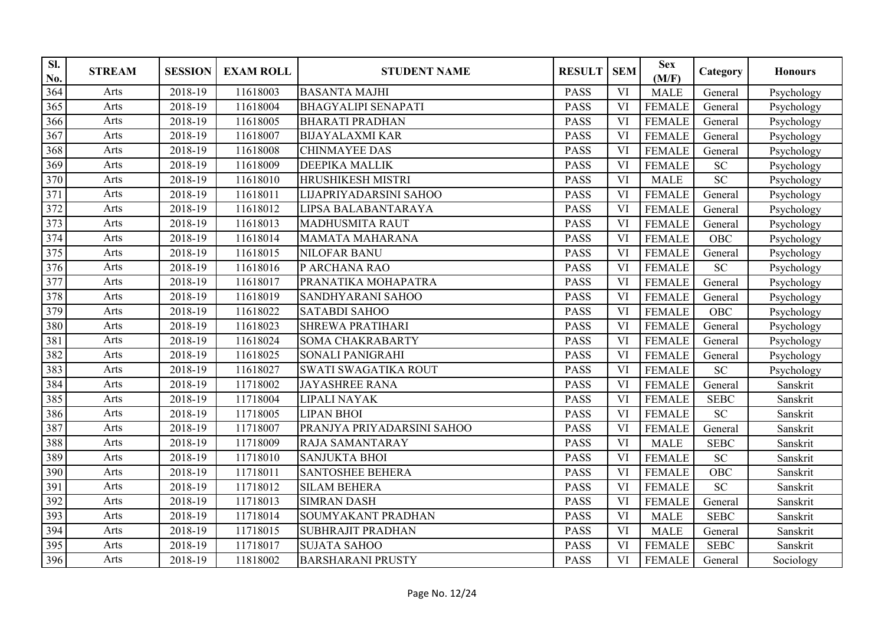| SI.<br>No. | <b>STREAM</b> | <b>SESSION</b> | <b>EXAM ROLL</b> | <b>STUDENT NAME</b>         | <b>RESULT</b> | <b>SEM</b> | <b>Sex</b><br>(M/F) | Category    | <b>Honours</b> |
|------------|---------------|----------------|------------------|-----------------------------|---------------|------------|---------------------|-------------|----------------|
| 364        | Arts          | 2018-19        | 11618003         | <b>BASANTA MAJHI</b>        | <b>PASS</b>   | VI         | <b>MALE</b>         | General     | Psychology     |
| 365        | Arts          | 2018-19        | 11618004         | <b>BHAGYALIPI SENAPATI</b>  | <b>PASS</b>   | VI         | <b>FEMALE</b>       | General     | Psychology     |
| 366        | Arts          | 2018-19        | 11618005         | <b>BHARATI PRADHAN</b>      | <b>PASS</b>   | VI         | <b>FEMALE</b>       | General     | Psychology     |
| 367        | Arts          | 2018-19        | 11618007         | <b>BIJAYALAXMI KAR</b>      | <b>PASS</b>   | VI         | <b>FEMALE</b>       | General     | Psychology     |
| 368        | Arts          | 2018-19        | 11618008         | <b>CHINMAYEE DAS</b>        | <b>PASS</b>   | VI         | <b>FEMALE</b>       | General     | Psychology     |
| 369        | Arts          | 2018-19        | 11618009         | <b>DEEPIKA MALLIK</b>       | <b>PASS</b>   | VI         | <b>FEMALE</b>       | <b>SC</b>   | Psychology     |
| 370        | Arts          | 2018-19        | 11618010         | HRUSHIKESH MISTRI           | <b>PASS</b>   | <b>VI</b>  | <b>MALE</b>         | <b>SC</b>   | Psychology     |
| 371        | Arts          | 2018-19        | 11618011         | LIJAPRIYADARSINI SAHOO      | <b>PASS</b>   | VI         | <b>FEMALE</b>       | General     | Psychology     |
| 372        | Arts          | 2018-19        | 11618012         | LIPSA BALABANTARAYA         | <b>PASS</b>   | VI         | <b>FEMALE</b>       | General     | Psychology     |
| 373        | Arts          | 2018-19        | 11618013         | <b>MADHUSMITA RAUT</b>      | <b>PASS</b>   | VI         | <b>FEMALE</b>       | General     | Psychology     |
| 374        | Arts          | 2018-19        | 11618014         | <b>MAMATA MAHARANA</b>      | <b>PASS</b>   | VI         | <b>FEMALE</b>       | <b>OBC</b>  | Psychology     |
| 375        | Arts          | 2018-19        | 11618015         | <b>NILOFAR BANU</b>         | <b>PASS</b>   | <b>VI</b>  | <b>FEMALE</b>       | General     | Psychology     |
| 376        | Arts          | 2018-19        | 11618016         | P ARCHANA RAO               | <b>PASS</b>   | VI         | <b>FEMALE</b>       | <b>SC</b>   | Psychology     |
| 377        | Arts          | 2018-19        | 11618017         | PRANATIKA MOHAPATRA         | <b>PASS</b>   | VI         | <b>FEMALE</b>       | General     | Psychology     |
| 378        | Arts          | 2018-19        | 11618019         | SANDHYARANI SAHOO           | <b>PASS</b>   | VI         | <b>FEMALE</b>       | General     | Psychology     |
| 379        | Arts          | 2018-19        | 11618022         | <b>SATABDI SAHOO</b>        | <b>PASS</b>   | <b>VI</b>  | <b>FEMALE</b>       | OBC         | Psychology     |
| 380        | Arts          | 2018-19        | 11618023         | SHREWA PRATIHARI            | <b>PASS</b>   | VI         | <b>FEMALE</b>       | General     | Psychology     |
| 381        | Arts          | 2018-19        | 11618024         | SOMA CHAKRABARTY            | <b>PASS</b>   | VI         | <b>FEMALE</b>       | General     | Psychology     |
| 382        | Arts          | 2018-19        | 11618025         | <b>SONALI PANIGRAHI</b>     | <b>PASS</b>   | VI         | <b>FEMALE</b>       | General     | Psychology     |
| 383        | Arts          | 2018-19        | 11618027         | <b>SWATI SWAGATIKA ROUT</b> | <b>PASS</b>   | VI         | <b>FEMALE</b>       | SC          | Psychology     |
| 384        | Arts          | 2018-19        | 11718002         | <b>JAYASHREE RANA</b>       | <b>PASS</b>   | VI         | <b>FEMALE</b>       | General     | Sanskrit       |
| 385        | Arts          | 2018-19        | 11718004         | <b>LIPALI NAYAK</b>         | <b>PASS</b>   | VI         | <b>FEMALE</b>       | <b>SEBC</b> | Sanskrit       |
| 386        | Arts          | 2018-19        | 11718005         | <b>LIPAN BHOI</b>           | <b>PASS</b>   | VI         | <b>FEMALE</b>       | <b>SC</b>   | Sanskrit       |
| 387        | Arts          | 2018-19        | 11718007         | PRANJYA PRIYADARSINI SAHOO  | <b>PASS</b>   | VI         | <b>FEMALE</b>       | General     | Sanskrit       |
| 388        | Arts          | 2018-19        | 11718009         | <b>RAJA SAMANTARAY</b>      | <b>PASS</b>   | VI         | <b>MALE</b>         | <b>SEBC</b> | Sanskrit       |
| 389        | Arts          | 2018-19        | 11718010         | <b>SANJUKTA BHOI</b>        | <b>PASS</b>   | VI         | <b>FEMALE</b>       | <b>SC</b>   | Sanskrit       |
| 390        | Arts          | 2018-19        | 11718011         | <b>SANTOSHEE BEHERA</b>     | <b>PASS</b>   | VI         | <b>FEMALE</b>       | OBC         | Sanskrit       |
| 391        | Arts          | 2018-19        | 11718012         | <b>SILAM BEHERA</b>         | <b>PASS</b>   | VI         | <b>FEMALE</b>       | <b>SC</b>   | Sanskrit       |
| 392        | Arts          | 2018-19        | 11718013         | <b>SIMRAN DASH</b>          | <b>PASS</b>   | VI         | <b>FEMALE</b>       | General     | Sanskrit       |
| 393        | Arts          | 2018-19        | 11718014         | SOUMYAKANT PRADHAN          | <b>PASS</b>   | VI         | <b>MALE</b>         | <b>SEBC</b> | Sanskrit       |
| 394        | Arts          | 2018-19        | 11718015         | <b>SUBHRAJIT PRADHAN</b>    | <b>PASS</b>   | <b>VI</b>  | <b>MALE</b>         | General     | Sanskrit       |
| 395        | Arts          | 2018-19        | 11718017         | <b>SUJATA SAHOO</b>         | <b>PASS</b>   | VI         | <b>FEMALE</b>       | <b>SEBC</b> | Sanskrit       |
| 396        | Arts          | 2018-19        | 11818002         | <b>BARSHARANI PRUSTY</b>    | <b>PASS</b>   | VI         | <b>FEMALE</b>       | General     | Sociology      |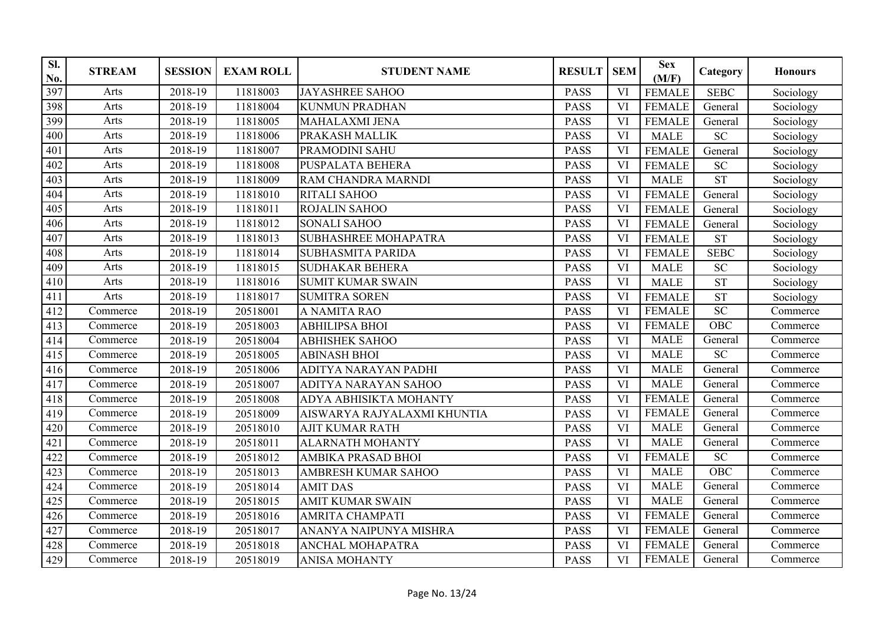| SI.<br>No. | <b>STREAM</b> | <b>SESSION</b>       | <b>EXAM ROLL</b> | <b>STUDENT NAME</b>         | <b>RESULT</b> | <b>SEM</b>             | <b>Sex</b><br>(M/F) | Category        | <b>Honours</b> |
|------------|---------------|----------------------|------------------|-----------------------------|---------------|------------------------|---------------------|-----------------|----------------|
| 397        | Arts          | 2018-19              | 11818003         | <b>JAYASHREE SAHOO</b>      | <b>PASS</b>   | VI                     | <b>FEMALE</b>       | <b>SEBC</b>     | Sociology      |
| 398        | Arts          | 2018-19              | 11818004         | <b>KUNMUN PRADHAN</b>       | <b>PASS</b>   | VI                     | <b>FEMALE</b>       | General         | Sociology      |
| 399        | Arts          | 2018-19              | 11818005         | <b>MAHALAXMI JENA</b>       | <b>PASS</b>   | VI                     | <b>FEMALE</b>       | General         | Sociology      |
| 400        | Arts          | 2018-19              | 11818006         | PRAKASH MALLIK              | <b>PASS</b>   | VI                     | <b>MALE</b>         | <b>SC</b>       | Sociology      |
| 401        | Arts          | 2018-19              | 11818007         | PRAMODINI SAHU              | <b>PASS</b>   | VI                     | <b>FEMALE</b>       | General         | Sociology      |
| 402        | Arts          | 2018-19              | 11818008         | <b>PUSPALATA BEHERA</b>     | <b>PASS</b>   | VI                     | <b>FEMALE</b>       | <b>SC</b>       | Sociology      |
| 403        | Arts          | 2018-19              | 11818009         | <b>RAM CHANDRA MARNDI</b>   | <b>PASS</b>   | VI                     | <b>MALE</b>         | <b>ST</b>       | Sociology      |
| 404        | Arts          | 2018-19              | 11818010         | RITALI SAHOO                | PASS          | <b>VI</b>              | <b>FEMALE</b>       | General         | Sociology      |
| 405        | Arts          | 2018-19              | 11818011         | ROJALIN SAHOO               | <b>PASS</b>   | VI                     | <b>FEMALE</b>       | General         | Sociology      |
| 406        | Arts          | 2018-19              | 11818012         | <b>SONALI SAHOO</b>         | <b>PASS</b>   | VI                     | <b>FEMALE</b>       | General         | Sociology      |
| 407        | Arts          | 2018-19              | 11818013         | <b>SUBHASHREE MOHAPATRA</b> | <b>PASS</b>   | VI                     | <b>FEMALE</b>       | <b>ST</b>       | Sociology      |
| 408        | Arts          | 2018-19              | 11818014         | <b>SUBHASMITA PARIDA</b>    | <b>PASS</b>   | VI                     | <b>FEMALE</b>       | <b>SEBC</b>     | Sociology      |
| 409        | Arts          | 2018-19              | 11818015         | <b>SUDHAKAR BEHERA</b>      | <b>PASS</b>   | VI                     | <b>MALE</b>         | <b>SC</b>       | Sociology      |
| 410        | Arts          | 2018-19              | 11818016         | <b>SUMIT KUMAR SWAIN</b>    | <b>PASS</b>   | $\overline{\text{VI}}$ | <b>MALE</b>         | <b>ST</b>       | Sociology      |
| 411        | Arts          | 2018-19              | 11818017         | <b>SUMITRA SOREN</b>        | <b>PASS</b>   | VI                     | <b>FEMALE</b>       | <b>ST</b>       | Sociology      |
| 412        | Commerce      | 2018-19              | 20518001         | A NAMITA RAO                | <b>PASS</b>   | VI                     | <b>FEMALE</b>       | $\overline{SC}$ | Commerce       |
| 413        | Commerce      | 2018-19              | 20518003         | <b>ABHILIPSA BHOI</b>       | <b>PASS</b>   | VI                     | <b>FEMALE</b>       | OBC             | Commerce       |
| 414        | Commerce      | 2018-19              | 20518004         | <b>ABHISHEK SAHOO</b>       | <b>PASS</b>   | VI                     | <b>MALE</b>         | General         | Commerce       |
| 415        | Commerce      | 2018-19              | 20518005         | <b>ABINASH BHOI</b>         | <b>PASS</b>   | VI                     | <b>MALE</b>         | $\overline{SC}$ | Commerce       |
| 416        | Commerce      | 2018-19              | 20518006         | ADITYA NARAYAN PADHI        | <b>PASS</b>   | VI                     | <b>MALE</b>         | General         | Commerce       |
| 417        | Commerce      | 2018-19              | 20518007         | ADITYA NARAYAN SAHOO        | <b>PASS</b>   | VI                     | <b>MALE</b>         | General         | Commerce       |
| 418        | Commerce      | 2018-19              | 20518008         | ADYA ABHISIKTA MOHANTY      | <b>PASS</b>   | VI                     | <b>FEMALE</b>       | General         | Commerce       |
| 419        | Commerce      | 2018-19              | 20518009         | AISWARYA RAJYALAXMI KHUNTIA | <b>PASS</b>   | VI                     | <b>FEMALE</b>       | General         | Commerce       |
| 420        | Commerce      | 2018-19              | 20518010         | <b>AJIT KUMAR RATH</b>      | <b>PASS</b>   | <b>VI</b>              | <b>MALE</b>         | General         | Commerce       |
| 421        | Commerce      | 2018-19              | 20518011         | <b>ALARNATH MOHANTY</b>     | <b>PASS</b>   | VI                     | <b>MALE</b>         | General         | Commerce       |
| 422        | Commerce      | 2018-19              | 20518012         | AMBIKA PRASAD BHOI          | <b>PASS</b>   | VI                     | <b>FEMALE</b>       | <b>SC</b>       | Commerce       |
| 423        | Commerce      | 2018-19              | 20518013         | AMBRESH KUMAR SAHOO         | <b>PASS</b>   | VI                     | <b>MALE</b>         | OBC             | Commerce       |
| 424        | Commerce      | 2018-19              | 20518014         | <b>AMIT DAS</b>             | <b>PASS</b>   | VI                     | <b>MALE</b>         | General         | Commerce       |
| 425        | Commerce      | 2018-19              | 20518015         | <b>AMIT KUMAR SWAIN</b>     | <b>PASS</b>   | <b>VI</b>              | <b>MALE</b>         | General         | Commerce       |
| 426        | Commerce      | $\overline{2018-19}$ | 20518016         | <b>AMRITA CHAMPATI</b>      | <b>PASS</b>   | VI                     | <b>FEMALE</b>       | General         | Commerce       |
| 427        | Commerce      | 2018-19              | 20518017         | ANANYA NAIPUNYA MISHRA      | <b>PASS</b>   | <b>VI</b>              | <b>FEMALE</b>       | General         | Commerce       |
| 428        | Commerce      | 2018-19              | 20518018         | <b>ANCHAL MOHAPATRA</b>     | <b>PASS</b>   | <b>VI</b>              | <b>FEMALE</b>       | General         | Commerce       |
| 429        | Commerce      | 2018-19              | 20518019         | <b>ANISA MOHANTY</b>        | <b>PASS</b>   | VI                     | <b>FEMALE</b>       | General         | Commerce       |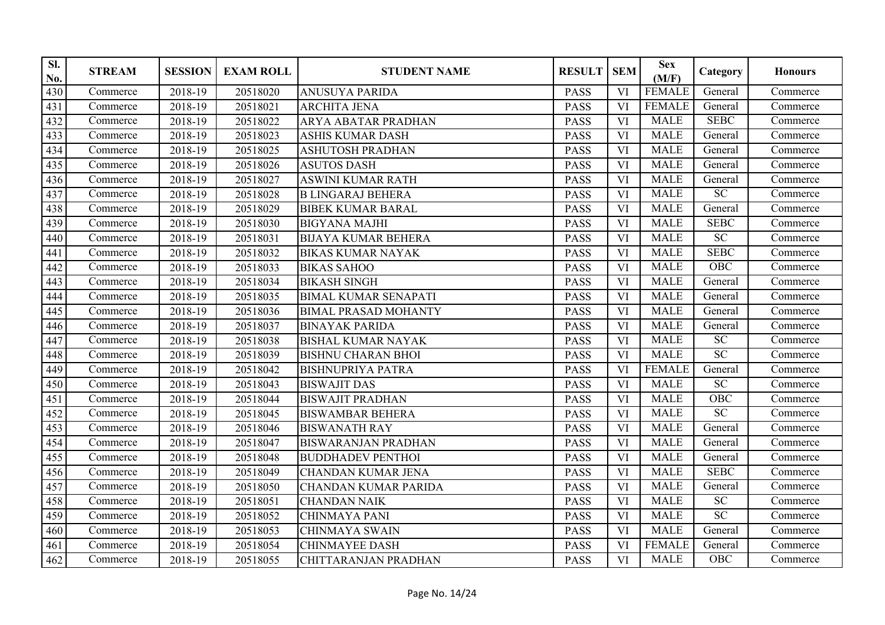| SI.<br>No. | <b>STREAM</b> | <b>SESSION</b> | <b>EXAM ROLL</b> | <b>STUDENT NAME</b>         | <b>RESULT</b> | <b>SEM</b> | <b>Sex</b><br>(M/F) | Category         | <b>Honours</b> |
|------------|---------------|----------------|------------------|-----------------------------|---------------|------------|---------------------|------------------|----------------|
| 430        | Commerce      | 2018-19        | 20518020         | <b>ANUSUYA PARIDA</b>       | <b>PASS</b>   | VI         | <b>FEMALE</b>       | General          | Commerce       |
| 431        | Commerce      | 2018-19        | 20518021         | <b>ARCHITA JENA</b>         | <b>PASS</b>   | VI         | <b>FEMALE</b>       | General          | Commerce       |
| 432        | Commerce      | 2018-19        | 20518022         | ARYA ABATAR PRADHAN         | <b>PASS</b>   | VI         | <b>MALE</b>         | <b>SEBC</b>      | Commerce       |
| 433        | Commerce      | 2018-19        | 20518023         | <b>ASHIS KUMAR DASH</b>     | <b>PASS</b>   | VI         | <b>MALE</b>         | General          | Commerce       |
| 434        | Commerce      | 2018-19        | 20518025         | <b>ASHUTOSH PRADHAN</b>     | <b>PASS</b>   | VI         | <b>MALE</b>         | General          | Commerce       |
| 435        | Commerce      | 2018-19        | 20518026         | <b>ASUTOS DASH</b>          | <b>PASS</b>   | VI         | <b>MALE</b>         | General          | Commerce       |
| 436        | Commerce      | 2018-19        | 20518027         | <b>ASWINI KUMAR RATH</b>    | <b>PASS</b>   | VI         | <b>MALE</b>         | General          | Commerce       |
| 437        | Commerce      | 2018-19        | 20518028         | <b>B LINGARAJ BEHERA</b>    | <b>PASS</b>   | <b>VI</b>  | <b>MALE</b>         | $\overline{SC}$  | Commerce       |
| 438        | Commerce      | 2018-19        | 20518029         | <b>BIBEK KUMAR BARAL</b>    | <b>PASS</b>   | VI         | <b>MALE</b>         | General          | Commerce       |
| 439        | Commerce      | 2018-19        | 20518030         | <b>BIGYANA MAJHI</b>        | <b>PASS</b>   | VI         | <b>MALE</b>         | <b>SEBC</b>      | Commerce       |
| 440        | Commerce      | 2018-19        | 20518031         | <b>BIJAYA KUMAR BEHERA</b>  | <b>PASS</b>   | VI         | <b>MALE</b>         | SC               | Commerce       |
| 441        | Commerce      | 2018-19        | 20518032         | <b>BIKAS KUMAR NAYAK</b>    | <b>PASS</b>   | VI         | <b>MALE</b>         | <b>SEBC</b>      | Commerce       |
| 442        | Commerce      | 2018-19        | 20518033         | <b>BIKAS SAHOO</b>          | <b>PASS</b>   | VI         | <b>MALE</b>         | OBC              | Commerce       |
| 443        | Commerce      | 2018-19        | 20518034         | <b>BIKASH SINGH</b>         | <b>PASS</b>   | <b>VI</b>  | <b>MALE</b>         | General          | Commerce       |
| 444        | Commerce      | 2018-19        | 20518035         | <b>BIMAL KUMAR SENAPATI</b> | <b>PASS</b>   | VI         | <b>MALE</b>         | General          | Commerce       |
| 445        | Commerce      | 2018-19        | 20518036         | <b>BIMAL PRASAD MOHANTY</b> | <b>PASS</b>   | VI         | <b>MALE</b>         | General          | Commerce       |
| 446        | Commerce      | 2018-19        | 20518037         | <b>BINAYAK PARIDA</b>       | <b>PASS</b>   | VI         | <b>MALE</b>         | General          | Commerce       |
| 447        | Commerce      | 2018-19        | 20518038         | <b>BISHAL KUMAR NAYAK</b>   | <b>PASS</b>   | VI         | <b>MALE</b>         | <b>SC</b>        | Commerce       |
| 448        | Commerce      | 2018-19        | 20518039         | <b>BISHNU CHARAN BHOI</b>   | <b>PASS</b>   | VI         | <b>MALE</b>         | SC               | Commerce       |
| 449        | Commerce      | 2018-19        | 20518042         | <b>BISHNUPRIYA PATRA</b>    | <b>PASS</b>   | VI         | <b>FEMALE</b>       | General          | Commerce       |
| 450        | Commerce      | 2018-19        | 20518043         | <b>BISWAJIT DAS</b>         | <b>PASS</b>   | VI         | <b>MALE</b>         | SC               | Commerce       |
| 451        | Commerce      | 2018-19        | 20518044         | <b>BISWAJIT PRADHAN</b>     | <b>PASS</b>   | VI         | <b>MALE</b>         | $\overline{OBC}$ | Commerce       |
| 452        | Commerce      | 2018-19        | 20518045         | <b>BISWAMBAR BEHERA</b>     | <b>PASS</b>   | VI         | <b>MALE</b>         | SC               | Commerce       |
| 453        | Commerce      | 2018-19        | 20518046         | <b>BISWANATH RAY</b>        | <b>PASS</b>   | <b>VI</b>  | <b>MALE</b>         | General          | Commerce       |
| 454        | Commerce      | 2018-19        | 20518047         | <b>BISWARANJAN PRADHAN</b>  | <b>PASS</b>   | VI         | <b>MALE</b>         | General          | Commerce       |
| 455        | Commerce      | 2018-19        | 20518048         | <b>BUDDHADEV PENTHOI</b>    | <b>PASS</b>   | VI         | <b>MALE</b>         | General          | Commerce       |
| 456        | Commerce      | 2018-19        | 20518049         | <b>CHANDAN KUMAR JENA</b>   | <b>PASS</b>   | VI         | <b>MALE</b>         | <b>SEBC</b>      | Commerce       |
| 457        | Commerce      | 2018-19        | 20518050         | <b>CHANDAN KUMAR PARIDA</b> | <b>PASS</b>   | VI         | <b>MALE</b>         | General          | Commerce       |
| 458        | Commerce      | 2018-19        | 20518051         | <b>CHANDAN NAIK</b>         | <b>PASS</b>   | VI         | <b>MALE</b>         | SC               | Commerce       |
| 459        | Commerce      | 2018-19        | 20518052         | <b>CHINMAYA PANI</b>        | <b>PASS</b>   | VI         | <b>MALE</b>         | SC               | Commerce       |
| 460        | Commerce      | 2018-19        | 20518053         | <b>CHINMAYA SWAIN</b>       | <b>PASS</b>   | VI         | <b>MALE</b>         | General          | Commerce       |
| 461        | Commerce      | 2018-19        | 20518054         | <b>CHINMAYEE DASH</b>       | <b>PASS</b>   | VI         | <b>FEMALE</b>       | General          | Commerce       |
| 462        | Commerce      | 2018-19        | 20518055         | CHITTARANJAN PRADHAN        | <b>PASS</b>   | VI         | <b>MALE</b>         | $OB\overline{C}$ | Commerce       |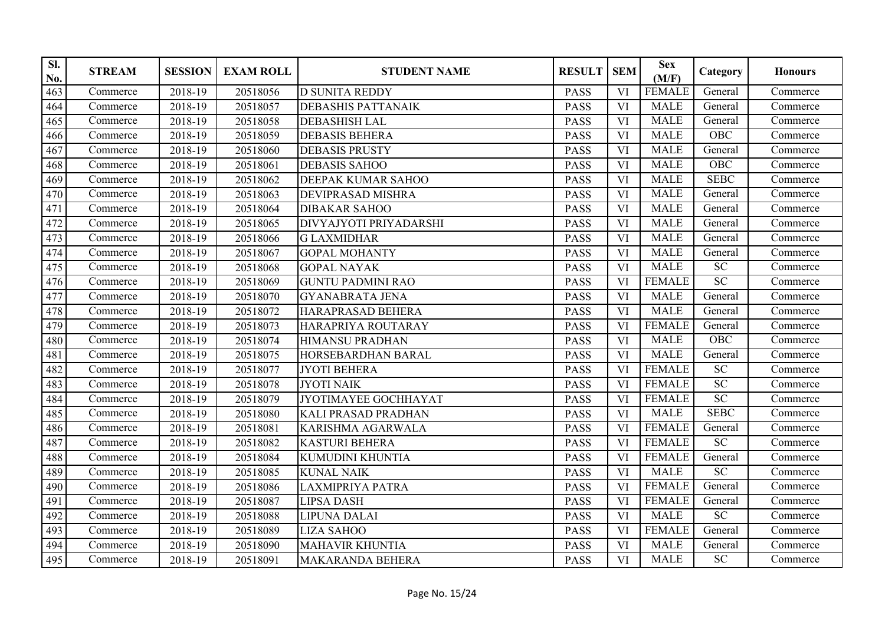| SI.<br>No. | <b>STREAM</b> | <b>SESSION</b> | <b>EXAM ROLL</b> | <b>STUDENT NAME</b>        | <b>RESULT</b> | <b>SEM</b> | <b>Sex</b><br>(M/F) | Category        | <b>Honours</b> |
|------------|---------------|----------------|------------------|----------------------------|---------------|------------|---------------------|-----------------|----------------|
| 463        | Commerce      | 2018-19        | 20518056         | <b>D SUNITA REDDY</b>      | <b>PASS</b>   | VI         | <b>FEMALE</b>       | General         | Commerce       |
| 464        | Commerce      | 2018-19        | 20518057         | <b>DEBASHIS PATTANAIK</b>  | <b>PASS</b>   | VI         | <b>MALE</b>         | General         | Commerce       |
| 465        | Commerce      | 2018-19        | 20518058         | <b>DEBASHISH LAL</b>       | <b>PASS</b>   | VI         | <b>MALE</b>         | General         | Commerce       |
| 466        | Commerce      | 2018-19        | 20518059         | <b>DEBASIS BEHERA</b>      | <b>PASS</b>   | VI         | <b>MALE</b>         | OBC             | Commerce       |
| 467        | Commerce      | 2018-19        | 20518060         | <b>DEBASIS PRUSTY</b>      | <b>PASS</b>   | VI         | <b>MALE</b>         | General         | Commerce       |
| 468        | Commerce      | 2018-19        | 20518061         | <b>DEBASIS SAHOO</b>       | <b>PASS</b>   | VI         | <b>MALE</b>         | OBC             | Commerce       |
| 469        | Commerce      | 2018-19        | 20518062         | DEEPAK KUMAR SAHOO         | <b>PASS</b>   | VI         | <b>MALE</b>         | <b>SEBC</b>     | Commerce       |
| 470        | Commerce      | 2018-19        | 20518063         | <b>DEVIPRASAD MISHRA</b>   | <b>PASS</b>   | <b>VI</b>  | <b>MALE</b>         | General         | Commerce       |
| 471        | Commerce      | 2018-19        | 20518064         | <b>DIBAKAR SAHOO</b>       | <b>PASS</b>   | VI         | <b>MALE</b>         | General         | Commerce       |
| 472        | Commerce      | 2018-19        | 20518065         | DIVYAJYOTI PRIYADARSHI     | <b>PASS</b>   | VI         | <b>MALE</b>         | General         | Commerce       |
| 473        | Commerce      | 2018-19        | 20518066         | <b>GLAXMIDHAR</b>          | <b>PASS</b>   | VI         | <b>MALE</b>         | General         | Commerce       |
| 474        | Commerce      | 2018-19        | 20518067         | <b>GOPAL MOHANTY</b>       | <b>PASS</b>   | VI         | <b>MALE</b>         | General         | Commerce       |
| 475        | Commerce      | 2018-19        | 20518068         | <b>GOPAL NAYAK</b>         | <b>PASS</b>   | VI         | <b>MALE</b>         | SC              | Commerce       |
| 476        | Commerce      | 2018-19        | 20518069         | <b>GUNTU PADMINI RAO</b>   | <b>PASS</b>   | <b>VI</b>  | <b>FEMALE</b>       | SC              | Commerce       |
| 477        | Commerce      | 2018-19        | 20518070         | <b>GYANABRATA JENA</b>     | <b>PASS</b>   | VI         | <b>MALE</b>         | General         | Commerce       |
| 478        | Commerce      | 2018-19        | 20518072         | HARAPRASAD BEHERA          | <b>PASS</b>   | VI         | <b>MALE</b>         | General         | Commerce       |
| 479        | Commerce      | 2018-19        | 20518073         | HARAPRIYA ROUTARAY         | <b>PASS</b>   | VI         | <b>FEMALE</b>       | General         | Commerce       |
| 480        | Commerce      | 2018-19        | 20518074         | <b>HIMANSU PRADHAN</b>     | <b>PASS</b>   | VI         | <b>MALE</b>         | <b>OBC</b>      | Commerce       |
| 481        | Commerce      | 2018-19        | 20518075         | HORSEBARDHAN BARAL         | <b>PASS</b>   | VI         | <b>MALE</b>         | General         | Commerce       |
| 482        | Commerce      | 2018-19        | 20518077         | <b>JYOTI BEHERA</b>        | <b>PASS</b>   | VI         | <b>FEMALE</b>       | $\overline{SC}$ | Commerce       |
| 483        | Commerce      | 2018-19        | 20518078         | <b>JYOTI NAIK</b>          | <b>PASS</b>   | VI         | <b>FEMALE</b>       | SC              | Commerce       |
| 484        | Commerce      | 2018-19        | 20518079         | JYOTIMAYEE GOCHHAYAT       | <b>PASS</b>   | VI         | <b>FEMALE</b>       | SC              | Commerce       |
| 485        | Commerce      | 2018-19        | 20518080         | <b>KALI PRASAD PRADHAN</b> | <b>PASS</b>   | VI         | <b>MALE</b>         | <b>SEBC</b>     | Commerce       |
| 486        | Commerce      | 2018-19        | 20518081         | KARISHMA AGARWALA          | <b>PASS</b>   | VI         | <b>FEMALE</b>       | General         | Commerce       |
| 487        | Commerce      | 2018-19        | 20518082         | <b>KASTURI BEHERA</b>      | <b>PASS</b>   | VI         | <b>FEMALE</b>       | $\overline{SC}$ | Commerce       |
| 488        | Commerce      | 2018-19        | 20518084         | KUMUDINI KHUNTIA           | <b>PASS</b>   | VI         | <b>FEMALE</b>       | General         | Commerce       |
| 489        | Commerce      | 2018-19        | 20518085         | <b>KUNAL NAIK</b>          | <b>PASS</b>   | VI         | <b>MALE</b>         | SC              | Commerce       |
| 490        | Commerce      | 2018-19        | 20518086         | <b>LAXMIPRIYA PATRA</b>    | <b>PASS</b>   | VI         | <b>FEMALE</b>       | General         | Commerce       |
| 491        | Commerce      | 2018-19        | 20518087         | <b>LIPSA DASH</b>          | <b>PASS</b>   | VI         | <b>FEMALE</b>       | General         | Commerce       |
| 492        | Commerce      | 2018-19        | 20518088         | <b>LIPUNA DALAI</b>        | <b>PASS</b>   | <b>VI</b>  | <b>MALE</b>         | SC              | Commerce       |
| 493        | Commerce      | 2018-19        | 20518089         | <b>LIZA SAHOO</b>          | <b>PASS</b>   | VI         | <b>FEMALE</b>       | General         | Commerce       |
| 494        | Commerce      | 2018-19        | 20518090         | <b>MAHAVIR KHUNTIA</b>     | <b>PASS</b>   | VI         | <b>MALE</b>         | General         | Commerce       |
| 495        | Commerce      | 2018-19        | 20518091         | <b>MAKARANDA BEHERA</b>    | <b>PASS</b>   | VI         | <b>MALE</b>         | <b>SC</b>       | Commerce       |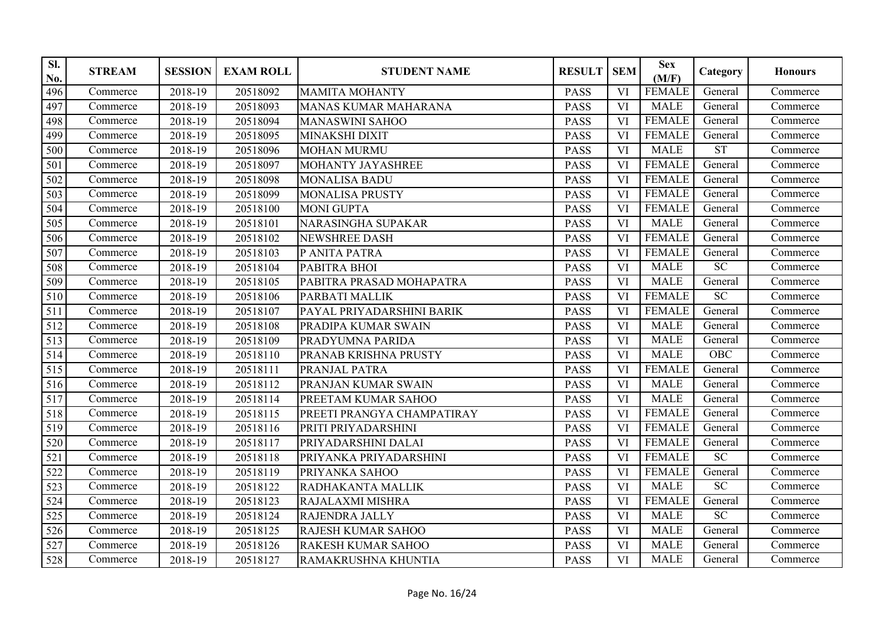| SI.<br>No.       | <b>STREAM</b> | <b>SESSION</b> | <b>EXAM ROLL</b> | <b>STUDENT NAME</b>         | <b>RESULT</b> | <b>SEM</b> | <b>Sex</b><br>(M/F) | Category              | <b>Honours</b> |
|------------------|---------------|----------------|------------------|-----------------------------|---------------|------------|---------------------|-----------------------|----------------|
| 496              | Commerce      | 2018-19        | 20518092         | <b>MAMITA MOHANTY</b>       | <b>PASS</b>   | VI         | <b>FEMALE</b>       | General               | Commerce       |
| 497              | Commerce      | 2018-19        | 20518093         | <b>MANAS KUMAR MAHARANA</b> | <b>PASS</b>   | VI         | <b>MALE</b>         | General               | Commerce       |
| 498              | Commerce      | 2018-19        | 20518094         | <b>MANASWINI SAHOO</b>      | <b>PASS</b>   | VI         | <b>FEMALE</b>       | General               | Commerce       |
| 499              | Commerce      | 2018-19        | 20518095         | <b>MINAKSHI DIXIT</b>       | <b>PASS</b>   | VI         | <b>FEMALE</b>       | General               | Commerce       |
| 500              | Commerce      | 2018-19        | 20518096         | <b>MOHAN MURMU</b>          | <b>PASS</b>   | VI         | <b>MALE</b>         | ST                    | Commerce       |
| 501              | Commerce      | 2018-19        | 20518097         | MOHANTY JAYASHREE           | <b>PASS</b>   | VI         | <b>FEMALE</b>       | $\overline{G}$ eneral | Commerce       |
| 502              | Commerce      | 2018-19        | 20518098         | <b>MONALISA BADU</b>        | <b>PASS</b>   | VI         | <b>FEMALE</b>       | General               | Commerce       |
| 503              | Commerce      | 2018-19        | 20518099         | <b>MONALISA PRUSTY</b>      | <b>PASS</b>   | VI         | <b>FEMALE</b>       | General               | Commerce       |
| 504              | Commerce      | 2018-19        | 20518100         | <b>MONI GUPTA</b>           | <b>PASS</b>   | VI         | <b>FEMALE</b>       | General               | Commerce       |
| 505              | Commerce      | 2018-19        | 20518101         | NARASINGHA SUPAKAR          | <b>PASS</b>   | VI         | <b>MALE</b>         | General               | Commerce       |
| 506              | Commerce      | 2018-19        | 20518102         | <b>NEWSHREE DASH</b>        | <b>PASS</b>   | VI         | <b>FEMALE</b>       | General               | Commerce       |
| 507              | Commerce      | 2018-19        | 20518103         | P ANITA PATRA               | <b>PASS</b>   | VI         | <b>FEMALE</b>       | General               | Commerce       |
| 508              | Commerce      | 2018-19        | 20518104         | PABITRA BHOI                | <b>PASS</b>   | VI         | <b>MALE</b>         | SC                    | Commerce       |
| 509              | Commerce      | 2018-19        | 20518105         | PABITRA PRASAD MOHAPATRA    | <b>PASS</b>   | <b>VI</b>  | <b>MALE</b>         | General               | Commerce       |
| 510              | Commerce      | 2018-19        | 20518106         | PARBATI MALLIK              | <b>PASS</b>   | VI         | <b>FEMALE</b>       | SC                    | Commerce       |
| 511              | Commerce      | 2018-19        | 20518107         | PAYAL PRIYADARSHINI BARIK   | <b>PASS</b>   | VI         | <b>FEMALE</b>       | General               | Commerce       |
| 512              | Commerce      | 2018-19        | 20518108         | PRADIPA KUMAR SWAIN         | <b>PASS</b>   | VI         | <b>MALE</b>         | General               | Commerce       |
| $\overline{513}$ | Commerce      | 2018-19        | 20518109         | PRADYUMNA PARIDA            | <b>PASS</b>   | VI         | <b>MALE</b>         | General               | Commerce       |
| 514              | Commerce      | 2018-19        | 20518110         | PRANAB KRISHNA PRUSTY       | <b>PASS</b>   | VI         | <b>MALE</b>         | OBC                   | Commerce       |
| $\overline{515}$ | Commerce      | 2018-19        | 20518111         | PRANJAL PATRA               | <b>PASS</b>   | VI         | <b>FEMALE</b>       | General               | Commerce       |
| 516              | Commerce      | 2018-19        | 20518112         | PRANJAN KUMAR SWAIN         | <b>PASS</b>   | VI         | <b>MALE</b>         | General               | Commerce       |
| 517              | Commerce      | 2018-19        | 20518114         | PREETAM KUMAR SAHOO         | <b>PASS</b>   | VI         | <b>MALE</b>         | General               | Commerce       |
| 518              | Commerce      | 2018-19        | 20518115         | PREETI PRANGYA CHAMPATIRAY  | <b>PASS</b>   | VI         | <b>FEMALE</b>       | General               | Commerce       |
| 519              | Commerce      | 2018-19        | 20518116         | PRITI PRIYADARSHINI         | <b>PASS</b>   | VI         | <b>FEMALE</b>       | General               | Commerce       |
| 520              | Commerce      | 2018-19        | 20518117         | PRIYADARSHINI DALAI         | <b>PASS</b>   | VI         | <b>FEMALE</b>       | General               | Commerce       |
| 521              | Commerce      | 2018-19        | 20518118         | PRIYANKA PRIYADARSHINI      | <b>PASS</b>   | VI         | <b>FEMALE</b>       | $\overline{SC}$       | Commerce       |
| 522              | Commerce      | 2018-19        | 20518119         | PRIYANKA SAHOO              | <b>PASS</b>   | VI         | <b>FEMALE</b>       | General               | Commerce       |
| 523              | Commerce      | 2018-19        | 20518122         | RADHAKANTA MALLIK           | <b>PASS</b>   | <b>VI</b>  | <b>MALE</b>         | SC                    | Commerce       |
| 524              | Commerce      | 2018-19        | 20518123         | RAJALAXMI MISHRA            | <b>PASS</b>   | VI         | <b>FEMALE</b>       | General               | Commerce       |
| $\overline{525}$ | Commerce      | 2018-19        | 20518124         | RAJENDRA JALLY              | <b>PASS</b>   | VI         | <b>MALE</b>         | SC                    | Commerce       |
| 526              | Commerce      | 2018-19        | 20518125         | RAJESH KUMAR SAHOO          | <b>PASS</b>   | VI         | <b>MALE</b>         | General               | Commerce       |
| 527              | Commerce      | 2018-19        | 20518126         | <b>RAKESH KUMAR SAHOO</b>   | <b>PASS</b>   | VI         | <b>MALE</b>         | General               | Commerce       |
| 528              | Commerce      | 2018-19        | 20518127         | RAMAKRUSHNA KHUNTIA         | <b>PASS</b>   | VI         | <b>MALE</b>         | General               | Commerce       |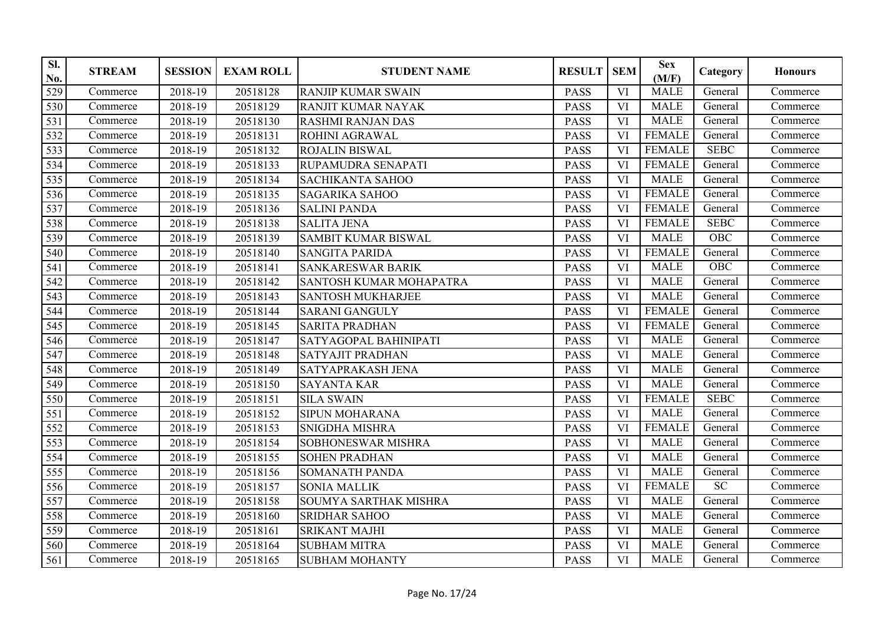| SI.<br>No. | <b>STREAM</b> | <b>SESSION</b> | <b>EXAM ROLL</b> | <b>STUDENT NAME</b>        | <b>RESULT</b> | <b>SEM</b> | <b>Sex</b><br>(M/F) | Category              | <b>Honours</b> |
|------------|---------------|----------------|------------------|----------------------------|---------------|------------|---------------------|-----------------------|----------------|
| 529        | Commerce      | 2018-19        | 20518128         | <b>RANJIP KUMAR SWAIN</b>  | <b>PASS</b>   | VI         | <b>MALE</b>         | General               | Commerce       |
| 530        | Commerce      | 2018-19        | 20518129         | RANJIT KUMAR NAYAK         | <b>PASS</b>   | VI         | <b>MALE</b>         | General               | Commerce       |
| 531        | Commerce      | 2018-19        | 20518130         | <b>RASHMI RANJAN DAS</b>   | <b>PASS</b>   | VI         | <b>MALE</b>         | General               | Commerce       |
| 532        | Commerce      | 2018-19        | 20518131         | ROHINI AGRAWAL             | <b>PASS</b>   | VI         | <b>FEMALE</b>       | General               | Commerce       |
| 533        | Commerce      | 2018-19        | 20518132         | <b>ROJALIN BISWAL</b>      | <b>PASS</b>   | VI         | <b>FEMALE</b>       | <b>SEBC</b>           | Commerce       |
| 534        | Commerce      | 2018-19        | 20518133         | RUPAMUDRA SENAPATI         | <b>PASS</b>   | VI         | <b>FEMALE</b>       | General               | Commerce       |
| 535        | Commerce      | 2018-19        | 20518134         | <b>SACHIKANTA SAHOO</b>    | <b>PASS</b>   | VI         | <b>MALE</b>         | General               | Commerce       |
| 536        | Commerce      | 2018-19        | 20518135         | <b>SAGARIKA SAHOO</b>      | <b>PASS</b>   | VI         | <b>FEMALE</b>       | General               | Commerce       |
| 537        | Commerce      | 2018-19        | 20518136         | <b>SALINI PANDA</b>        | <b>PASS</b>   | VI         | <b>FEMALE</b>       | General               | Commerce       |
| 538        | Commerce      | 2018-19        | 20518138         | <b>SALITA JENA</b>         | <b>PASS</b>   | VI         | <b>FEMALE</b>       | <b>SEBC</b>           | Commerce       |
| 539        | Commerce      | 2018-19        | 20518139         | <b>SAMBIT KUMAR BISWAL</b> | <b>PASS</b>   | VI         | <b>MALE</b>         | OBC                   | Commerce       |
| 540        | Commerce      | 2018-19        | 20518140         | <b>SANGITA PARIDA</b>      | <b>PASS</b>   | VI         | <b>FEMALE</b>       | General               | Commerce       |
| 541        | Commerce      | 2018-19        | 20518141         | <b>SANKARESWAR BARIK</b>   | <b>PASS</b>   | VI         | <b>MALE</b>         | OBC                   | Commerce       |
| 542        | Commerce      | 2018-19        | 20518142         | SANTOSH KUMAR MOHAPATRA    | <b>PASS</b>   | <b>VI</b>  | <b>MALE</b>         | General               | Commerce       |
| 543        | Commerce      | 2018-19        | 20518143         | <b>SANTOSH MUKHARJEE</b>   | <b>PASS</b>   | VI         | <b>MALE</b>         | General               | Commerce       |
| 544        | Commerce      | 2018-19        | 20518144         | <b>SARANI GANGULY</b>      | <b>PASS</b>   | VI         | <b>FEMALE</b>       | General               | Commerce       |
| 545        | Commerce      | 2018-19        | 20518145         | <b>SARITA PRADHAN</b>      | <b>PASS</b>   | VI         | <b>FEMALE</b>       | General               | Commerce       |
| 546        | Commerce      | 2018-19        | 20518147         | SATYAGOPAL BAHINIPATI      | <b>PASS</b>   | VI         | <b>MALE</b>         | General               | Commerce       |
| 547        | Commerce      | 2018-19        | 20518148         | <b>SATYAJIT PRADHAN</b>    | <b>PASS</b>   | VI         | <b>MALE</b>         | General               | Commerce       |
| 548        | Commerce      | 2018-19        | 20518149         | SATYAPRAKASH JENA          | <b>PASS</b>   | VI         | <b>MALE</b>         | General               | Commerce       |
| 549        | Commerce      | 2018-19        | 20518150         | <b>SAYANTA KAR</b>         | <b>PASS</b>   | VI         | <b>MALE</b>         | General               | Commerce       |
| 550        | Commerce      | 2018-19        | 20518151         | <b>SILA SWAIN</b>          | <b>PASS</b>   | VI         | <b>FEMALE</b>       | <b>SEBC</b>           | Commerce       |
| 551        | Commerce      | 2018-19        | 20518152         | <b>SIPUN MOHARANA</b>      | <b>PASS</b>   | VI         | <b>MALE</b>         | General               | Commerce       |
| 552        | Commerce      | 2018-19        | 20518153         | <b>SNIGDHA MISHRA</b>      | <b>PASS</b>   | <b>VI</b>  | <b>FEMALE</b>       | General               | Commerce       |
| 553        | Commerce      | 2018-19        | 20518154         | SOBHONESWAR MISHRA         | <b>PASS</b>   | VI         | <b>MALE</b>         | General               | Commerce       |
| 554        | Commerce      | 2018-19        | 20518155         | <b>SOHEN PRADHAN</b>       | <b>PASS</b>   | VI         | <b>MALE</b>         | General               | Commerce       |
| 555        | Commerce      | 2018-19        | 20518156         | <b>SOMANATH PANDA</b>      | <b>PASS</b>   | VI         | <b>MALE</b>         | General               | Commerce       |
| 556        | Commerce      | 2018-19        | 20518157         | <b>SONIA MALLIK</b>        | <b>PASS</b>   | VI         | <b>FEMALE</b>       | SC                    | Commerce       |
| 557        | Commerce      | 2018-19        | 20518158         | SOUMYA SARTHAK MISHRA      | <b>PASS</b>   | VI         | <b>MALE</b>         | $\overline{G}$ eneral | Commerce       |
| 558        | Commerce      | 2018-19        | 20518160         | <b>SRIDHAR SAHOO</b>       | <b>PASS</b>   | VI         | <b>MALE</b>         | General               | Commerce       |
| 559        | Commerce      | 2018-19        | 20518161         | <b>SRIKANT MAJHI</b>       | <b>PASS</b>   | VI         | <b>MALE</b>         | General               | Commerce       |
| 560        | Commerce      | 2018-19        | 20518164         | <b>SUBHAM MITRA</b>        | <b>PASS</b>   | VI         | <b>MALE</b>         | General               | Commerce       |
| 561        | Commerce      | 2018-19        | 20518165         | <b>SUBHAM MOHANTY</b>      | <b>PASS</b>   | VI         | <b>MALE</b>         | General               | Commerce       |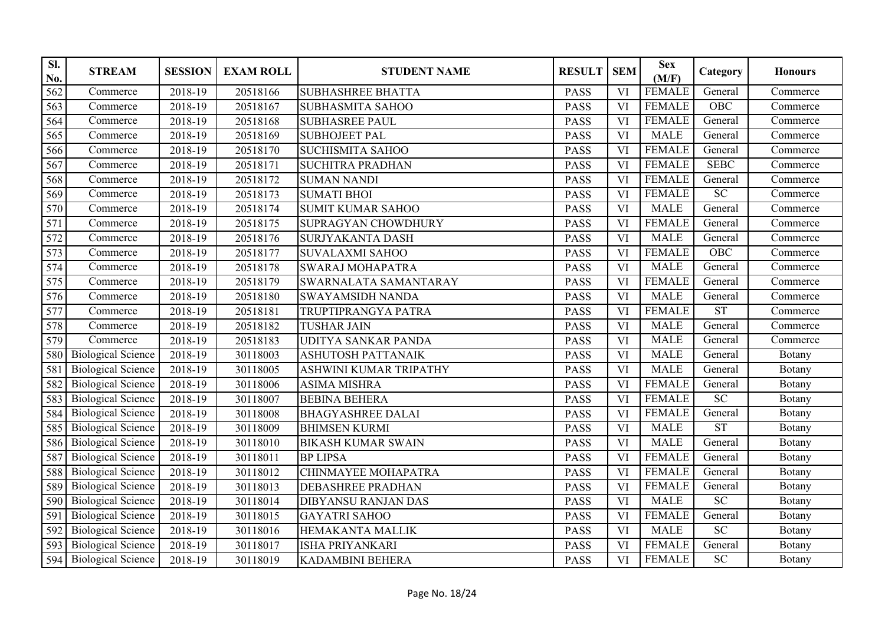| SI.<br>No.      | <b>STREAM</b>             | <b>SESSION</b> | <b>EXAM ROLL</b> | <b>STUDENT NAME</b>        | <b>RESULT</b> | <b>SEM</b>             | <b>Sex</b><br>(M/F) | Category                   | <b>Honours</b> |
|-----------------|---------------------------|----------------|------------------|----------------------------|---------------|------------------------|---------------------|----------------------------|----------------|
| 562             | Commerce                  | 2018-19        | 20518166         | <b>SUBHASHREE BHATTA</b>   | <b>PASS</b>   | VI                     | <b>FEMALE</b>       | General                    | Commerce       |
| 563             | Commerce                  | 2018-19        | 20518167         | <b>SUBHASMITA SAHOO</b>    | <b>PASS</b>   | VI                     | <b>FEMALE</b>       | OBC                        | Commerce       |
| 564             | Commerce                  | 2018-19        | 20518168         | <b>SUBHASREE PAUL</b>      | <b>PASS</b>   | VI                     | <b>FEMALE</b>       | General                    | Commerce       |
| 565             | Commerce                  | 2018-19        | 20518169         | <b>SUBHOJEET PAL</b>       | <b>PASS</b>   | VI                     | <b>MALE</b>         | General                    | Commerce       |
| 566             | Commerce                  | 2018-19        | 20518170         | <b>SUCHISMITA SAHOO</b>    | <b>PASS</b>   | VI                     | <b>FEMALE</b>       | General                    | Commerce       |
| 567             | Commerce                  | 2018-19        | 20518171         | <b>SUCHITRA PRADHAN</b>    | <b>PASS</b>   | <b>VI</b>              | <b>FEMALE</b>       | <b>SEBC</b>                | Commerce       |
| 568             | Commerce                  | 2018-19        | 20518172         | <b>SUMAN NANDI</b>         | <b>PASS</b>   | <b>VI</b>              | <b>FEMALE</b>       | General                    | Commerce       |
| 569             | Commerce                  | 2018-19        | 20518173         | <b>SUMATI BHOI</b>         | <b>PASS</b>   | <b>VI</b>              | <b>FEMALE</b>       | SC                         | Commerce       |
| 570             | Commerce                  | 2018-19        | 20518174         | <b>SUMIT KUMAR SAHOO</b>   | <b>PASS</b>   | VI                     | <b>MALE</b>         | General                    | Commerce       |
| 571             | Commerce                  | 2018-19        | 20518175         | SUPRAGYAN CHOWDHURY        | <b>PASS</b>   | VI                     | <b>FEMALE</b>       | General                    | Commerce       |
| 572             | Commerce                  | 2018-19        | 20518176         | SURJYAKANTA DASH           | <b>PASS</b>   | <b>VI</b>              | <b>MALE</b>         | General                    | Commerce       |
| 573             | Commerce                  | 2018-19        | 20518177         | <b>SUVALAXMI SAHOO</b>     | <b>PASS</b>   | <b>VI</b>              | <b>FEMALE</b>       | OBC                        | Commerce       |
| 574             | Commerce                  | 2018-19        | 20518178         | <b>SWARAJ MOHAPATRA</b>    | <b>PASS</b>   | VI                     | <b>MALE</b>         | General                    | Commerce       |
| 575             | Commerce                  | 2018-19        | 20518179         | SWARNALATA SAMANTARAY      | <b>PASS</b>   | VI                     | <b>FEMALE</b>       | General                    | Commerce       |
| 576             | Commerce                  | 2018-19        | 20518180         | <b>SWAYAMSIDH NANDA</b>    | <b>PASS</b>   | VI                     | <b>MALE</b>         | General                    | Commerce       |
| 577             | Commerce                  | 2018-19        | 20518181         | TRUPTIPRANGYA PATRA        | <b>PASS</b>   | <b>VI</b>              | <b>FEMALE</b>       | ST                         | Commerce       |
| 578             | Commerce                  | 2018-19        | 20518182         | <b>TUSHAR JAIN</b>         | <b>PASS</b>   | VI                     | <b>MALE</b>         | General                    | Commerce       |
| 579             | Commerce                  | $2018-19$      | 20518183         | <b>UDITYA SANKAR PANDA</b> | <b>PASS</b>   | VI                     | <b>MALE</b>         | General                    | Commerce       |
| 580             | <b>Biological Science</b> | 2018-19        | 30118003         | ASHUTOSH PATTANAIK         | <b>PASS</b>   | <b>VI</b>              | <b>MALE</b>         | General                    | <b>Botany</b>  |
| 581             | <b>Biological Science</b> | 2018-19        | 30118005         | ASHWINI KUMAR TRIPATHY     | <b>PASS</b>   | $\overline{\text{VI}}$ | <b>MALE</b>         | General                    | <b>B</b> otany |
| 582             | <b>Biological Science</b> | 2018-19        | 30118006         | <b>ASIMA MISHRA</b>        | <b>PASS</b>   | VI                     | <b>FEMALE</b>       | General                    | <b>B</b> otany |
| 583             | <b>Biological Science</b> | 2018-19        | 30118007         | <b>BEBINA BEHERA</b>       | <b>PASS</b>   | <b>VI</b>              | <b>FEMALE</b>       | SC                         | <b>B</b> otany |
| 584             | <b>Biological Science</b> | 2018-19        | 30118008         | <b>BHAGYASHREE DALAI</b>   | <b>PASS</b>   | VI                     | <b>FEMALE</b>       | General                    | Botany         |
| 585             | <b>Biological Science</b> | 2018-19        | 30118009         | <b>BHIMSEN KURMI</b>       | <b>PASS</b>   | <b>VI</b>              | <b>MALE</b>         | <b>ST</b>                  | Botany         |
| 586             | <b>Biological Science</b> | 2018-19        | 30118010         | <b>BIKASH KUMAR SWAIN</b>  | <b>PASS</b>   | VI                     | <b>MALE</b>         | General                    | Botany         |
| 587             | <b>Biological Science</b> | 2018-19        | 30118011         | <b>BP LIPSA</b>            | <b>PASS</b>   | VI                     | <b>FEMALE</b>       | General                    | Botany         |
| 588             | <b>Biological Science</b> | 2018-19        | 30118012         | CHINMAYEE MOHAPATRA        | <b>PASS</b>   | VI                     | <b>FEMALE</b>       | General                    | <b>B</b> otany |
| 589             | <b>Biological Science</b> | 2018-19        | 30118013         | <b>DEBASHREE PRADHAN</b>   | <b>PASS</b>   | <b>VI</b>              | <b>FEMALE</b>       | General                    | <b>Botany</b>  |
| 590             | <b>Biological Science</b> | $2018-19$      | 30118014         | <b>DIBYANSU RANJAN DAS</b> | <b>PASS</b>   | <b>VI</b>              | <b>MALE</b>         | SC                         | <b>Botany</b>  |
| $\overline{59}$ | <b>Biological Science</b> | 2018-19        | 30118015         | <b>GAYATRI SAHOO</b>       | <b>PASS</b>   | <b>VI</b>              | <b>FEMALE</b>       | General                    | Botany         |
| 592             | <b>Biological Science</b> | 2018-19        | 30118016         | <b>HEMAKANTA MALLIK</b>    | <b>PASS</b>   | $\overline{\text{VI}}$ | <b>MALE</b>         | SC                         | Botany         |
| 593             | <b>Biological Science</b> | $2018 - 19$    | 30118017         | <b>ISHA PRIYANKARI</b>     | <b>PASS</b>   | VI                     | FEMALE              | General                    | Botany         |
| 594             | <b>Biological Science</b> | 2018-19        | 30118019         | KADAMBINI BEHERA           | <b>PASS</b>   | VI                     | <b>FEMALE</b>       | $\ensuremath{\mathbf{SC}}$ | Botany         |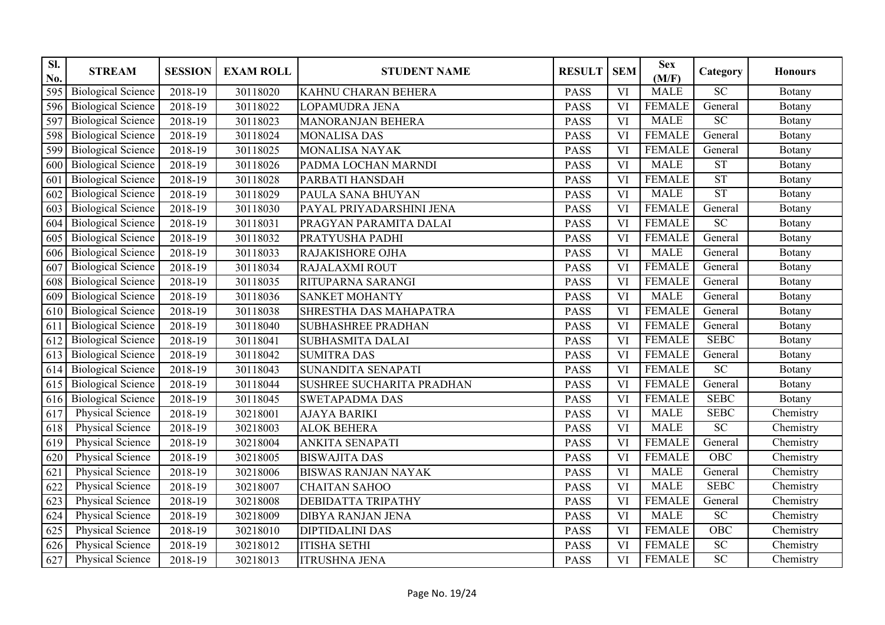| SI.<br>No. | <b>STREAM</b>             | <b>SESSION</b>       | <b>EXAM ROLL</b> | <b>STUDENT NAME</b>        | <b>RESULT</b> | <b>SEM</b>             | <b>Sex</b><br>(M/F) | Category               | <b>Honours</b> |
|------------|---------------------------|----------------------|------------------|----------------------------|---------------|------------------------|---------------------|------------------------|----------------|
| 595        | <b>Biological Science</b> | 2018-19              | 30118020         | KAHNU CHARAN BEHERA        | <b>PASS</b>   | VI                     | <b>MALE</b>         | $\overline{SC}$        | Botany         |
| 596        | <b>Biological Science</b> | 2018-19              | 30118022         | LOPAMUDRA JENA             | <b>PASS</b>   | VI                     | <b>FEMALE</b>       | General                | Botany         |
| 597        | <b>Biological Science</b> | 2018-19              | 30118023         | MANORANJAN BEHERA          | <b>PASS</b>   | VI                     | <b>MALE</b>         | $\overline{SC}$        | Botany         |
| 598        | <b>Biological Science</b> | 2018-19              | 30118024         | <b>MONALISA DAS</b>        | <b>PASS</b>   | VI                     | <b>FEMALE</b>       | General                | <b>Botany</b>  |
| 599        | <b>Biological Science</b> | 2018-19              | 30118025         | <b>MONALISA NAYAK</b>      | <b>PASS</b>   | VI                     | <b>FEMALE</b>       | General                | Botany         |
| 600        | <b>Biological Science</b> | 2018-19              | 30118026         | PADMA LOCHAN MARNDI        | <b>PASS</b>   | <b>VI</b>              | <b>MALE</b>         | ST                     | Botany         |
| 601        | <b>Biological Science</b> | 2018-19              | 30118028         | PARBATI HANSDAH            | <b>PASS</b>   | <b>VI</b>              | <b>FEMALE</b>       | ST                     | Botany         |
| 602        | <b>Biological Science</b> | 2018-19              | 30118029         | PAULA SANA BHUYAN          | <b>PASS</b>   | <b>VI</b>              | <b>MALE</b>         | $\overline{\text{ST}}$ | Botany         |
| 603        | <b>Biological Science</b> | 2018-19              | 30118030         | PAYAL PRIYADARSHINI JENA   | <b>PASS</b>   | VI                     | <b>FEMALE</b>       | General                | Botany         |
| 604        | <b>Biological Science</b> | 2018-19              | 30118031         | PRAGYAN PARAMITA DALAI     | <b>PASS</b>   | VI                     | <b>FEMALE</b>       | <b>SC</b>              | Botany         |
| 605        | <b>Biological Science</b> | 2018-19              | 30118032         | PRATYUSHA PADHI            | <b>PASS</b>   | VI                     | <b>FEMALE</b>       | General                | Botany         |
| 606        | <b>Biological Science</b> | 2018-19              | 30118033         | RAJAKISHORE OJHA           | <b>PASS</b>   | <b>VI</b>              | <b>MALE</b>         | General                | Botany         |
| 607        | <b>Biological Science</b> | 2018-19              | 30118034         | RAJALAXMI ROUT             | <b>PASS</b>   | VI                     | <b>FEMALE</b>       | General                | Botany         |
| 608        | <b>Biological Science</b> | 2018-19              | 30118035         | RITUPARNA SARANGI          | <b>PASS</b>   | $\overline{\text{VI}}$ | <b>FEMALE</b>       | General                | Botany         |
| 609        | <b>Biological Science</b> | 2018-19              | 30118036         | <b>SANKET MOHANTY</b>      | <b>PASS</b>   | <b>VI</b>              | <b>MALE</b>         | General                | Botany         |
| 610        | <b>Biological Science</b> | 2018-19              | 30118038         | SHRESTHA DAS MAHAPATRA     | <b>PASS</b>   | <b>VI</b>              | <b>FEMALE</b>       | General                | Botany         |
| 611        | <b>Biological Science</b> | 2018-19              | 30118040         | <b>SUBHASHREE PRADHAN</b>  | <b>PASS</b>   | VI                     | <b>FEMALE</b>       | General                | Botany         |
| 612        | <b>Biological Science</b> | 2018-19              | 30118041         | <b>SUBHASMITA DALAI</b>    | <b>PASS</b>   | VI                     | <b>FEMALE</b>       | <b>SEBC</b>            | Botany         |
| 613        | <b>Biological Science</b> | 2018-19              | 30118042         | <b>SUMITRA DAS</b>         | <b>PASS</b>   | <b>VI</b>              | <b>FEMALE</b>       | General                | Botany         |
| 614        | <b>Biological Science</b> | 2018-19              | 30118043         | <b>SUNANDITA SENAPATI</b>  | <b>PASS</b>   | VI                     | <b>FEMALE</b>       | SC                     | <b>B</b> otany |
| 615        | <b>Biological Science</b> | 2018-19              | 30118044         | SUSHREE SUCHARITA PRADHAN  | <b>PASS</b>   | VI                     | <b>FEMALE</b>       | General                | <b>Botany</b>  |
| 616        | <b>Biological Science</b> | 2018-19              | 30118045         | <b>SWETAPADMA DAS</b>      | <b>PASS</b>   | VI                     | <b>FEMALE</b>       | <b>SEBC</b>            | <b>Botany</b>  |
| 617        | <b>Physical Science</b>   | 2018-19              | 30218001         | <b>AJAYA BARIKI</b>        | <b>PASS</b>   | VI                     | <b>MALE</b>         | <b>SEBC</b>            | Chemistry      |
| 618        | <b>Physical Science</b>   | 2018-19              | 30218003         | <b>ALOK BEHERA</b>         | <b>PASS</b>   | $\overline{\text{VI}}$ | <b>MALE</b>         | $\overline{SC}$        | Chemistry      |
| 619        | Physical Science          | 2018-19              | 30218004         | ANKITA SENAPATI            | <b>PASS</b>   | VI                     | <b>FEMALE</b>       | General                | Chemistry      |
| 620        | Physical Science          | $\overline{2018-19}$ | 30218005         | <b>BISWAJITA DAS</b>       | <b>PASS</b>   | VI                     | <b>FEMALE</b>       | OBC                    | Chemistry      |
| 621        | Physical Science          | 2018-19              | 30218006         | <b>BISWAS RANJAN NAYAK</b> | <b>PASS</b>   | VI                     | <b>MALE</b>         | General                | Chemistry      |
| 622        | <b>Physical Science</b>   | 2018-19              | 30218007         | <b>CHAITAN SAHOO</b>       | <b>PASS</b>   | <b>VI</b>              | <b>MALE</b>         | <b>SEBC</b>            | Chemistry      |
| 623        | <b>Physical Science</b>   | 2018-19              | 30218008         | DEBIDATTA TRIPATHY         | <b>PASS</b>   | VI                     | <b>FEMALE</b>       | General                | Chemistry      |
| 624        | <b>Physical Science</b>   | 2018-19              | 30218009         | <b>DIBYA RANJAN JENA</b>   | <b>PASS</b>   | $\overline{\text{VI}}$ | <b>MALE</b>         | $\overline{SC}$        | Chemistry      |
| 625        | <b>Physical Science</b>   | 2018-19              | 30218010         | <b>DIPTIDALINI DAS</b>     | <b>PASS</b>   | <b>VI</b>              | <b>FEMALE</b>       | OBC                    | Chemistry      |
| 626        | <b>Physical Science</b>   | 2018-19              | 30218012         | <b>ITISHA SETHI</b>        | <b>PASS</b>   | VI                     | <b>FEMALE</b>       | $\overline{SC}$        | Chemistry      |
| 627        | Physical Science          | 2018-19              | 30218013         | <b>ITRUSHNA JENA</b>       | <b>PASS</b>   | VI                     | <b>FEMALE</b>       | $\overline{SC}$        | Chemistry      |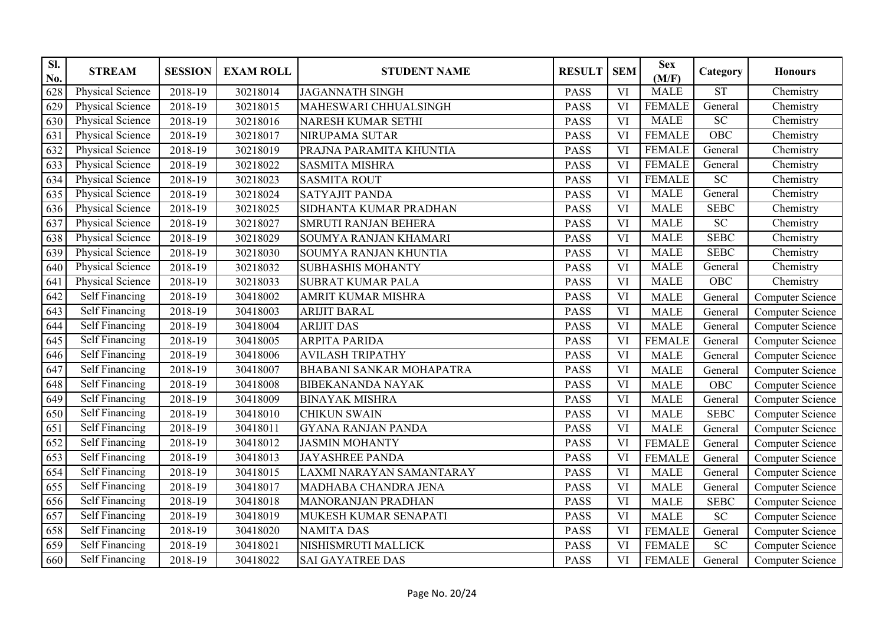| Sl.<br>No. | <b>STREAM</b>           | <b>SESSION</b> | <b>EXAM ROLL</b> | <b>STUDENT NAME</b>             | <b>RESULT</b> | <b>SEM</b> | <b>Sex</b><br>(M/F) | Category               | <b>Honours</b>          |
|------------|-------------------------|----------------|------------------|---------------------------------|---------------|------------|---------------------|------------------------|-------------------------|
| 628        | Physical Science        | 2018-19        | 30218014         | <b>JAGANNATH SINGH</b>          | <b>PASS</b>   | VI         | <b>MALE</b>         | $\overline{\text{ST}}$ | Chemistry               |
| 629        | Physical Science        | 2018-19        | 30218015         | MAHESWARI CHHUALSINGH           | <b>PASS</b>   | VI         | <b>FEMALE</b>       | General                | Chemistry               |
| 630        | Physical Science        | 2018-19        | 30218016         | NARESH KUMAR SETHI              | <b>PASS</b>   | VI         | MALE                | SC                     | Chemistry               |
| 631        | Physical Science        | 2018-19        | 30218017         | <b>NIRUPAMA SUTAR</b>           | <b>PASS</b>   | VI         | <b>FEMALE</b>       | OBC                    | Chemistry               |
| 632        | <b>Physical Science</b> | 2018-19        | 30218019         | PRAJNA PARAMITA KHUNTIA         | <b>PASS</b>   | VI         | <b>FEMALE</b>       | General                | Chemistry               |
| 633        | Physical Science        | 2018-19        | 30218022         | <b>SASMITA MISHRA</b>           | <b>PASS</b>   | VI         | <b>FEMALE</b>       | General                | Chemistry               |
| 634        | <b>Physical Science</b> | 2018-19        | 30218023         | <b>SASMITA ROUT</b>             | <b>PASS</b>   | VI         | <b>FEMALE</b>       | $\overline{SC}$        | Chemistry               |
| 635        | Physical Science        | 2018-19        | 30218024         | <b>SATYAJIT PANDA</b>           | <b>PASS</b>   | VI         | <b>MALE</b>         | General                | Chemistry               |
| 636        | Physical Science        | 2018-19        | 30218025         | SIDHANTA KUMAR PRADHAN          | <b>PASS</b>   | VI         | <b>MALE</b>         | <b>SEBC</b>            | Chemistry               |
| 637        | Physical Science        | 2018-19        | 30218027         | <b>SMRUTI RANJAN BEHERA</b>     | <b>PASS</b>   | VI         | <b>MALE</b>         | $\overline{SC}$        | Chemistry               |
| 638        | <b>Physical Science</b> | 2018-19        | 30218029         | <b>SOUMYA RANJAN KHAMARI</b>    | <b>PASS</b>   | VI         | <b>MALE</b>         | <b>SEBC</b>            | Chemistry               |
| 639        | <b>Physical Science</b> | 2018-19        | 30218030         | SOUMYA RANJAN KHUNTIA           | <b>PASS</b>   | VI         | <b>MALE</b>         | <b>SEBC</b>            | Chemistry               |
| 640        | <b>Physical Science</b> | 2018-19        | 30218032         | <b>SUBHASHIS MOHANTY</b>        | <b>PASS</b>   | VI         | <b>MALE</b>         | General                | Chemistry               |
| 641        | <b>Physical Science</b> | 2018-19        | 30218033         | <b>SUBRAT KUMAR PALA</b>        | <b>PASS</b>   | <b>VI</b>  | <b>MALE</b>         | OBC                    | Chemistry               |
| 642        | <b>Self Financing</b>   | 2018-19        | 30418002         | <b>AMRIT KUMAR MISHRA</b>       | <b>PASS</b>   | VI         | <b>MALE</b>         | General                | Computer Science        |
| 643        | Self Financing          | 2018-19        | 30418003         | <b>ARIJIT BARAL</b>             | <b>PASS</b>   | VI         | <b>MALE</b>         | General                | Computer Science        |
| 644        | Self Financing          | 2018-19        | 30418004         | <b>ARIJIT DAS</b>               | <b>PASS</b>   | <b>VI</b>  | <b>MALE</b>         | General                | Computer Science        |
| 645        | <b>Self Financing</b>   | 2018-19        | 30418005         | <b>ARPITA PARIDA</b>            | <b>PASS</b>   | VI         | <b>FEMALE</b>       | General                | <b>Computer Science</b> |
| 646        | Self Financing          | 2018-19        | 30418006         | <b>AVILASH TRIPATHY</b>         | <b>PASS</b>   | VI         | <b>MALE</b>         | General                | <b>Computer Science</b> |
| 647        | <b>Self Financing</b>   | 2018-19        | 30418007         | <b>BHABANI SANKAR MOHAPATRA</b> | <b>PASS</b>   | VI         | <b>MALE</b>         | General                | <b>Computer Science</b> |
| 648        | Self Financing          | 2018-19        | 30418008         | <b>BIBEKANANDA NAYAK</b>        | <b>PASS</b>   | VI         | <b>MALE</b>         | <b>OBC</b>             | <b>Computer Science</b> |
| 649        | <b>Self Financing</b>   | $2018-19$      | 30418009         | <b>BINAYAK MISHRA</b>           | <b>PASS</b>   | <b>VI</b>  | <b>MALE</b>         | General                | <b>Computer Science</b> |
| 650        | Self Financing          | 2018-19        | 30418010         | <b>CHIKUN SWAIN</b>             | <b>PASS</b>   | VI         | <b>MALE</b>         | <b>SEBC</b>            | <b>Computer Science</b> |
| 651        | Self Financing          | 2018-19        | 30418011         | <b>GYANA RANJAN PANDA</b>       | <b>PASS</b>   | VI         | <b>MALE</b>         | General                | Computer Science        |
| 652        | Self Financing          | 2018-19        | 30418012         | <b>JASMIN MOHANTY</b>           | <b>PASS</b>   | VI         | <b>FEMALE</b>       | General                | <b>Computer Science</b> |
| 653        | Self Financing          | 2018-19        | 30418013         | <b>JAYASHREE PANDA</b>          | <b>PASS</b>   | VI         | <b>FEMALE</b>       | General                | <b>Computer Science</b> |
| 654        | Self Financing          | 2018-19        | 30418015         | LAXMI NARAYAN SAMANTARAY        | <b>PASS</b>   | VI         | <b>MALE</b>         | General                | Computer Science        |
| 655        | Self Financing          | 2018-19        | 30418017         | MADHABA CHANDRA JENA            | <b>PASS</b>   | VI         | <b>MALE</b>         | General                | Computer Science        |
| 656        | Self Financing          | 2018-19        | 30418018         | <b>MANORANJAN PRADHAN</b>       | <b>PASS</b>   | VI         | <b>MALE</b>         | <b>SEBC</b>            | <b>Computer Science</b> |
| 657        | Self Financing          | 2018-19        | 30418019         | MUKESH KUMAR SENAPATI           | <b>PASS</b>   | VI         | <b>MALE</b>         | SC                     | <b>Computer Science</b> |
| 658        | Self Financing          | 2018-19        | 30418020         | <b>NAMITA DAS</b>               | <b>PASS</b>   | VI         | <b>FEMALE</b>       | General                | Computer Science        |
| 659        | <b>Self Financing</b>   | 2018-19        | 30418021         | NISHISMRUTI MALLICK             | <b>PASS</b>   | VI         | <b>FEMALE</b>       | SC                     | Computer Science        |
| 660        | Self Financing          | 2018-19        | 30418022         | <b>SAI GAYATREE DAS</b>         | <b>PASS</b>   | VI         | <b>FEMALE</b>       | General                | Computer Science        |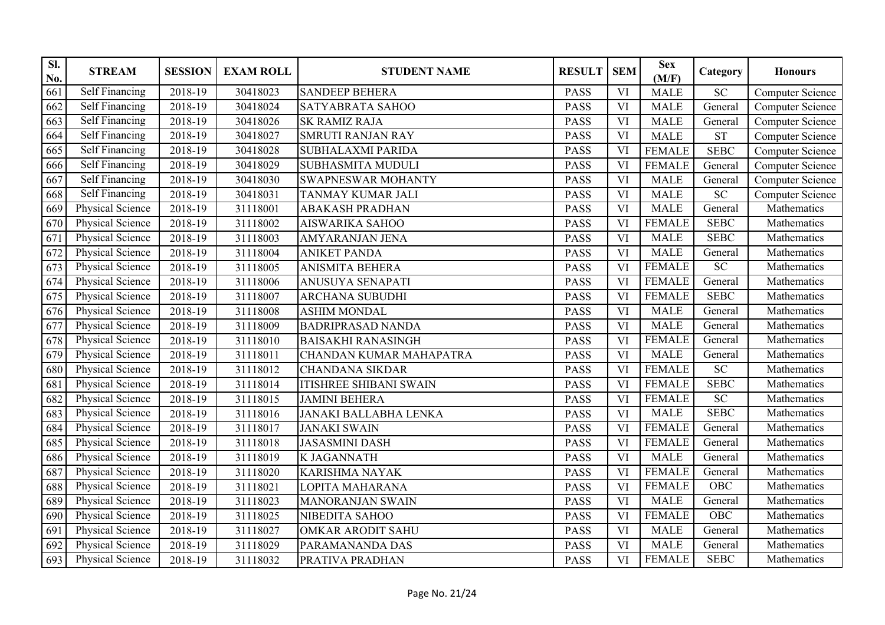| SI.<br>No. | <b>STREAM</b>           | <b>SESSION</b> | <b>EXAM ROLL</b> | <b>STUDENT NAME</b>            | <b>RESULT</b> | <b>SEM</b>             | <b>Sex</b><br>(M/F) | Category    | <b>Honours</b>          |
|------------|-------------------------|----------------|------------------|--------------------------------|---------------|------------------------|---------------------|-------------|-------------------------|
| 661        | Self Financing          | 2018-19        | 30418023         | <b>SANDEEP BEHERA</b>          | <b>PASS</b>   | VI                     | <b>MALE</b>         | <b>SC</b>   | <b>Computer Science</b> |
| 662        | Self Financing          | 2018-19        | 30418024         | <b>SATYABRATA SAHOO</b>        | <b>PASS</b>   | VI                     | <b>MALE</b>         | General     | <b>Computer Science</b> |
| 663        | <b>Self Financing</b>   | 2018-19        | 30418026         | <b>SK RAMIZ RAJA</b>           | <b>PASS</b>   | VI                     | <b>MALE</b>         | General     | <b>Computer Science</b> |
| 664        | Self Financing          | 2018-19        | 30418027         | <b>SMRUTI RANJAN RAY</b>       | <b>PASS</b>   | VI                     | <b>MALE</b>         | <b>ST</b>   | <b>Computer Science</b> |
| 665        | Self Financing          | 2018-19        | 30418028         | <b>SUBHALAXMI PARIDA</b>       | <b>PASS</b>   | VI                     | <b>FEMALE</b>       | <b>SEBC</b> | <b>Computer Science</b> |
| 666        | Self Financing          | 2018-19        | 30418029         | <b>SUBHASMITA MUDULI</b>       | <b>PASS</b>   | VI                     | <b>FEMALE</b>       | General     | <b>Computer Science</b> |
| 667        | <b>Self Financing</b>   | 2018-19        | 30418030         | <b>SWAPNESWAR MOHANTY</b>      | <b>PASS</b>   | VI                     | <b>MALE</b>         | General     | Computer Science        |
| 668        | Self Financing          | 2018-19        | 30418031         | TANMAY KUMAR JALI              | <b>PASS</b>   | VI                     | <b>MALE</b>         | ${\rm SC}$  | <b>Computer Science</b> |
| 669        | Physical Science        | 2018-19        | 31118001         | <b>ABAKASH PRADHAN</b>         | <b>PASS</b>   | VI                     | <b>MALE</b>         | General     | Mathematics             |
| 670        | Physical Science        | 2018-19        | 31118002         | <b>AISWARIKA SAHOO</b>         | <b>PASS</b>   | VI                     | <b>FEMALE</b>       | <b>SEBC</b> | Mathematics             |
| 671        | Physical Science        | 2018-19        | 31118003         | AMYARANJAN JENA                | <b>PASS</b>   | VI                     | <b>MALE</b>         | <b>SEBC</b> | Mathematics             |
| 672        | <b>Physical Science</b> | 2018-19        | 31118004         | <b>ANIKET PANDA</b>            | <b>PASS</b>   | VI                     | <b>MALE</b>         | General     | Mathematics             |
| 673        | Physical Science        | 2018-19        | 31118005         | <b>ANISMITA BEHERA</b>         | <b>PASS</b>   | <b>VI</b>              | <b>FEMALE</b>       | SC          | Mathematics             |
| 674        | Physical Science        | 2018-19        | 31118006         | ANUSUYA SENAPATI               | <b>PASS</b>   | $\overline{\text{VI}}$ | <b>FEMALE</b>       | General     | Mathematics             |
| 675        | Physical Science        | 2018-19        | 31118007         | <b>ARCHANA SUBUDHI</b>         | <b>PASS</b>   | VI                     | <b>FEMALE</b>       | <b>SEBC</b> | Mathematics             |
| 676        | Physical Science        | 2018-19        | 31118008         | <b>ASHIM MONDAL</b>            | <b>PASS</b>   | VI                     | <b>MALE</b>         | General     | Mathematics             |
| 677        | Physical Science        | 2018-19        | 31118009         | <b>BADRIPRASAD NANDA</b>       | <b>PASS</b>   | VI                     | <b>MALE</b>         | General     | Mathematics             |
| 678        | Physical Science        | 2018-19        | 31118010         | <b>BAISAKHI RANASINGH</b>      | <b>PASS</b>   | VI                     | <b>FEMALE</b>       | General     | Mathematics             |
| 679        | <b>Physical Science</b> | 2018-19        | 31118011         | <b>CHANDAN KUMAR MAHAPATRA</b> | <b>PASS</b>   | VI                     | <b>MALE</b>         | General     | Mathematics             |
| 680        | <b>Physical Science</b> | 2018-19        | 31118012         | <b>CHANDANA SIKDAR</b>         | <b>PASS</b>   | VI                     | <b>FEMALE</b>       | SC          | Mathematics             |
| 681        | Physical Science        | 2018-19        | 31118014         | <b>ITISHREE SHIBANI SWAIN</b>  | <b>PASS</b>   | VI                     | <b>FEMALE</b>       | <b>SEBC</b> | Mathematics             |
| 682        | Physical Science        | 2018-19        | 31118015         | <b>JAMINI BEHERA</b>           | <b>PASS</b>   | VI                     | <b>FEMALE</b>       | SC          | Mathematics             |
| 683        | Physical Science        | 2018-19        | 31118016         | JANAKI BALLABHA LENKA          | <b>PASS</b>   | VI                     | <b>MALE</b>         | <b>SEBC</b> | Mathematics             |
| 684        | Physical Science        | 2018-19        | 31118017         | <b>JANAKI SWAIN</b>            | <b>PASS</b>   | VI                     | <b>FEMALE</b>       | General     | Mathematics             |
| 685        | Physical Science        | 2018-19        | 31118018         | <b>JASASMINI DASH</b>          | <b>PASS</b>   | VI                     | <b>FEMALE</b>       | General     | Mathematics             |
| 686        | Physical Science        | 2018-19        | 31118019         | <b>K JAGANNATH</b>             | <b>PASS</b>   | <b>VI</b>              | <b>MALE</b>         | General     | Mathematics             |
| 687        | Physical Science        | 2018-19        | 31118020         | <b>KARISHMA NAYAK</b>          | <b>PASS</b>   | VI                     | <b>FEMALE</b>       | General     | Mathematics             |
| 688        | Physical Science        | 2018-19        | 31118021         | LOPITA MAHARANA                | <b>PASS</b>   | VI                     | <b>FEMALE</b>       | OBC         | Mathematics             |
| 689        | <b>Physical Science</b> | 2018-19        | 31118023         | <b>MANORANJAN SWAIN</b>        | <b>PASS</b>   | VI                     | <b>MALE</b>         | General     | Mathematics             |
| 690        | <b>Physical Science</b> | 2018-19        | 31118025         | NIBEDITA SAHOO                 | <b>PASS</b>   | <b>VI</b>              | <b>FEMALE</b>       | OBC         | Mathematics             |
| 691        | Physical Science        | 2018-19        | 31118027         | <b>OMKAR ARODIT SAHU</b>       | <b>PASS</b>   | <b>VI</b>              | <b>MALE</b>         | General     | Mathematics             |
| 692        | Physical Science        | 2018-19        | 31118029         | PARAMANANDA DAS                | <b>PASS</b>   | VI                     | <b>MALE</b>         | General     | Mathematics             |
| 693        | Physical Science        | 2018-19        | 31118032         | PRATIVA PRADHAN                | <b>PASS</b>   | VI                     | <b>FEMALE</b>       | <b>SEBC</b> | Mathematics             |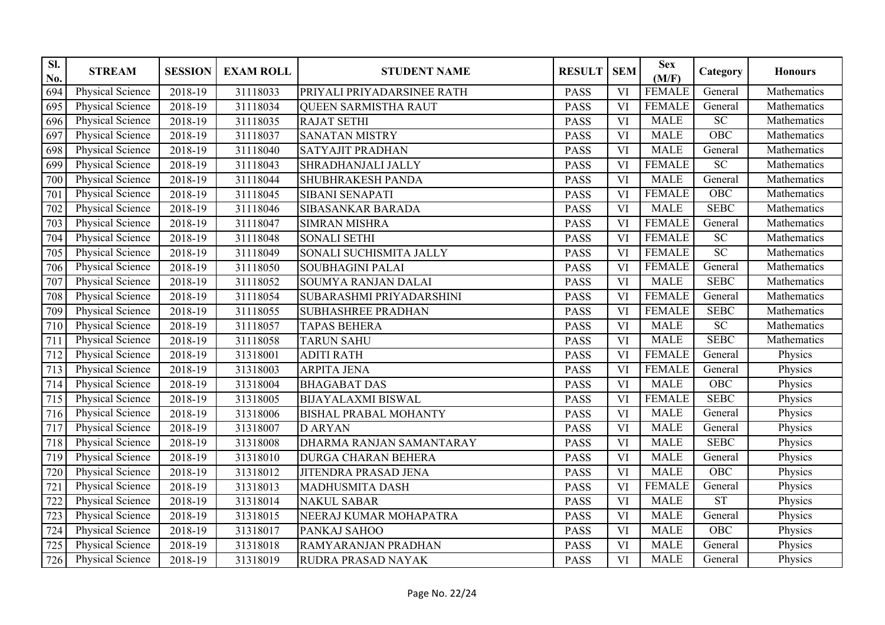| SI.<br>No.      | <b>STREAM</b>           | <b>SESSION</b> | <b>EXAM ROLL</b> | <b>STUDENT NAME</b>          | <b>RESULT</b> | <b>SEM</b>             | <b>Sex</b><br>(M/F) | Category         | <b>Honours</b> |
|-----------------|-------------------------|----------------|------------------|------------------------------|---------------|------------------------|---------------------|------------------|----------------|
| 694             | Physical Science        | 2018-19        | 31118033         | PRIYALI PRIYADARSINEE RATH   | <b>PASS</b>   | VI                     | <b>FEMALE</b>       | General          | Mathematics    |
| 695             | Physical Science        | 2018-19        | 31118034         | <b>QUEEN SARMISTHA RAUT</b>  | <b>PASS</b>   | <b>VI</b>              | <b>FEMALE</b>       | General          | Mathematics    |
| 696             | Physical Science        | 2018-19        | 31118035         | <b>RAJAT SETHI</b>           | <b>PASS</b>   | VI                     | <b>MALE</b>         | $\overline{SC}$  | Mathematics    |
| 697             | Physical Science        | 2018-19        | 31118037         | <b>SANATAN MISTRY</b>        | <b>PASS</b>   | VI                     | <b>MALE</b>         | $\overline{OBC}$ | Mathematics    |
| 698             | Physical Science        | 2018-19        | 31118040         | <b>SATYAJIT PRADHAN</b>      | <b>PASS</b>   | VI                     | <b>MALE</b>         | General          | Mathematics    |
| 699             | <b>Physical Science</b> | 2018-19        | 31118043         | SHRADHANJALI JALLY           | <b>PASS</b>   | VI                     | <b>FEMALE</b>       | $\overline{SC}$  | Mathematics    |
| 700             | Physical Science        | 2018-19        | 31118044         | <b>SHUBHRAKESH PANDA</b>     | <b>PASS</b>   | <b>VI</b>              | <b>MALE</b>         | General          | Mathematics    |
| 701             | Physical Science        | 2018-19        | 31118045         | SIBANI SENAPATI              | <b>PASS</b>   | VI                     | <b>FEMALE</b>       | OBC              | Mathematics    |
| 702             | Physical Science        | 2018-19        | 31118046         | SIBASANKAR BARADA            | PASS          | VI                     | <b>MALE</b>         | <b>SEBC</b>      | Mathematics    |
| 703             | Physical Science        | 2018-19        | 31118047         | <b>SIMRAN MISHRA</b>         | <b>PASS</b>   | VI                     | <b>FEMALE</b>       | General          | Mathematics    |
| 704             | Physical Science        | 2018-19        | 31118048         | <b>SONALI SETHI</b>          | PASS          | VI                     | <b>FEMALE</b>       | $\overline{SC}$  | Mathematics    |
| 705             | Physical Science        | 2018-19        | 31118049         | SONALI SUCHISMITA JALLY      | <b>PASS</b>   | VI                     | <b>FEMALE</b>       | SC               | Mathematics    |
| 706             | <b>Physical Science</b> | 2018-19        | 31118050         | <b>SOUBHAGINI PALAI</b>      | <b>PASS</b>   | VI                     | <b>FEMALE</b>       | General          | Mathematics    |
| 707             | <b>Physical Science</b> | 2018-19        | 31118052         | <b>SOUMYA RANJAN DALAI</b>   | <b>PASS</b>   | $\overline{\text{VI}}$ | <b>MALE</b>         | <b>SEBC</b>      | Mathematics    |
| 708             | Physical Science        | 2018-19        | 31118054         | SUBARASHMI PRIYADARSHINI     | <b>PASS</b>   | VI                     | <b>FEMALE</b>       | General          | Mathematics    |
| 709             | Physical Science        | 2018-19        | 31118055         | <b>SUBHASHREE PRADHAN</b>    | <b>PASS</b>   | VI                     | <b>FEMALE</b>       | <b>SEBC</b>      | Mathematics    |
| 710             | Physical Science        | 2018-19        | 31118057         | <b>TAPAS BEHERA</b>          | PASS          | VI                     | <b>MALE</b>         | $\overline{SC}$  | Mathematics    |
| 711             | Physical Science        | 2018-19        | 31118058         | <b>TARUN SAHU</b>            | <b>PASS</b>   | VI                     | <b>MALE</b>         | <b>SEBC</b>      | Mathematics    |
| 712             | Physical Science        | 2018-19        | 31318001         | <b>ADITI RATH</b>            | <b>PASS</b>   | VI                     | <b>FEMALE</b>       | General          | Physics        |
| 713             | Physical Science        | 2018-19        | 31318003         | <b>ARPITA JENA</b>           | <b>PASS</b>   | VI                     | <b>FEMALE</b>       | General          | Physics        |
| 714             | Physical Science        | 2018-19        | 31318004         | <b>BHAGABAT DAS</b>          | <b>PASS</b>   | VI                     | <b>MALE</b>         | OBC              | Physics        |
| 715             | <b>Physical Science</b> | 2018-19        | 31318005         | <b>BIJAYALAXMI BISWAL</b>    | <b>PASS</b>   | VI                     | <b>FEMALE</b>       | <b>SEBC</b>      | Physics        |
| 716             | Physical Science        | 2018-19        | 31318006         | <b>BISHAL PRABAL MOHANTY</b> | <b>PASS</b>   | VI                     | <b>MALE</b>         | General          | Physics        |
| 717             | Physical Science        | 2018-19        | 31318007         | <b>D ARYAN</b>               | <b>PASS</b>   | VI                     | <b>MALE</b>         | General          | Physics        |
| 718             | Physical Science        | 2018-19        | 31318008         | DHARMA RANJAN SAMANTARAY     | <b>PASS</b>   | VI                     | <b>MALE</b>         | <b>SEBC</b>      | Physics        |
| 719             | Physical Science        | 2018-19        | 31318010         | <b>DURGA CHARAN BEHERA</b>   | <b>PASS</b>   | VI                     | <b>MALE</b>         | General          | Physics        |
| 720             | Physical Science        | 2018-19        | 31318012         | JITENDRA PRASAD JENA         | <b>PASS</b>   | VI                     | <b>MALE</b>         | <b>OBC</b>       | Physics        |
| $\overline{72}$ | Physical Science        | 2018-19        | 31318013         | <b>MADHUSMITA DASH</b>       | <b>PASS</b>   | VI                     | <b>FEMALE</b>       | General          | Physics        |
| 722             | <b>Physical Science</b> | 2018-19        | 31318014         | <b>NAKUL SABAR</b>           | <b>PASS</b>   | VI                     | <b>MALE</b>         | ST               | Physics        |
| 723             | <b>Physical Science</b> | 2018-19        | 31318015         | NEERAJ KUMAR MOHAPATRA       | <b>PASS</b>   | VI                     | <b>MALE</b>         | General          | Physics        |
| 724             | <b>Physical Science</b> | 2018-19        | 31318017         | PANKAJ SAHOO                 | <b>PASS</b>   | <b>VI</b>              | <b>MALE</b>         | $\overline{OBC}$ | Physics        |
| 725             | Physical Science        | 2018-19        | 31318018         | RAMYARANJAN PRADHAN          | <b>PASS</b>   | VI                     | <b>MALE</b>         | General          | Physics        |
| 726             | Physical Science        | 2018-19        | 31318019         | RUDRA PRASAD NAYAK           | <b>PASS</b>   | VI                     | <b>MALE</b>         | General          | Physics        |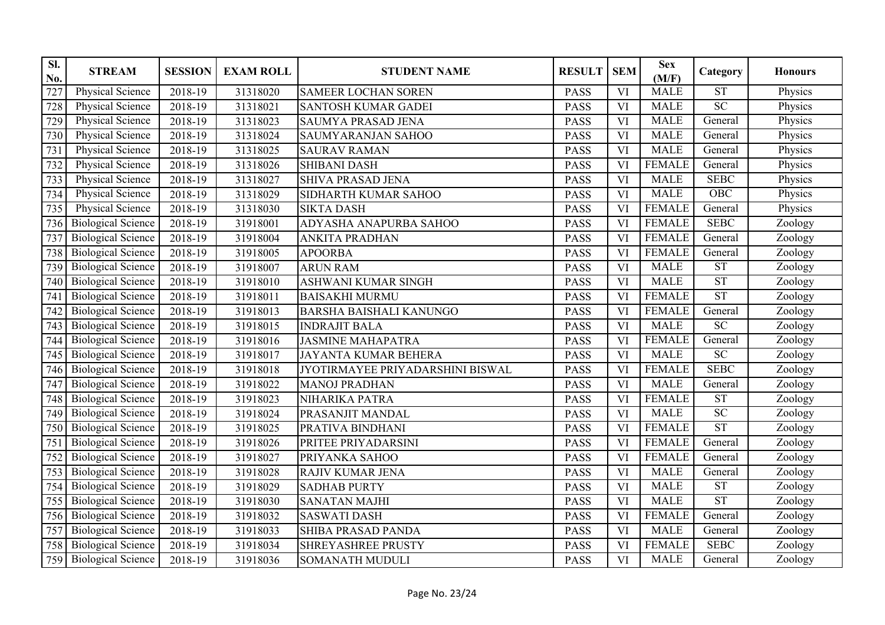| SI.<br>No. | <b>STREAM</b>             | <b>SESSION</b> | <b>EXAM ROLL</b> | <b>STUDENT NAME</b>              | <b>RESULT</b> | <b>SEM</b>             | <b>Sex</b><br>(M/F) | Category               | <b>Honours</b> |
|------------|---------------------------|----------------|------------------|----------------------------------|---------------|------------------------|---------------------|------------------------|----------------|
| 727        | Physical Science          | 2018-19        | 31318020         | <b>SAMEER LOCHAN SOREN</b>       | <b>PASS</b>   | VI                     | <b>MALE</b>         | $\overline{\text{ST}}$ | Physics        |
| 728        | Physical Science          | 2018-19        | 31318021         | SANTOSH KUMAR GADEI              | <b>PASS</b>   | <b>VI</b>              | <b>MALE</b>         | $\overline{SC}$        | Physics        |
| 729        | <b>Physical Science</b>   | 2018-19        | 31318023         | SAUMYA PRASAD JENA               | <b>PASS</b>   | VI                     | <b>MALE</b>         | General                | Physics        |
| 730        | <b>Physical Science</b>   | 2018-19        | 31318024         | <b>SAUMYARANJAN SAHOO</b>        | <b>PASS</b>   | VI                     | <b>MALE</b>         | General                | Physics        |
| 731        | <b>Physical Science</b>   | 2018-19        | 31318025         | <b>SAURAV RAMAN</b>              | <b>PASS</b>   | VI                     | <b>MALE</b>         | General                | Physics        |
| 732        | <b>Physical Science</b>   | 2018-19        | 31318026         | <b>SHIBANI DASH</b>              | <b>PASS</b>   | VI                     | <b>FEMALE</b>       | General                | Physics        |
| 733        | <b>Physical Science</b>   | 2018-19        | 31318027         | SHIVA PRASAD JENA                | <b>PASS</b>   | <b>VI</b>              | <b>MALE</b>         | <b>SEBC</b>            | Physics        |
| 734        | <b>Physical Science</b>   | 2018-19        | 31318029         | SIDHARTH KUMAR SAHOO             | <b>PASS</b>   | VI                     | <b>MALE</b>         | OBC                    | Physics        |
| 735        | Physical Science          | 2018-19        | 31318030         | <b>SIKTA DASH</b>                | <b>PASS</b>   | VI                     | <b>FEMALE</b>       | General                | Physics        |
| 736        | <b>Biological Science</b> | 2018-19        | 31918001         | ADYASHA ANAPURBA SAHOO           | <b>PASS</b>   | VI                     | <b>FEMALE</b>       | <b>SEBC</b>            | Zoology        |
| 737        | <b>Biological Science</b> | 2018-19        | 31918004         | <b>ANKITA PRADHAN</b>            | <b>PASS</b>   | VI                     | <b>FEMALE</b>       | General                | Zoology        |
| 738        | <b>Biological Science</b> | 2018-19        | 31918005         | <b>APOORBA</b>                   | <b>PASS</b>   | VI                     | <b>FEMALE</b>       | General                | Zoology        |
| 739        | <b>Biological Science</b> | 2018-19        | 31918007         | <b>ARUN RAM</b>                  | <b>PASS</b>   | VI                     | <b>MALE</b>         | ST                     | Zoology        |
| 740        | <b>Biological Science</b> | 2018-19        | 31918010         | <b>ASHWANI KUMAR SINGH</b>       | <b>PASS</b>   | $\overline{\text{VI}}$ | <b>MALE</b>         | <b>ST</b>              | Zoology        |
| 741        | <b>Biological Science</b> | 2018-19        | 31918011         | <b>BAISAKHI MURMU</b>            | <b>PASS</b>   | VI                     | <b>FEMALE</b>       | <b>ST</b>              | Zoology        |
| 742        | <b>Biological Science</b> | 2018-19        | 31918013         | <b>BARSHA BAISHALI KANUNGO</b>   | <b>PASS</b>   | <b>VI</b>              | <b>FEMALE</b>       | General                | Zoology        |
| 743        | <b>Biological Science</b> | 2018-19        | 31918015         | <b>INDRAJIT BALA</b>             | <b>PASS</b>   | VI                     | <b>MALE</b>         | $\overline{SC}$        | Zoology        |
| 744        | <b>Biological Science</b> | 2018-19        | 31918016         | <b>JASMINE MAHAPATRA</b>         | <b>PASS</b>   | VI                     | <b>FEMALE</b>       | General                | Zoology        |
| 745        | <b>Biological Science</b> | 2018-19        | 31918017         | <b>JAYANTA KUMAR BEHERA</b>      | <b>PASS</b>   | VI                     | <b>MALE</b>         | $\overline{SC}$        | Zoology        |
| 746        | <b>Biological Science</b> | 2018-19        | 31918018         | JYOTIRMAYEE PRIYADARSHINI BISWAL | <b>PASS</b>   | VI                     | <b>FEMALE</b>       | <b>SEBC</b>            | Zoology        |
| 747        | <b>Biological Science</b> | 2018-19        | 31918022         | <b>MANOJ PRADHAN</b>             | <b>PASS</b>   | VI                     | <b>MALE</b>         | General                | Zoology        |
| 748        | <b>Biological Science</b> | 2018-19        | 31918023         | NIHARIKA PATRA                   | <b>PASS</b>   | VI                     | <b>FEMALE</b>       | <b>ST</b>              | Zoology        |
| 749        | <b>Biological Science</b> | 2018-19        | 31918024         | PRASANJIT MANDAL                 | <b>PASS</b>   | VI                     | <b>MALE</b>         | $\overline{SC}$        | Zoology        |
| 750        | <b>Biological Science</b> | 2018-19        | 31918025         | PRATIVA BINDHANI                 | <b>PASS</b>   | VI                     | <b>FEMALE</b>       | <b>ST</b>              | Zoology        |
| 751        | <b>Biological Science</b> | 2018-19        | 31918026         | PRITEE PRIYADARSINI              | <b>PASS</b>   | VI                     | <b>FEMALE</b>       | General                | Zoology        |
| 752        | <b>Biological Science</b> | 2018-19        | 31918027         | PRIYANKA SAHOO                   | <b>PASS</b>   | VI                     | <b>FEMALE</b>       | General                | Zoology        |
| 753        | <b>Biological Science</b> | 2018-19        | 31918028         | RAJIV KUMAR JENA                 | <b>PASS</b>   | VI                     | <b>MALE</b>         | General                | Zoology        |
| 754        | <b>Biological Science</b> | 2018-19        | 31918029         | <b>SADHAB PURTY</b>              | <b>PASS</b>   | VI                     | <b>MALE</b>         | <b>ST</b>              | Zoology        |
| 755        | <b>Biological Science</b> | 2018-19        | 31918030         | <b>SANATAN MAJHI</b>             | <b>PASS</b>   | VI                     | <b>MALE</b>         | <b>ST</b>              | Zoology        |
| 756        | <b>Biological Science</b> | 2018-19        | 31918032         | <b>SASWATI DASH</b>              | <b>PASS</b>   | VI                     | <b>FEMALE</b>       | General                | Zoology        |
| 757        | <b>Biological Science</b> | 2018-19        | 31918033         | <b>SHIBA PRASAD PANDA</b>        | <b>PASS</b>   | $\overline{\text{VI}}$ | <b>MALE</b>         | General                | Zoology        |
| 758        | <b>Biological Science</b> | 2018-19        | 31918034         | <b>SHREYASHREE PRUSTY</b>        | <b>PASS</b>   | VI                     | <b>FEMALE</b>       | <b>SEBC</b>            | Zoology        |
| 759        | <b>Biological Science</b> | 2018-19        | 31918036         | SOMANATH MUDULI                  | <b>PASS</b>   | VI                     | <b>MALE</b>         | General                | Zoology        |